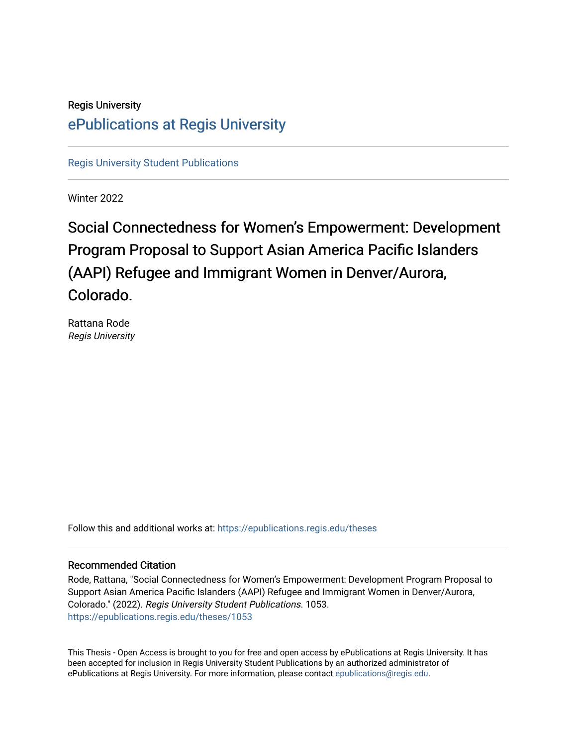# Regis University [ePublications at Regis University](https://epublications.regis.edu/)

[Regis University Student Publications](https://epublications.regis.edu/theses) 

Winter 2022

# Social Connectedness for Women's Empowerment: Development Program Proposal to Support Asian America P acific Islanders (AAPI) Refugee and Immigrant Women in Denver/Aurora, Colorado.

Rattana Rode Regis University

Follow this and additional works at: [https://epublications.regis.edu/theses](https://epublications.regis.edu/theses?utm_source=epublications.regis.edu%2Ftheses%2F1053&utm_medium=PDF&utm_campaign=PDFCoverPages)

#### Recommended Citation

Rode, Rattana, "Social Connectedness for Women's Empowerment: Development Program Proposal to Support Asian America Pacific Islanders (AAPI) Refugee and Immigrant Women in Denver/Aurora, Colorado." (2022). Regis University Student Publications. 1053. [https://epublications.regis.edu/theses/1053](https://epublications.regis.edu/theses/1053?utm_source=epublications.regis.edu%2Ftheses%2F1053&utm_medium=PDF&utm_campaign=PDFCoverPages) 

This Thesis - Open Access is brought to you for free and open access by ePublications at Regis University. It has been accepted for inclusion in Regis University Student Publications by an authorized administrator of ePublications at Regis University. For more information, please contact [epublications@regis.edu.](mailto:epublications@regis.edu)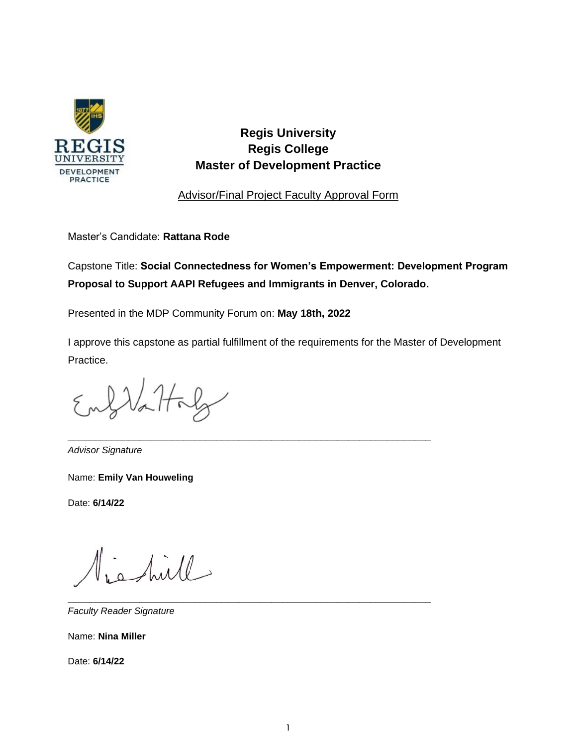

# **Regis University Regis College Master of Development Practice**

Advisor/Final Project Faculty Approval Form

Master's Candidate: **Rattana Rode**

Capstone Title: **Social Connectedness for Women's Empowerment: Development Program Proposal to Support AAPI Refugees and Immigrants in Denver, Colorado.**

Presented in the MDP Community Forum on: **May 18th, 2022**

I approve this capstone as partial fulfillment of the requirements for the Master of Development Practice.

\_\_\_\_\_\_\_\_\_\_\_\_\_\_\_\_\_\_\_\_\_\_\_\_\_\_\_\_\_\_\_\_\_\_\_\_\_\_\_\_\_\_\_\_\_\_\_\_\_\_\_\_\_\_\_\_\_\_\_\_\_\_\_\_\_\_

\_\_\_\_\_\_\_\_\_\_\_\_\_\_\_\_\_\_\_\_\_\_\_\_\_\_\_\_\_\_\_\_\_\_\_\_\_\_\_\_\_\_\_\_\_\_\_\_\_\_\_\_\_\_\_\_\_\_\_\_\_\_\_\_\_\_

 $2\lambda\lambda$ thaly

*Advisor Signature* 

Name: **Emily Van Houweling** 

Date: **6/14/22**

shill

*Faculty Reader Signature* 

Name: **Nina Miller**

Date: **6/14/22**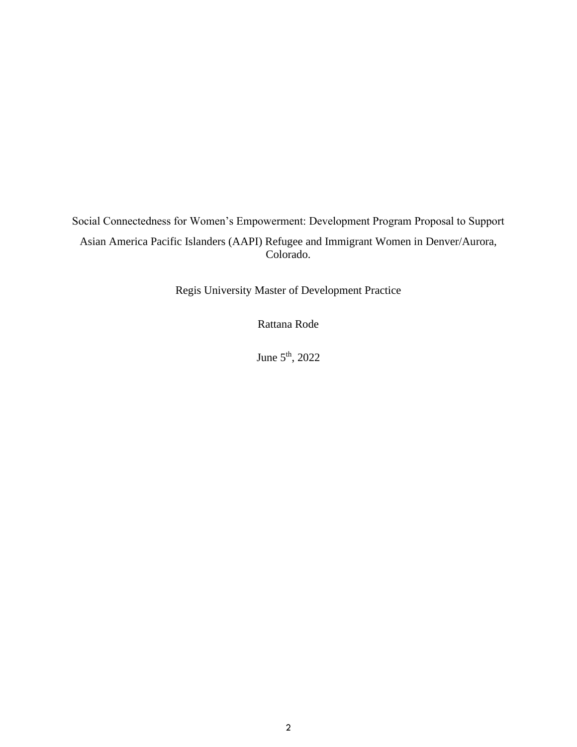Social Connectedness for Women's Empowerment: Development Program Proposal to Support Asian America Pacific Islanders (AAPI) Refugee and Immigrant Women in Denver/Aurora, Colorado.

Regis University Master of Development Practice

Rattana Rode

June  $5^{\text{th}}$ , 2022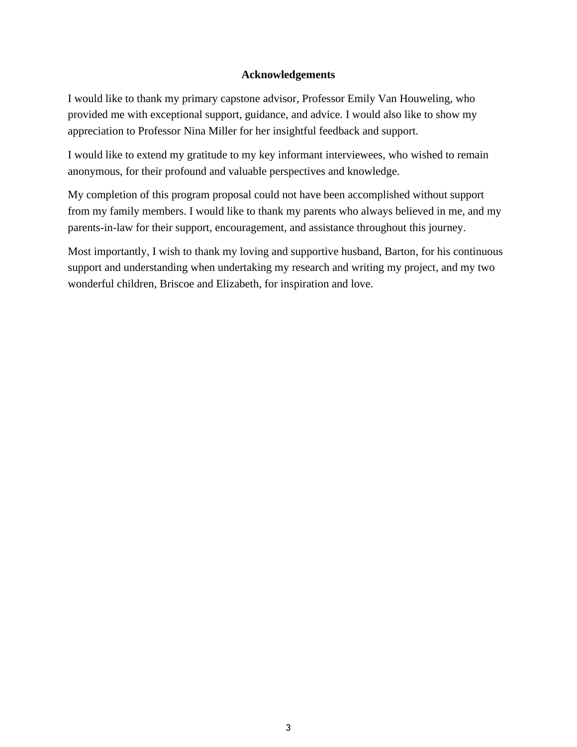# **Acknowledgements**

I would like to thank my primary capstone advisor, Professor Emily Van Houweling, who provided me with exceptional support, guidance, and advice. I would also like to show my appreciation to Professor Nina Miller for her insightful feedback and support.

I would like to extend my gratitude to my key informant interviewees, who wished to remain anonymous, for their profound and valuable perspectives and knowledge.

My completion of this program proposal could not have been accomplished without support from my family members. I would like to thank my parents who always believed in me, and my parents-in-law for their support, encouragement, and assistance throughout this journey.

Most importantly, I wish to thank my loving and supportive husband, Barton, for his continuous support and understanding when undertaking my research and writing my project, and my two wonderful children, Briscoe and Elizabeth, for inspiration and love.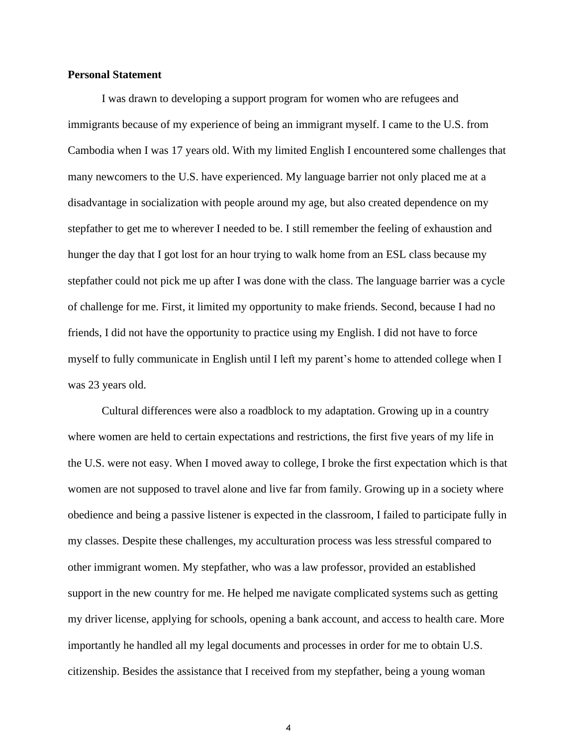#### **Personal Statement**

I was drawn to developing a support program for women who are refugees and immigrants because of my experience of being an immigrant myself. I came to the U.S. from Cambodia when I was 17 years old. With my limited English I encountered some challenges that many newcomers to the U.S. have experienced. My language barrier not only placed me at a disadvantage in socialization with people around my age, but also created dependence on my stepfather to get me to wherever I needed to be. I still remember the feeling of exhaustion and hunger the day that I got lost for an hour trying to walk home from an ESL class because my stepfather could not pick me up after I was done with the class. The language barrier was a cycle of challenge for me. First, it limited my opportunity to make friends. Second, because I had no friends, I did not have the opportunity to practice using my English. I did not have to force myself to fully communicate in English until I left my parent's home to attended college when I was 23 years old.

Cultural differences were also a roadblock to my adaptation. Growing up in a country where women are held to certain expectations and restrictions, the first five years of my life in the U.S. were not easy. When I moved away to college, I broke the first expectation which is that women are not supposed to travel alone and live far from family. Growing up in a society where obedience and being a passive listener is expected in the classroom, I failed to participate fully in my classes. Despite these challenges, my acculturation process was less stressful compared to other immigrant women. My stepfather, who was a law professor, provided an established support in the new country for me. He helped me navigate complicated systems such as getting my driver license, applying for schools, opening a bank account, and access to health care. More importantly he handled all my legal documents and processes in order for me to obtain U.S. citizenship. Besides the assistance that I received from my stepfather, being a young woman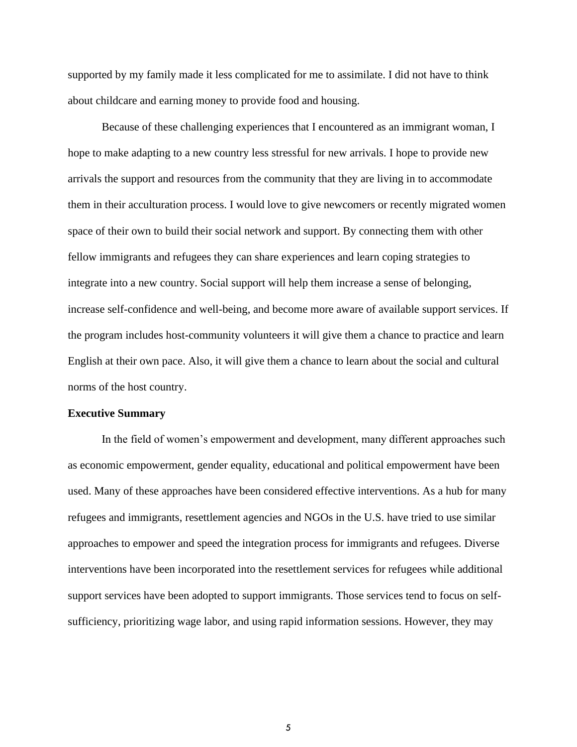supported by my family made it less complicated for me to assimilate. I did not have to think about childcare and earning money to provide food and housing.

Because of these challenging experiences that I encountered as an immigrant woman, I hope to make adapting to a new country less stressful for new arrivals. I hope to provide new arrivals the support and resources from the community that they are living in to accommodate them in their acculturation process. I would love to give newcomers or recently migrated women space of their own to build their social network and support. By connecting them with other fellow immigrants and refugees they can share experiences and learn coping strategies to integrate into a new country. Social support will help them increase a sense of belonging, increase self-confidence and well-being, and become more aware of available support services. If the program includes host-community volunteers it will give them a chance to practice and learn English at their own pace. Also, it will give them a chance to learn about the social and cultural norms of the host country.

#### **Executive Summary**

In the field of women's empowerment and development, many different approaches such as economic empowerment, gender equality, educational and political empowerment have been used. Many of these approaches have been considered effective interventions. As a hub for many refugees and immigrants, resettlement agencies and NGOs in the U.S. have tried to use similar approaches to empower and speed the integration process for immigrants and refugees. Diverse interventions have been incorporated into the resettlement services for refugees while additional support services have been adopted to support immigrants. Those services tend to focus on selfsufficiency, prioritizing wage labor, and using rapid information sessions. However, they may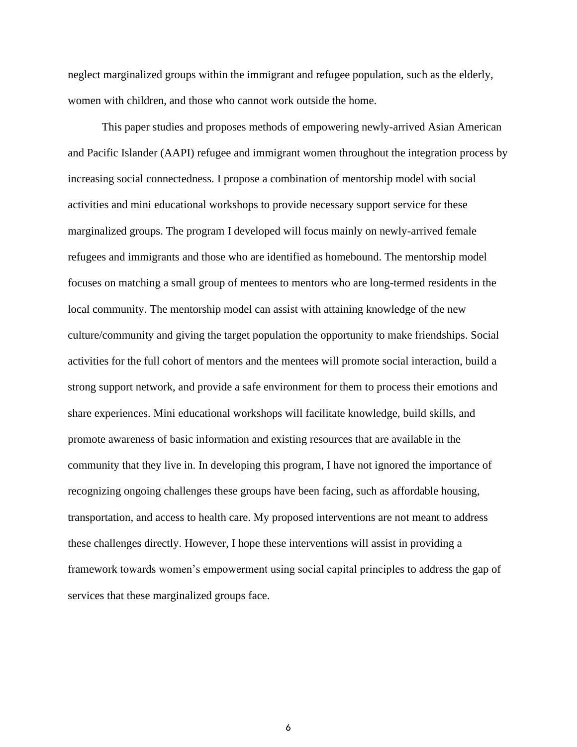neglect marginalized groups within the immigrant and refugee population, such as the elderly, women with children, and those who cannot work outside the home.

This paper studies and proposes methods of empowering newly-arrived Asian American and Pacific Islander (AAPI) refugee and immigrant women throughout the integration process by increasing social connectedness. I propose a combination of mentorship model with social activities and mini educational workshops to provide necessary support service for these marginalized groups. The program I developed will focus mainly on newly-arrived female refugees and immigrants and those who are identified as homebound. The mentorship model focuses on matching a small group of mentees to mentors who are long-termed residents in the local community. The mentorship model can assist with attaining knowledge of the new culture/community and giving the target population the opportunity to make friendships. Social activities for the full cohort of mentors and the mentees will promote social interaction, build a strong support network, and provide a safe environment for them to process their emotions and share experiences. Mini educational workshops will facilitate knowledge, build skills, and promote awareness of basic information and existing resources that are available in the community that they live in. In developing this program, I have not ignored the importance of recognizing ongoing challenges these groups have been facing, such as affordable housing, transportation, and access to health care. My proposed interventions are not meant to address these challenges directly. However, I hope these interventions will assist in providing a framework towards women's empowerment using social capital principles to address the gap of services that these marginalized groups face.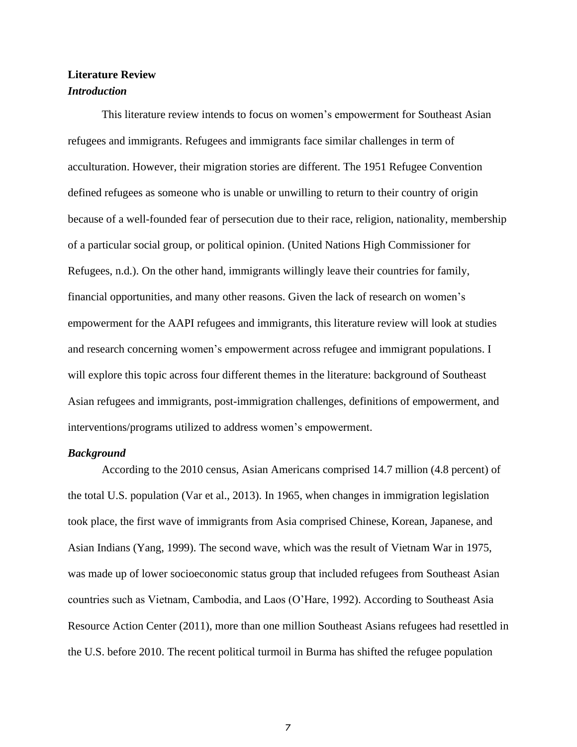# **Literature Review** *Introduction*

This literature review intends to focus on women's empowerment for Southeast Asian refugees and immigrants. Refugees and immigrants face similar challenges in term of acculturation. However, their migration stories are different. The 1951 Refugee Convention defined refugees as someone who is unable or unwilling to return to their country of origin because of a well-founded fear of persecution due to their race, religion, nationality, membership of a particular social group, or political opinion. (United Nations High Commissioner for Refugees, n.d.). On the other hand, immigrants willingly leave their countries for family, financial opportunities, and many other reasons. Given the lack of research on women's empowerment for the AAPI refugees and immigrants, this literature review will look at studies and research concerning women's empowerment across refugee and immigrant populations. I will explore this topic across four different themes in the literature: background of Southeast Asian refugees and immigrants, post-immigration challenges, definitions of empowerment, and interventions/programs utilized to address women's empowerment.

#### *Background*

According to the 2010 census, Asian Americans comprised 14.7 million (4.8 percent) of the total U.S. population (Var et al., 2013). In 1965, when changes in immigration legislation took place, the first wave of immigrants from Asia comprised Chinese, Korean, Japanese, and Asian Indians (Yang, 1999). The second wave, which was the result of Vietnam War in 1975, was made up of lower socioeconomic status group that included refugees from Southeast Asian countries such as Vietnam, Cambodia, and Laos (O'Hare, 1992). According to Southeast Asia Resource Action Center (2011), more than one million Southeast Asians refugees had resettled in the U.S. before 2010. The recent political turmoil in Burma has shifted the refugee population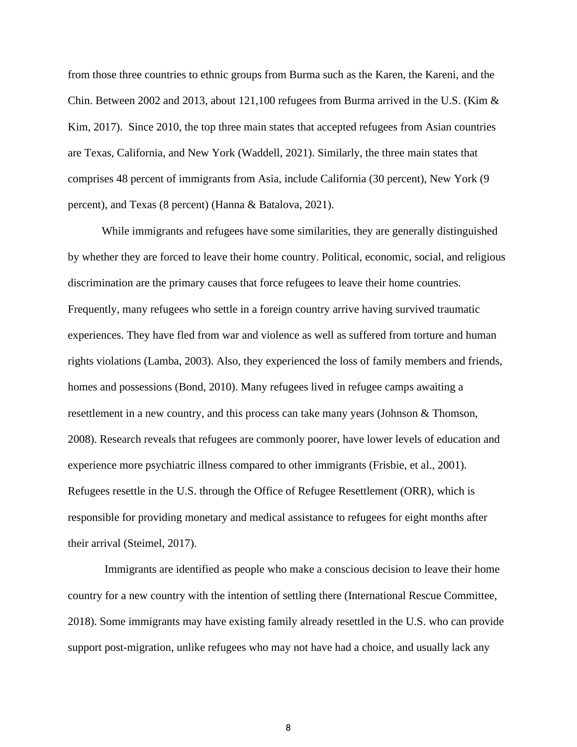from those three countries to ethnic groups from Burma such as the Karen, the Kareni, and the Chin. Between 2002 and 2013, about 121,100 refugees from Burma arrived in the U.S. (Kim  $\&$ Kim, 2017). Since 2010, the top three main states that accepted refugees from Asian countries are Texas, California, and New York (Waddell, 2021). Similarly, the three main states that comprises 48 percent of immigrants from Asia, include California (30 percent), New York (9 percent), and Texas (8 percent) (Hanna & Batalova, 2021).

While immigrants and refugees have some similarities, they are generally distinguished by whether they are forced to leave their home country. Political, economic, social, and religious discrimination are the primary causes that force refugees to leave their home countries. Frequently, many refugees who settle in a foreign country arrive having survived traumatic experiences. They have fled from war and violence as well as suffered from torture and human rights violations (Lamba, 2003). Also, they experienced the loss of family members and friends, homes and possessions (Bond, 2010). Many refugees lived in refugee camps awaiting a resettlement in a new country, and this process can take many years (Johnson & Thomson, 2008). Research reveals that refugees are commonly poorer, have lower levels of education and experience more psychiatric illness compared to other immigrants (Frisbie, et al., 2001). Refugees resettle in the U.S. through the Office of Refugee Resettlement (ORR), which is responsible for providing monetary and medical assistance to refugees for eight months after their arrival (Steimel, 2017).

Immigrants are identified as people who make a conscious decision to leave their home country for a new country with the intention of settling there (International Rescue Committee, 2018). Some immigrants may have existing family already resettled in the U.S. who can provide support post-migration, unlike refugees who may not have had a choice, and usually lack any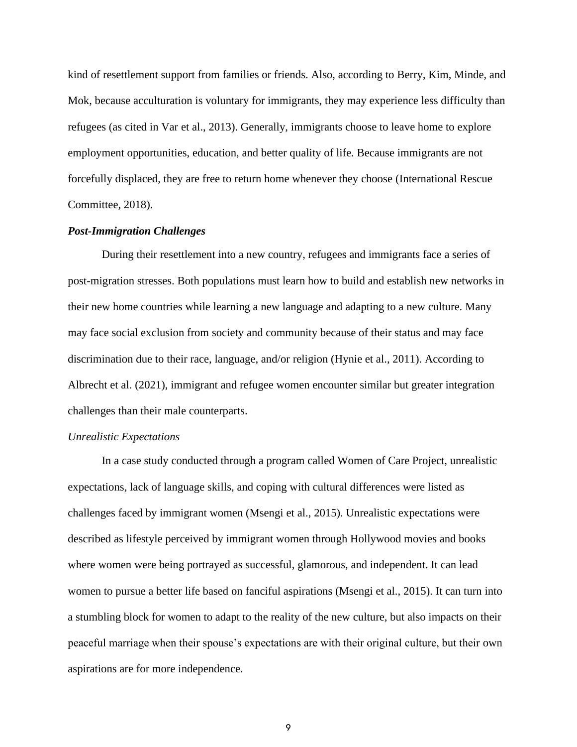kind of resettlement support from families or friends. Also, according to Berry, Kim, Minde, and Mok, because acculturation is voluntary for immigrants, they may experience less difficulty than refugees (as cited in Var et al., 2013). Generally, immigrants choose to leave home to explore employment opportunities, education, and better quality of life. Because immigrants are not forcefully displaced, they are free to return home whenever they choose (International Rescue Committee, 2018).

#### *Post-Immigration Challenges*

During their resettlement into a new country, refugees and immigrants face a series of post-migration stresses. Both populations must learn how to build and establish new networks in their new home countries while learning a new language and adapting to a new culture. Many may face social exclusion from society and community because of their status and may face discrimination due to their race, language, and/or religion (Hynie et al., 2011). According to Albrecht et al. (2021), immigrant and refugee women encounter similar but greater integration challenges than their male counterparts.

#### *Unrealistic Expectations*

In a case study conducted through a program called Women of Care Project, unrealistic expectations, lack of language skills, and coping with cultural differences were listed as challenges faced by immigrant women (Msengi et al., 2015). Unrealistic expectations were described as lifestyle perceived by immigrant women through Hollywood movies and books where women were being portrayed as successful, glamorous, and independent. It can lead women to pursue a better life based on fanciful aspirations (Msengi et al., 2015). It can turn into a stumbling block for women to adapt to the reality of the new culture, but also impacts on their peaceful marriage when their spouse's expectations are with their original culture, but their own aspirations are for more independence.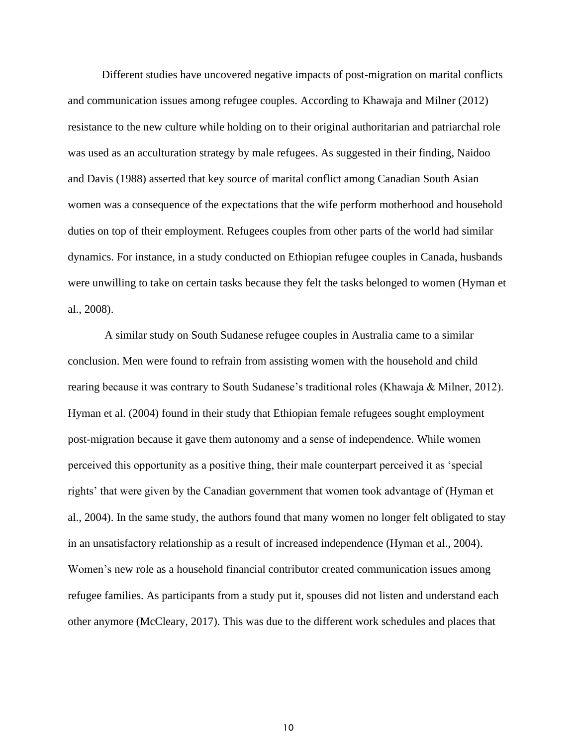Different studies have uncovered negative impacts of post-migration on marital conflicts and communication issues among refugee couples. According to Khawaja and Milner (2012) resistance to the new culture while holding on to their original authoritarian and patriarchal role was used as an acculturation strategy by male refugees. As suggested in their finding, Naidoo and Davis (1988) asserted that key source of marital conflict among Canadian South Asian women was a consequence of the expectations that the wife perform motherhood and household duties on top of their employment. Refugees couples from other parts of the world had similar dynamics. For instance, in a study conducted on Ethiopian refugee couples in Canada, husbands were unwilling to take on certain tasks because they felt the tasks belonged to women (Hyman et al., 2008).

A similar study on South Sudanese refugee couples in Australia came to a similar conclusion. Men were found to refrain from assisting women with the household and child rearing because it was contrary to South Sudanese's traditional roles (Khawaja & Milner, 2012). Hyman et al. (2004) found in their study that Ethiopian female refugees sought employment post-migration because it gave them autonomy and a sense of independence. While women perceived this opportunity as a positive thing, their male counterpart perceived it as 'special rights' that were given by the Canadian government that women took advantage of (Hyman et al., 2004). In the same study, the authors found that many women no longer felt obligated to stay in an unsatisfactory relationship as a result of increased independence (Hyman et al., 2004). Women's new role as a household financial contributor created communication issues among refugee families. As participants from a study put it, spouses did not listen and understand each other anymore (McCleary, 2017). This was due to the different work schedules and places that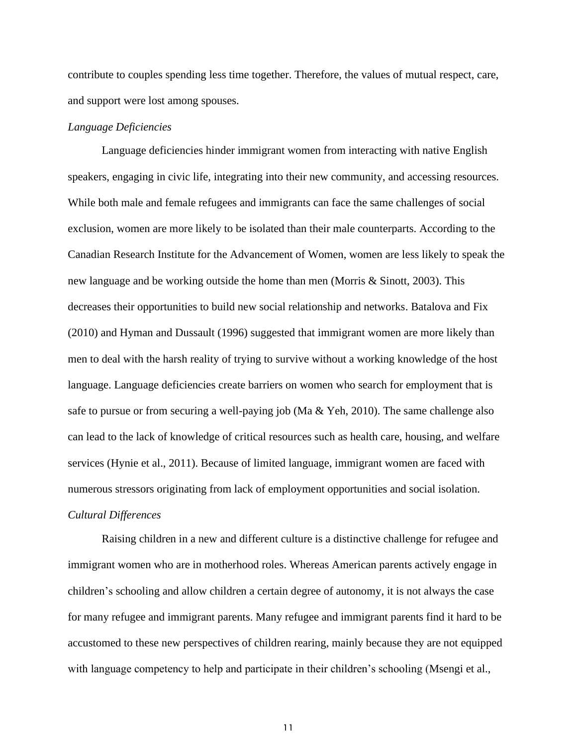contribute to couples spending less time together. Therefore, the values of mutual respect, care, and support were lost among spouses.

#### *Language Deficiencies*

Language deficiencies hinder immigrant women from interacting with native English speakers, engaging in civic life, integrating into their new community, and accessing resources. While both male and female refugees and immigrants can face the same challenges of social exclusion, women are more likely to be isolated than their male counterparts. According to the Canadian Research Institute for the Advancement of Women, women are less likely to speak the new language and be working outside the home than men (Morris & Sinott, 2003). This decreases their opportunities to build new social relationship and networks. Batalova and Fix (2010) and Hyman and Dussault (1996) suggested that immigrant women are more likely than men to deal with the harsh reality of trying to survive without a working knowledge of the host language. Language deficiencies create barriers on women who search for employment that is safe to pursue or from securing a well-paying job (Ma & Yeh, 2010). The same challenge also can lead to the lack of knowledge of critical resources such as health care, housing, and welfare services (Hynie et al., 2011). Because of limited language, immigrant women are faced with numerous stressors originating from lack of employment opportunities and social isolation. *Cultural Differences* 

Raising children in a new and different culture is a distinctive challenge for refugee and immigrant women who are in motherhood roles. Whereas American parents actively engage in children's schooling and allow children a certain degree of autonomy, it is not always the case for many refugee and immigrant parents. Many refugee and immigrant parents find it hard to be accustomed to these new perspectives of children rearing, mainly because they are not equipped with language competency to help and participate in their children's schooling (Msengi et al.,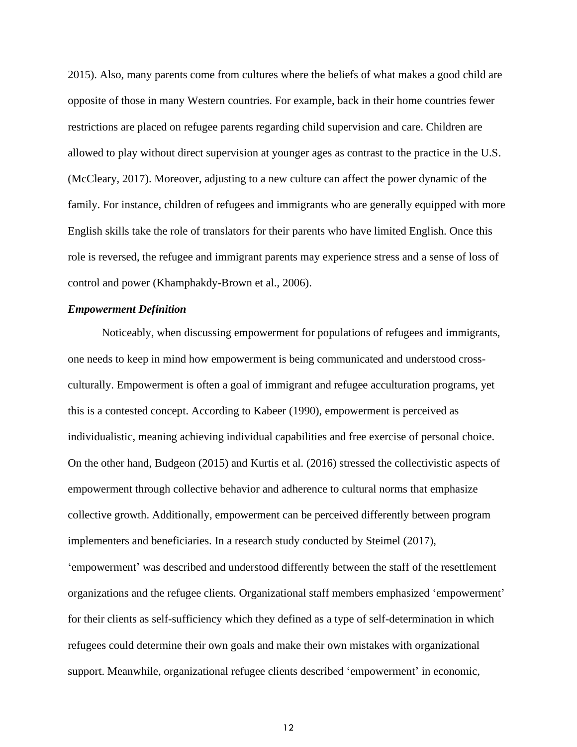2015). Also, many parents come from cultures where the beliefs of what makes a good child are opposite of those in many Western countries. For example, back in their home countries fewer restrictions are placed on refugee parents regarding child supervision and care. Children are allowed to play without direct supervision at younger ages as contrast to the practice in the U.S. (McCleary, 2017). Moreover, adjusting to a new culture can affect the power dynamic of the family. For instance, children of refugees and immigrants who are generally equipped with more English skills take the role of translators for their parents who have limited English. Once this role is reversed, the refugee and immigrant parents may experience stress and a sense of loss of control and power (Khamphakdy-Brown et al., 2006).

#### *Empowerment Definition*

Noticeably, when discussing empowerment for populations of refugees and immigrants, one needs to keep in mind how empowerment is being communicated and understood crossculturally. Empowerment is often a goal of immigrant and refugee acculturation programs, yet this is a contested concept. According to Kabeer (1990), empowerment is perceived as individualistic, meaning achieving individual capabilities and free exercise of personal choice. On the other hand, Budgeon (2015) and Kurtis et al. (2016) stressed the collectivistic aspects of empowerment through collective behavior and adherence to cultural norms that emphasize collective growth. Additionally, empowerment can be perceived differently between program implementers and beneficiaries. In a research study conducted by Steimel (2017), 'empowerment' was described and understood differently between the staff of the resettlement organizations and the refugee clients. Organizational staff members emphasized 'empowerment' for their clients as self-sufficiency which they defined as a type of self-determination in which refugees could determine their own goals and make their own mistakes with organizational support. Meanwhile, organizational refugee clients described 'empowerment' in economic,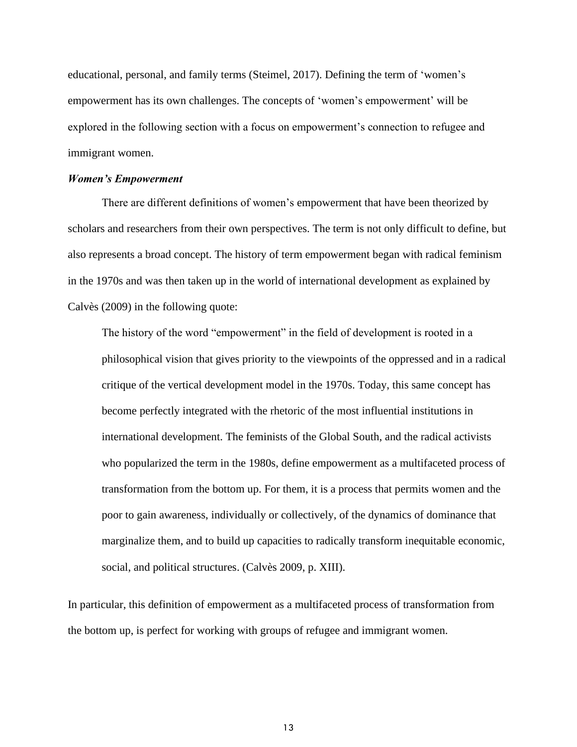educational, personal, and family terms (Steimel, 2017). Defining the term of 'women's empowerment has its own challenges. The concepts of 'women's empowerment' will be explored in the following section with a focus on empowerment's connection to refugee and immigrant women.

#### *Women's Empowerment*

There are different definitions of women's empowerment that have been theorized by scholars and researchers from their own perspectives. The term is not only difficult to define, but also represents a broad concept. The history of term empowerment began with radical feminism in the 1970s and was then taken up in the world of international development as explained by Calvès (2009) in the following quote:

The history of the word "empowerment" in the field of development is rooted in a philosophical vision that gives priority to the viewpoints of the oppressed and in a radical critique of the vertical development model in the 1970s. Today, this same concept has become perfectly integrated with the rhetoric of the most influential institutions in international development. The feminists of the Global South, and the radical activists who popularized the term in the 1980s, define empowerment as a multifaceted process of transformation from the bottom up. For them, it is a process that permits women and the poor to gain awareness, individually or collectively, of the dynamics of dominance that marginalize them, and to build up capacities to radically transform inequitable economic, social, and political structures. (Calvès 2009, p. XIII).

In particular, this definition of empowerment as a multifaceted process of transformation from the bottom up, is perfect for working with groups of refugee and immigrant women.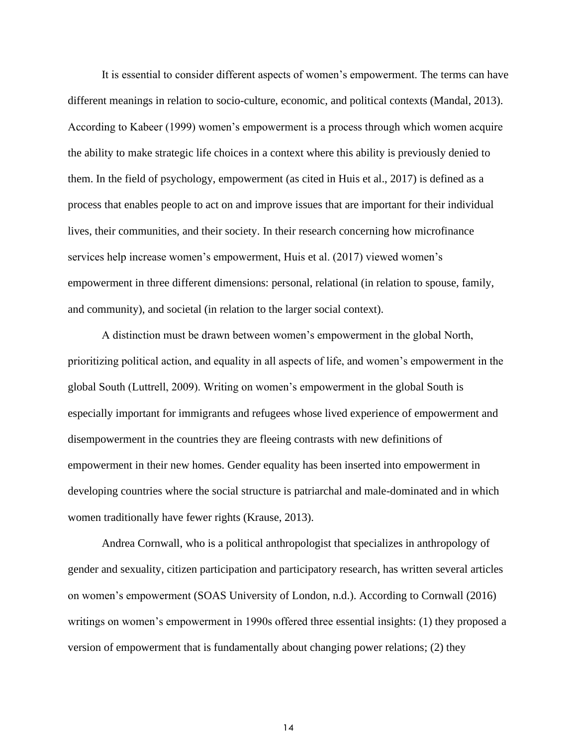It is essential to consider different aspects of women's empowerment. The terms can have different meanings in relation to socio-culture, economic, and political contexts (Mandal, 2013). According to Kabeer (1999) women's empowerment is a process through which women acquire the ability to make strategic life choices in a context where this ability is previously denied to them. In the field of psychology, empowerment (as cited in Huis et al., 2017) is defined as a process that enables people to act on and improve issues that are important for their individual lives, their communities, and their society. In their research concerning how microfinance services help increase women's empowerment, Huis et al. (2017) viewed women's empowerment in three different dimensions: personal, relational (in relation to spouse, family, and community), and societal (in relation to the larger social context).

A distinction must be drawn between women's empowerment in the global North, prioritizing political action, and equality in all aspects of life, and women's empowerment in the global South (Luttrell, 2009). Writing on women's empowerment in the global South is especially important for immigrants and refugees whose lived experience of empowerment and disempowerment in the countries they are fleeing contrasts with new definitions of empowerment in their new homes. Gender equality has been inserted into empowerment in developing countries where the social structure is patriarchal and male-dominated and in which women traditionally have fewer rights (Krause, 2013).

Andrea Cornwall, who is a political anthropologist that specializes in anthropology of gender and sexuality, citizen participation and participatory research, has written several articles on women's empowerment (SOAS University of London, n.d.). According to Cornwall (2016) writings on women's empowerment in 1990s offered three essential insights: (1) they proposed a version of empowerment that is fundamentally about changing power relations; (2) they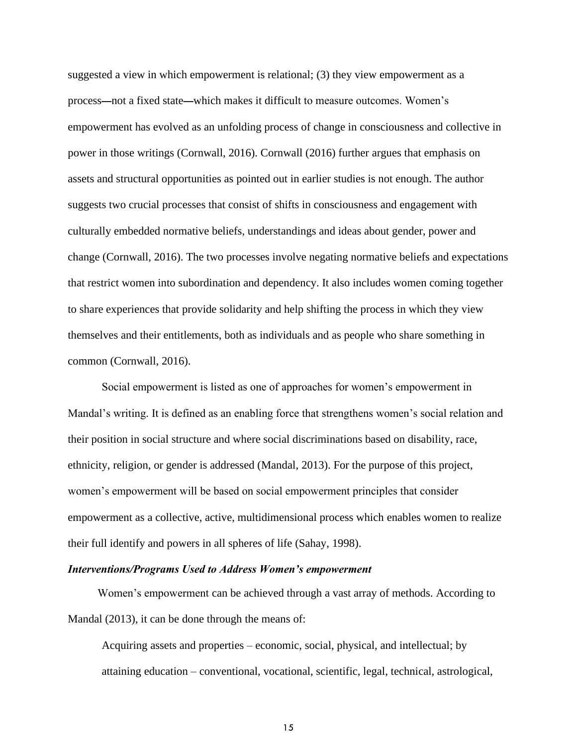suggested a view in which empowerment is relational; (3) they view empowerment as a process—not a fixed state—which makes it difficult to measure outcomes. Women's empowerment has evolved as an unfolding process of change in consciousness and collective in power in those writings (Cornwall, 2016). Cornwall (2016) further argues that emphasis on assets and structural opportunities as pointed out in earlier studies is not enough. The author suggests two crucial processes that consist of shifts in consciousness and engagement with culturally embedded normative beliefs, understandings and ideas about gender, power and change (Cornwall, 2016). The two processes involve negating normative beliefs and expectations that restrict women into subordination and dependency. It also includes women coming together to share experiences that provide solidarity and help shifting the process in which they view themselves and their entitlements, both as individuals and as people who share something in common (Cornwall, 2016).

Social empowerment is listed as one of approaches for women's empowerment in Mandal's writing. It is defined as an enabling force that strengthens women's social relation and their position in social structure and where social discriminations based on disability, race, ethnicity, religion, or gender is addressed (Mandal, 2013). For the purpose of this project, women's empowerment will be based on social empowerment principles that consider empowerment as a collective, active, multidimensional process which enables women to realize their full identify and powers in all spheres of life (Sahay, 1998).

#### *Interventions/Programs Used to Address Women's empowerment*

Women's empowerment can be achieved through a vast array of methods. According to Mandal (2013), it can be done through the means of:

Acquiring assets and properties – economic, social, physical, and intellectual; by attaining education – conventional, vocational, scientific, legal, technical, astrological,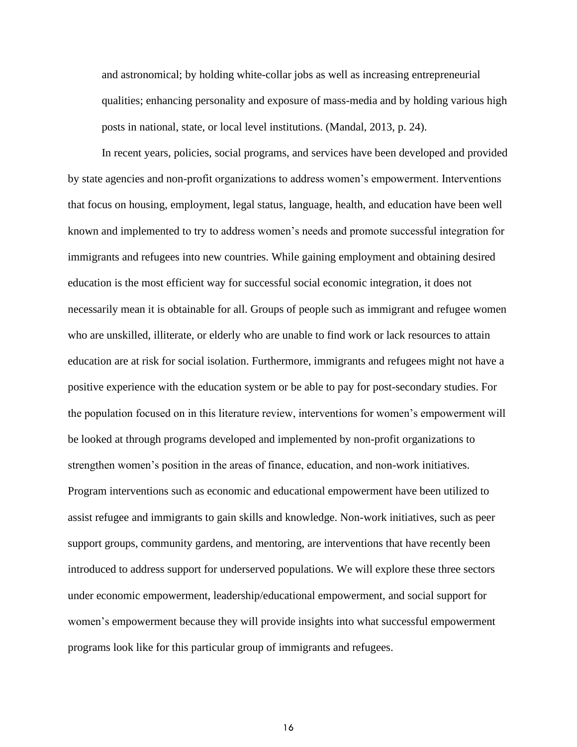and astronomical; by holding white-collar jobs as well as increasing entrepreneurial qualities; enhancing personality and exposure of mass-media and by holding various high posts in national, state, or local level institutions. (Mandal, 2013, p. 24).

In recent years, policies, social programs, and services have been developed and provided by state agencies and non-profit organizations to address women's empowerment. Interventions that focus on housing, employment, legal status, language, health, and education have been well known and implemented to try to address women's needs and promote successful integration for immigrants and refugees into new countries. While gaining employment and obtaining desired education is the most efficient way for successful social economic integration, it does not necessarily mean it is obtainable for all. Groups of people such as immigrant and refugee women who are unskilled, illiterate, or elderly who are unable to find work or lack resources to attain education are at risk for social isolation. Furthermore, immigrants and refugees might not have a positive experience with the education system or be able to pay for post-secondary studies. For the population focused on in this literature review, interventions for women's empowerment will be looked at through programs developed and implemented by non-profit organizations to strengthen women's position in the areas of finance, education, and non-work initiatives. Program interventions such as economic and educational empowerment have been utilized to assist refugee and immigrants to gain skills and knowledge. Non-work initiatives, such as peer support groups, community gardens, and mentoring, are interventions that have recently been introduced to address support for underserved populations. We will explore these three sectors under economic empowerment, leadership/educational empowerment, and social support for women's empowerment because they will provide insights into what successful empowerment programs look like for this particular group of immigrants and refugees.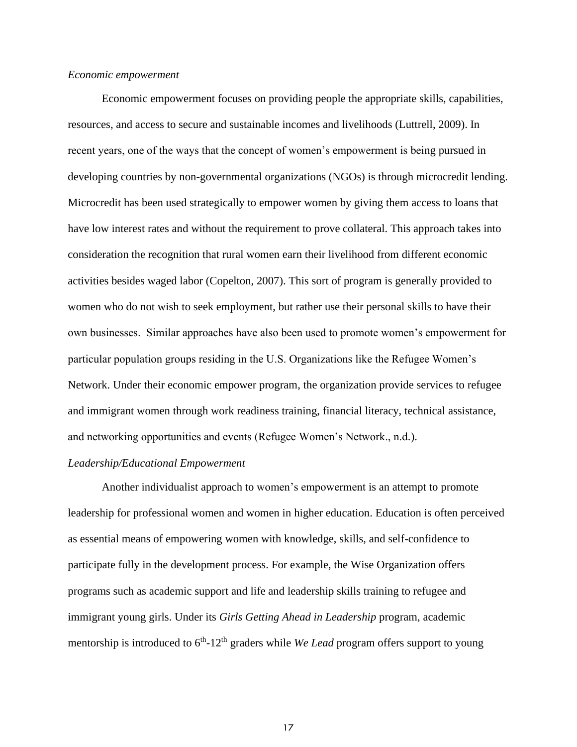#### *Economic empowerment*

Economic empowerment focuses on providing people the appropriate skills, capabilities, resources, and access to secure and sustainable incomes and livelihoods (Luttrell, 2009). In recent years, one of the ways that the concept of women's empowerment is being pursued in developing countries by non-governmental organizations (NGOs) is through microcredit lending. Microcredit has been used strategically to empower women by giving them access to loans that have low interest rates and without the requirement to prove collateral. This approach takes into consideration the recognition that rural women earn their livelihood from different economic activities besides waged labor (Copelton, 2007). This sort of program is generally provided to women who do not wish to seek employment, but rather use their personal skills to have their own businesses. Similar approaches have also been used to promote women's empowerment for particular population groups residing in the U.S. Organizations like the Refugee Women's Network. Under their economic empower program, the organization provide services to refugee and immigrant women through work readiness training, financial literacy, technical assistance, and networking opportunities and events (Refugee Women's Network., n.d.).

#### *Leadership/Educational Empowerment*

Another individualist approach to women's empowerment is an attempt to promote leadership for professional women and women in higher education. Education is often perceived as essential means of empowering women with knowledge, skills, and self-confidence to participate fully in the development process. For example, the Wise Organization offers programs such as academic support and life and leadership skills training to refugee and immigrant young girls. Under its *Girls Getting Ahead in Leadership* program, academic mentorship is introduced to 6<sup>th</sup>-12<sup>th</sup> graders while *We Lead* program offers support to young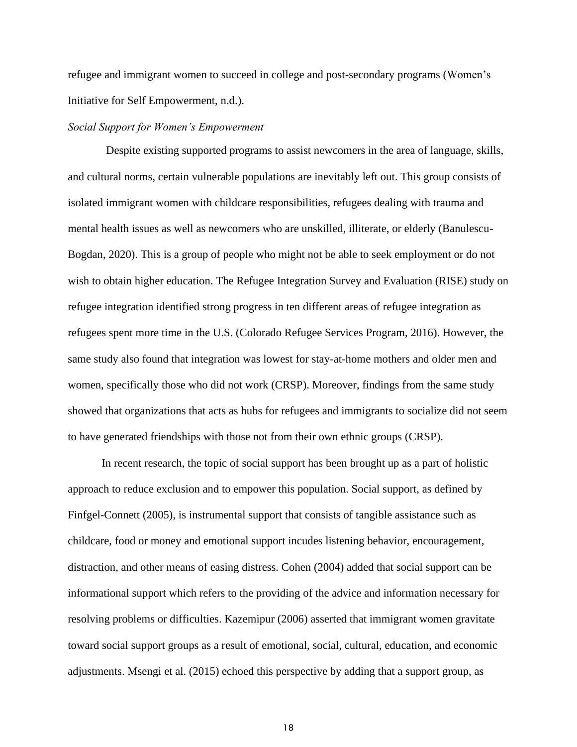refugee and immigrant women to succeed in college and post-secondary programs (Women's Initiative for Self Empowerment, n.d.).

#### *Social Support for Women's Empowerment*

Despite existing supported programs to assist newcomers in the area of language, skills, and cultural norms, certain vulnerable populations are inevitably left out. This group consists of isolated immigrant women with childcare responsibilities, refugees dealing with trauma and mental health issues as well as newcomers who are unskilled, illiterate, or elderly (Banulescu-Bogdan, 2020). This is a group of people who might not be able to seek employment or do not wish to obtain higher education. The Refugee Integration Survey and Evaluation (RISE) study on refugee integration identified strong progress in ten different areas of refugee integration as refugees spent more time in the U.S. (Colorado Refugee Services Program, 2016). However, the same study also found that integration was lowest for stay-at-home mothers and older men and women, specifically those who did not work (CRSP). Moreover, findings from the same study showed that organizations that acts as hubs for refugees and immigrants to socialize did not seem to have generated friendships with those not from their own ethnic groups (CRSP).

In recent research, the topic of social support has been brought up as a part of holistic approach to reduce exclusion and to empower this population. Social support, as defined by Finfgel-Connett (2005), is instrumental support that consists of tangible assistance such as childcare, food or money and emotional support incudes listening behavior, encouragement, distraction, and other means of easing distress. Cohen (2004) added that social support can be informational support which refers to the providing of the advice and information necessary for resolving problems or difficulties. Kazemipur (2006) asserted that immigrant women gravitate toward social support groups as a result of emotional, social, cultural, education, and economic adjustments. Msengi et al. (2015) echoed this perspective by adding that a support group, as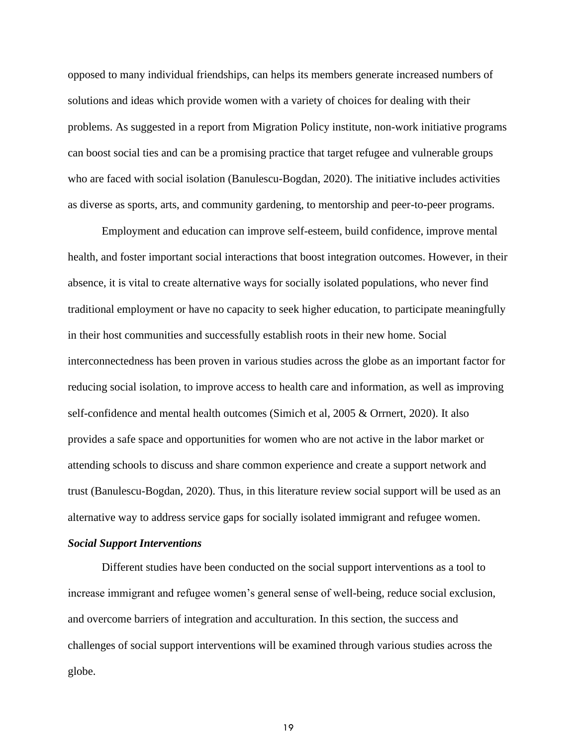opposed to many individual friendships, can helps its members generate increased numbers of solutions and ideas which provide women with a variety of choices for dealing with their problems. As suggested in a report from Migration Policy institute, non-work initiative programs can boost social ties and can be a promising practice that target refugee and vulnerable groups who are faced with social isolation (Banulescu-Bogdan, 2020). The initiative includes activities as diverse as sports, arts, and community gardening, to mentorship and peer-to-peer programs.

Employment and education can improve self-esteem, build confidence, improve mental health, and foster important social interactions that boost integration outcomes. However, in their absence, it is vital to create alternative ways for socially isolated populations, who never find traditional employment or have no capacity to seek higher education, to participate meaningfully in their host communities and successfully establish roots in their new home. Social interconnectedness has been proven in various studies across the globe as an important factor for reducing social isolation, to improve access to health care and information, as well as improving self-confidence and mental health outcomes (Simich et al, 2005 & Orrnert, 2020). It also provides a safe space and opportunities for women who are not active in the labor market or attending schools to discuss and share common experience and create a support network and trust (Banulescu-Bogdan, 2020). Thus, in this literature review social support will be used as an alternative way to address service gaps for socially isolated immigrant and refugee women.

#### *Social Support Interventions*

Different studies have been conducted on the social support interventions as a tool to increase immigrant and refugee women's general sense of well-being, reduce social exclusion, and overcome barriers of integration and acculturation. In this section, the success and challenges of social support interventions will be examined through various studies across the globe.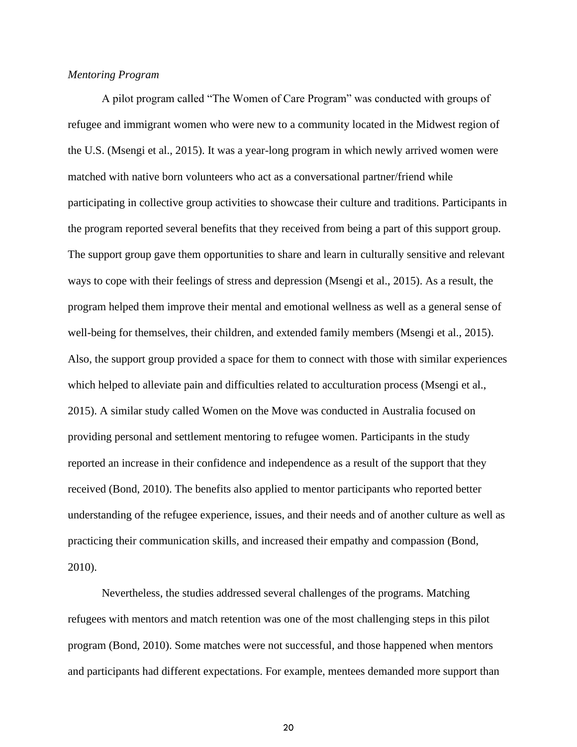#### *Mentoring Program*

A pilot program called "The Women of Care Program" was conducted with groups of refugee and immigrant women who were new to a community located in the Midwest region of the U.S. (Msengi et al., 2015). It was a year-long program in which newly arrived women were matched with native born volunteers who act as a conversational partner/friend while participating in collective group activities to showcase their culture and traditions. Participants in the program reported several benefits that they received from being a part of this support group. The support group gave them opportunities to share and learn in culturally sensitive and relevant ways to cope with their feelings of stress and depression (Msengi et al., 2015). As a result, the program helped them improve their mental and emotional wellness as well as a general sense of well-being for themselves, their children, and extended family members (Msengi et al., 2015). Also, the support group provided a space for them to connect with those with similar experiences which helped to alleviate pain and difficulties related to acculturation process (Msengi et al., 2015). A similar study called Women on the Move was conducted in Australia focused on providing personal and settlement mentoring to refugee women. Participants in the study reported an increase in their confidence and independence as a result of the support that they received (Bond, 2010). The benefits also applied to mentor participants who reported better understanding of the refugee experience, issues, and their needs and of another culture as well as practicing their communication skills, and increased their empathy and compassion (Bond, 2010).

Nevertheless, the studies addressed several challenges of the programs. Matching refugees with mentors and match retention was one of the most challenging steps in this pilot program (Bond, 2010). Some matches were not successful, and those happened when mentors and participants had different expectations. For example, mentees demanded more support than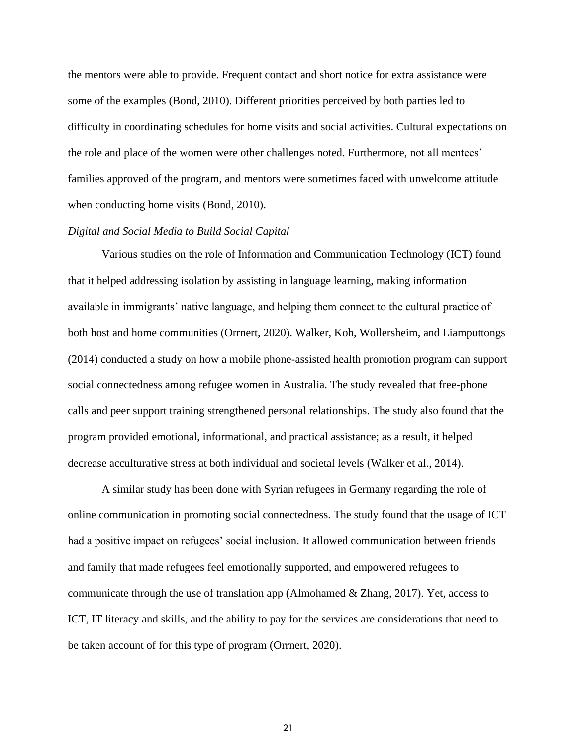the mentors were able to provide. Frequent contact and short notice for extra assistance were some of the examples (Bond, 2010). Different priorities perceived by both parties led to difficulty in coordinating schedules for home visits and social activities. Cultural expectations on the role and place of the women were other challenges noted. Furthermore, not all mentees' families approved of the program, and mentors were sometimes faced with unwelcome attitude when conducting home visits (Bond, 2010).

#### *Digital and Social Media to Build Social Capital*

Various studies on the role of Information and Communication Technology (ICT) found that it helped addressing isolation by assisting in language learning, making information available in immigrants' native language, and helping them connect to the cultural practice of both host and home communities (Orrnert, 2020). Walker, Koh, Wollersheim, and Liamputtongs (2014) conducted a study on how a mobile phone-assisted health promotion program can support social connectedness among refugee women in Australia. The study revealed that free-phone calls and peer support training strengthened personal relationships. The study also found that the program provided emotional, informational, and practical assistance; as a result, it helped decrease acculturative stress at both individual and societal levels (Walker et al., 2014).

A similar study has been done with Syrian refugees in Germany regarding the role of online communication in promoting social connectedness. The study found that the usage of ICT had a positive impact on refugees' social inclusion. It allowed communication between friends and family that made refugees feel emotionally supported, and empowered refugees to communicate through the use of translation app (Almohamed & Zhang, 2017). Yet, access to ICT, IT literacy and skills, and the ability to pay for the services are considerations that need to be taken account of for this type of program (Orrnert, 2020).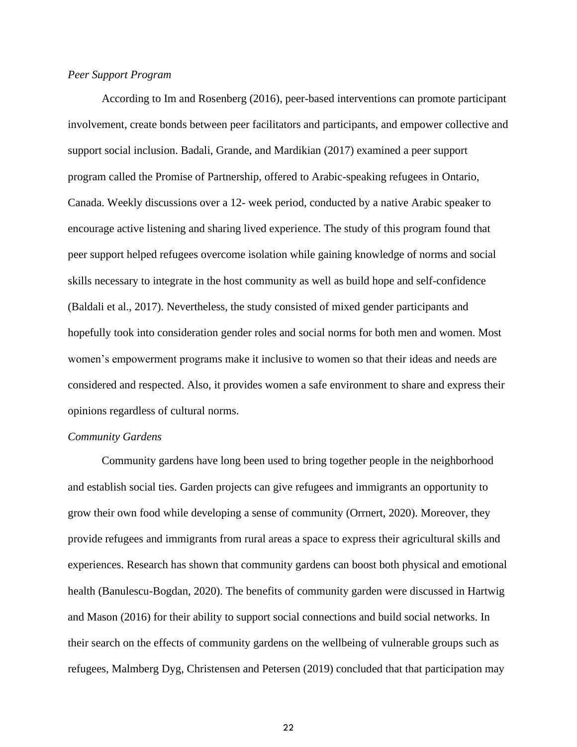#### *Peer Support Program*

According to Im and Rosenberg (2016), peer-based interventions can promote participant involvement, create bonds between peer facilitators and participants, and empower collective and support social inclusion. Badali, Grande, and Mardikian (2017) examined a peer support program called the Promise of Partnership, offered to Arabic-speaking refugees in Ontario, Canada. Weekly discussions over a 12- week period, conducted by a native Arabic speaker to encourage active listening and sharing lived experience. The study of this program found that peer support helped refugees overcome isolation while gaining knowledge of norms and social skills necessary to integrate in the host community as well as build hope and self-confidence (Baldali et al., 2017). Nevertheless, the study consisted of mixed gender participants and hopefully took into consideration gender roles and social norms for both men and women. Most women's empowerment programs make it inclusive to women so that their ideas and needs are considered and respected. Also, it provides women a safe environment to share and express their opinions regardless of cultural norms.

#### *Community Gardens*

Community gardens have long been used to bring together people in the neighborhood and establish social ties. Garden projects can give refugees and immigrants an opportunity to grow their own food while developing a sense of community (Orrnert, 2020). Moreover, they provide refugees and immigrants from rural areas a space to express their agricultural skills and experiences. Research has shown that community gardens can boost both physical and emotional health (Banulescu-Bogdan, 2020). The benefits of community garden were discussed in Hartwig and Mason (2016) for their ability to support social connections and build social networks. In their search on the effects of community gardens on the wellbeing of vulnerable groups such as refugees, Malmberg Dyg, Christensen and Petersen (2019) concluded that that participation may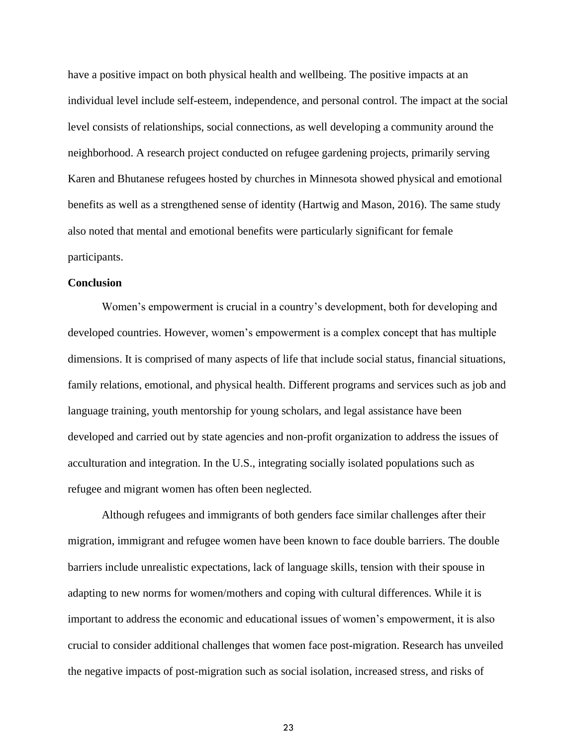have a positive impact on both physical health and wellbeing. The positive impacts at an individual level include self-esteem, independence, and personal control. The impact at the social level consists of relationships, social connections, as well developing a community around the neighborhood. A research project conducted on refugee gardening projects, primarily serving Karen and Bhutanese refugees hosted by churches in Minnesota showed physical and emotional benefits as well as a strengthened sense of identity (Hartwig and Mason, 2016). The same study also noted that mental and emotional benefits were particularly significant for female participants.

#### **Conclusion**

Women's empowerment is crucial in a country's development, both for developing and developed countries. However, women's empowerment is a complex concept that has multiple dimensions. It is comprised of many aspects of life that include social status, financial situations, family relations, emotional, and physical health. Different programs and services such as job and language training, youth mentorship for young scholars, and legal assistance have been developed and carried out by state agencies and non-profit organization to address the issues of acculturation and integration. In the U.S., integrating socially isolated populations such as refugee and migrant women has often been neglected.

Although refugees and immigrants of both genders face similar challenges after their migration, immigrant and refugee women have been known to face double barriers. The double barriers include unrealistic expectations, lack of language skills, tension with their spouse in adapting to new norms for women/mothers and coping with cultural differences. While it is important to address the economic and educational issues of women's empowerment, it is also crucial to consider additional challenges that women face post-migration. Research has unveiled the negative impacts of post-migration such as social isolation, increased stress, and risks of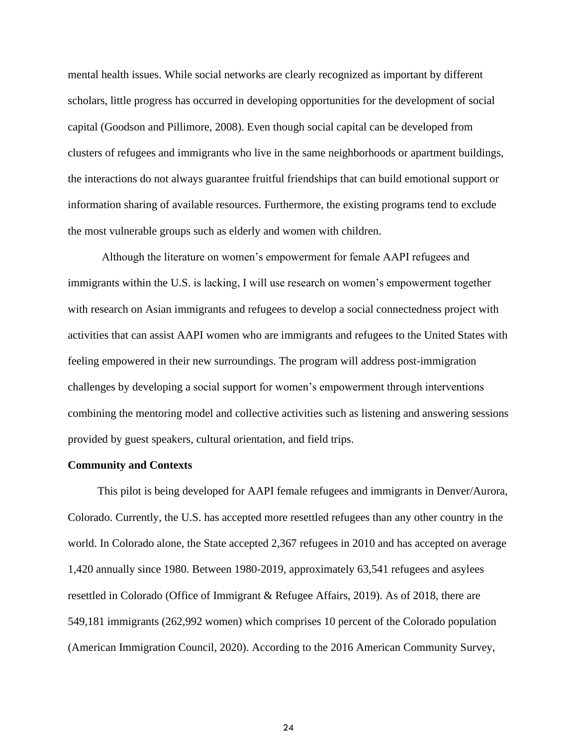mental health issues. While social networks are clearly recognized as important by different scholars, little progress has occurred in developing opportunities for the development of social capital (Goodson and Pillimore, 2008). Even though social capital can be developed from clusters of refugees and immigrants who live in the same neighborhoods or apartment buildings, the interactions do not always guarantee fruitful friendships that can build emotional support or information sharing of available resources. Furthermore, the existing programs tend to exclude the most vulnerable groups such as elderly and women with children.

Although the literature on women's empowerment for female AAPI refugees and immigrants within the U.S. is lacking, I will use research on women's empowerment together with research on Asian immigrants and refugees to develop a social connectedness project with activities that can assist AAPI women who are immigrants and refugees to the United States with feeling empowered in their new surroundings. The program will address post-immigration challenges by developing a social support for women's empowerment through interventions combining the mentoring model and collective activities such as listening and answering sessions provided by guest speakers, cultural orientation, and field trips.

### **Community and Contexts**

This pilot is being developed for AAPI female refugees and immigrants in Denver/Aurora, Colorado. Currently, the U.S. has accepted more resettled refugees than any other country in the world. In Colorado alone, the State accepted 2,367 refugees in 2010 and has accepted on average 1,420 annually since 1980. Between 1980-2019, approximately 63,541 refugees and asylees resettled in Colorado (Office of Immigrant & Refugee Affairs, 2019). As of 2018, there are 549,181 immigrants (262,992 women) which comprises 10 percent of the Colorado population (American Immigration Council, 2020). According to the 2016 American Community Survey,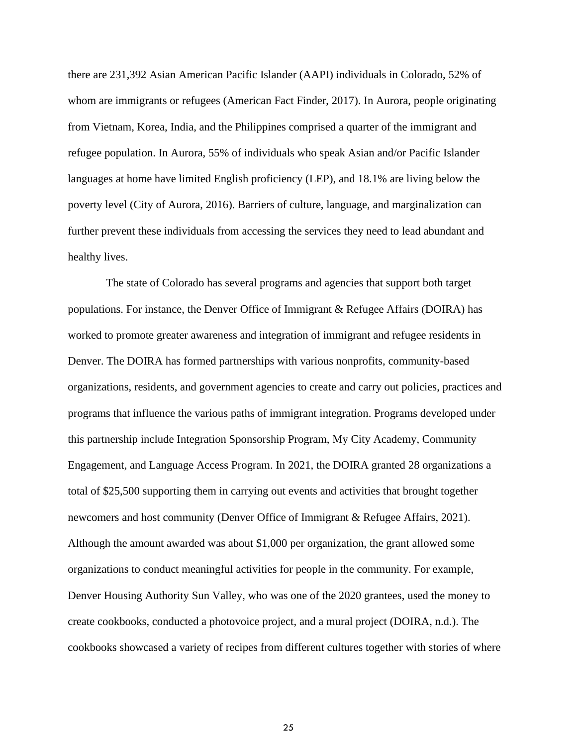there are 231,392 Asian American Pacific Islander (AAPI) individuals in Colorado, 52% of whom are immigrants or refugees (American Fact Finder, 2017). In Aurora, people originating from Vietnam, Korea, India, and the Philippines comprised a quarter of the immigrant and refugee population. In Aurora, 55% of individuals who speak Asian and/or Pacific Islander languages at home have limited English proficiency (LEP), and 18.1% are living below the poverty level (City of Aurora, 2016). Barriers of culture, language, and marginalization can further prevent these individuals from accessing the services they need to lead abundant and healthy lives.

The state of Colorado has several programs and agencies that support both target populations. For instance, the Denver Office of Immigrant & Refugee Affairs (DOIRA) has worked to promote greater awareness and integration of immigrant and refugee residents in Denver. The DOIRA has formed partnerships with various nonprofits, community-based organizations, residents, and government agencies to create and carry out policies, practices and programs that influence the various paths of immigrant integration. Programs developed under this partnership include Integration Sponsorship Program, My City Academy, Community Engagement, and Language Access Program. In 2021, the DOIRA granted 28 organizations a total of \$25,500 supporting them in carrying out events and activities that brought together newcomers and host community (Denver Office of Immigrant & Refugee Affairs, 2021). Although the amount awarded was about \$1,000 per organization, the grant allowed some organizations to conduct meaningful activities for people in the community. For example, Denver Housing Authority Sun Valley, who was one of the 2020 grantees, used the money to create cookbooks, conducted a photovoice project, and a mural project (DOIRA, n.d.). The cookbooks showcased a variety of recipes from different cultures together with stories of where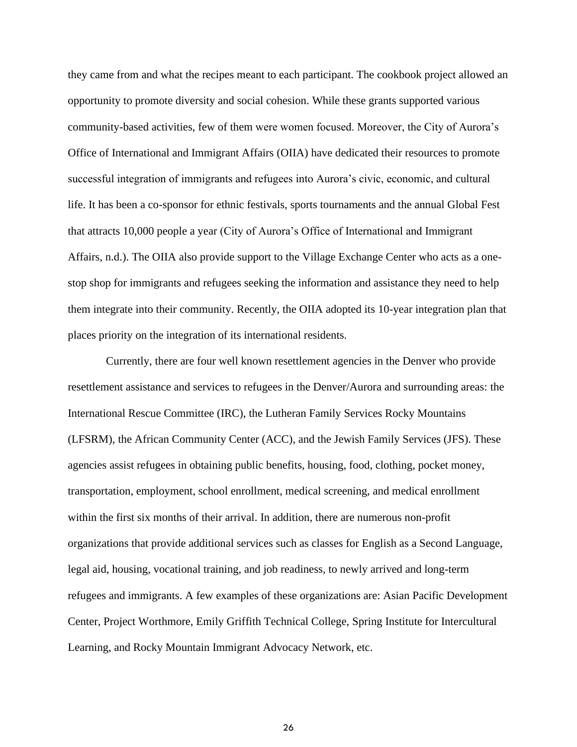they came from and what the recipes meant to each participant. The cookbook project allowed an opportunity to promote diversity and social cohesion. While these grants supported various community-based activities, few of them were women focused. Moreover, the City of Aurora's Office of International and Immigrant Affairs (OIIA) have dedicated their resources to promote successful integration of immigrants and refugees into Aurora's civic, economic, and cultural life. It has been a co-sponsor for ethnic festivals, sports tournaments and the annual Global Fest that attracts 10,000 people a year (City of Aurora's Office of International and Immigrant Affairs, n.d.). The OIIA also provide support to the Village Exchange Center who acts as a onestop shop for immigrants and refugees seeking the information and assistance they need to help them integrate into their community. Recently, the OIIA adopted its 10-year integration plan that places priority on the integration of its international residents.

Currently, there are four well known resettlement agencies in the Denver who provide resettlement assistance and services to refugees in the Denver/Aurora and surrounding areas: the International Rescue Committee (IRC), the Lutheran Family Services Rocky Mountains (LFSRM), the African Community Center (ACC), and the Jewish Family Services (JFS). These agencies assist refugees in obtaining public benefits, housing, food, clothing, pocket money, transportation, employment, school enrollment, medical screening, and medical enrollment within the first six months of their arrival. In addition, there are numerous non-profit organizations that provide additional services such as classes for English as a Second Language, legal aid, housing, vocational training, and job readiness, to newly arrived and long-term refugees and immigrants. A few examples of these organizations are: Asian Pacific Development Center, Project Worthmore, [Emily Griffith Technical College, Spring Institute for Intercultural](about:blank)  [Learning,](about:blank) and Rocky Mountain Immigrant Advocacy Network, etc.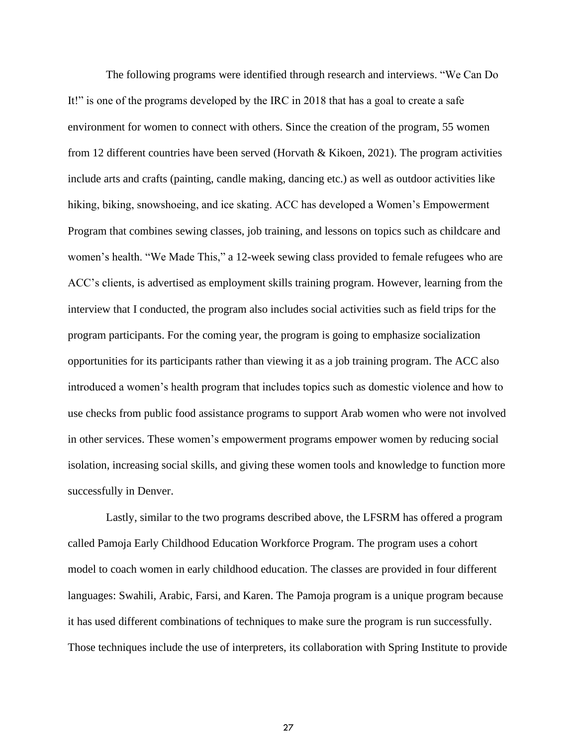The following programs were identified through research and interviews. "We Can Do It!" is one of the programs developed by the IRC in 2018 that has a goal to create a safe environment for women to connect with others. Since the creation of the program, 55 women from 12 different countries have been served (Horvath & Kikoen, 2021). The program activities include arts and crafts (painting, candle making, dancing etc.) as well as outdoor activities like hiking, biking, snowshoeing, and ice skating. ACC has developed a Women's Empowerment Program that combines sewing classes, job training, and lessons on topics such as childcare and women's health. "We Made This," a 12-week sewing class provided to female refugees who are ACC's clients, is advertised as employment skills training program. However, learning from the interview that I conducted, the program also includes social activities such as field trips for the program participants. For the coming year, the program is going to emphasize socialization opportunities for its participants rather than viewing it as a job training program. The ACC also introduced a women's health program that includes topics such as domestic violence and how to use checks from public food assistance programs to support Arab women who were not involved in other services. These women's empowerment programs empower women by reducing social isolation, increasing social skills, and giving these women tools and knowledge to function more successfully in Denver.

Lastly, similar to the two programs described above, the LFSRM has offered a program called Pamoja Early Childhood Education Workforce Program. The program uses a cohort model to coach women in early childhood education. The classes are provided in four different languages: Swahili, Arabic, Farsi, and Karen. The Pamoja program is a unique program because it has used different combinations of techniques to make sure the program is run successfully. Those techniques include the use of interpreters, its collaboration with Spring Institute to provide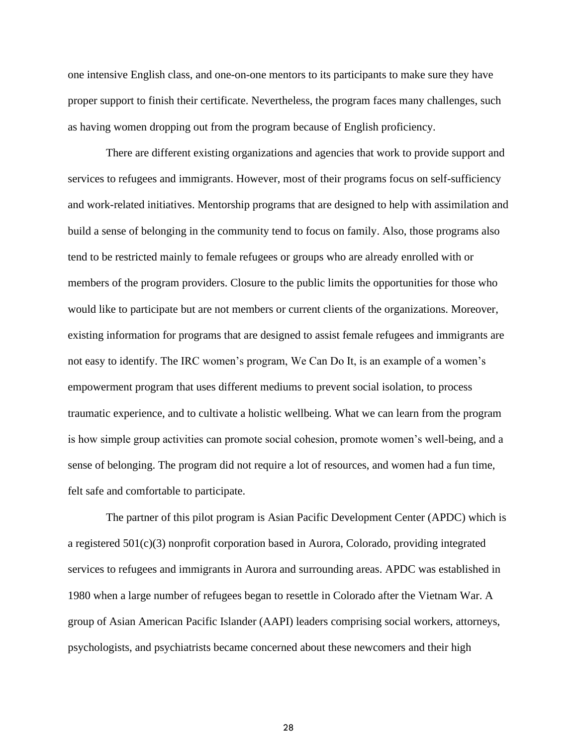one intensive English class, and one-on-one mentors to its participants to make sure they have proper support to finish their certificate. Nevertheless, the program faces many challenges, such as having women dropping out from the program because of English proficiency.

There are different existing organizations and agencies that work to provide support and services to refugees and immigrants. However, most of their programs focus on self-sufficiency and work-related initiatives. Mentorship programs that are designed to help with assimilation and build a sense of belonging in the community tend to focus on family. Also, those programs also tend to be restricted mainly to female refugees or groups who are already enrolled with or members of the program providers. Closure to the public limits the opportunities for those who would like to participate but are not members or current clients of the organizations. Moreover, existing information for programs that are designed to assist female refugees and immigrants are not easy to identify. The IRC women's program, We Can Do It, is an example of a women's empowerment program that uses different mediums to prevent social isolation, to process traumatic experience, and to cultivate a holistic wellbeing. What we can learn from the program is how simple group activities can promote social cohesion, promote women's well-being, and a sense of belonging. The program did not require a lot of resources, and women had a fun time, felt safe and comfortable to participate.

The partner of this pilot program is Asian Pacific Development Center (APDC) which is a registered  $501(c)(3)$  nonprofit corporation based in Aurora, Colorado, providing integrated services to refugees and immigrants in Aurora and surrounding areas. APDC was established in 1980 when a large number of refugees began to resettle in Colorado after the Vietnam War. A group of Asian American Pacific Islander (AAPI) leaders comprising social workers, attorneys, psychologists, and psychiatrists became concerned about these newcomers and their high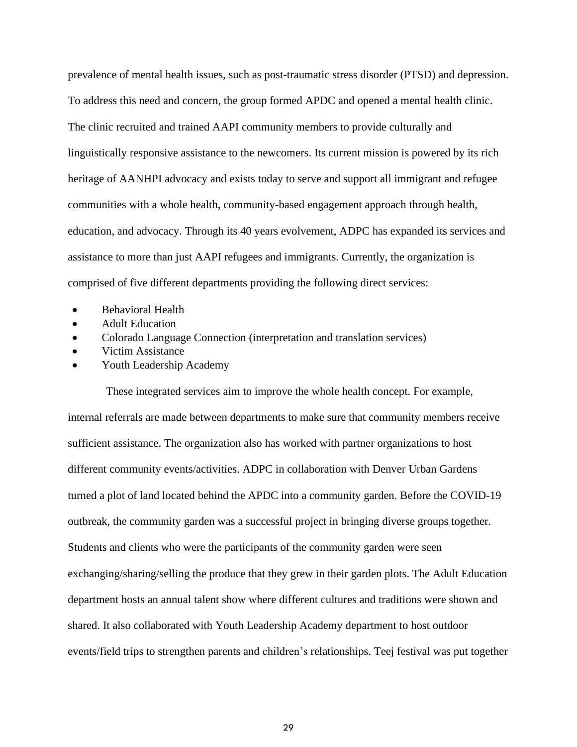prevalence of mental health issues, such as post-traumatic stress disorder (PTSD) and depression. To address this need and concern, the group formed APDC and opened a mental health clinic. The clinic recruited and trained AAPI community members to provide culturally and linguistically responsive assistance to the newcomers. Its current mission is powered by its rich heritage of AANHPI advocacy and exists today to serve and support all immigrant and refugee communities with a whole health, community-based engagement approach through health, education, and advocacy. Through its 40 years evolvement, ADPC has expanded its services and assistance to more than just AAPI refugees and immigrants. Currently, the organization is comprised of five different departments providing the following direct services:

- Behavioral Health
- Adult Education
- Colorado Language Connection (interpretation and translation services)
- Victim Assistance
- Youth Leadership Academy

These integrated services aim to improve the whole health concept. For example, internal referrals are made between departments to make sure that community members receive sufficient assistance. The organization also has worked with partner organizations to host different community events/activities. ADPC in collaboration with Denver Urban Gardens turned a plot of land located behind the APDC into a community garden. Before the COVID-19 outbreak, the community garden was a successful project in bringing diverse groups together. Students and clients who were the participants of the community garden were seen exchanging/sharing/selling the produce that they grew in their garden plots. The Adult Education department hosts an annual talent show where different cultures and traditions were shown and shared. It also collaborated with Youth Leadership Academy department to host outdoor events/field trips to strengthen parents and children's relationships. Teej festival was put together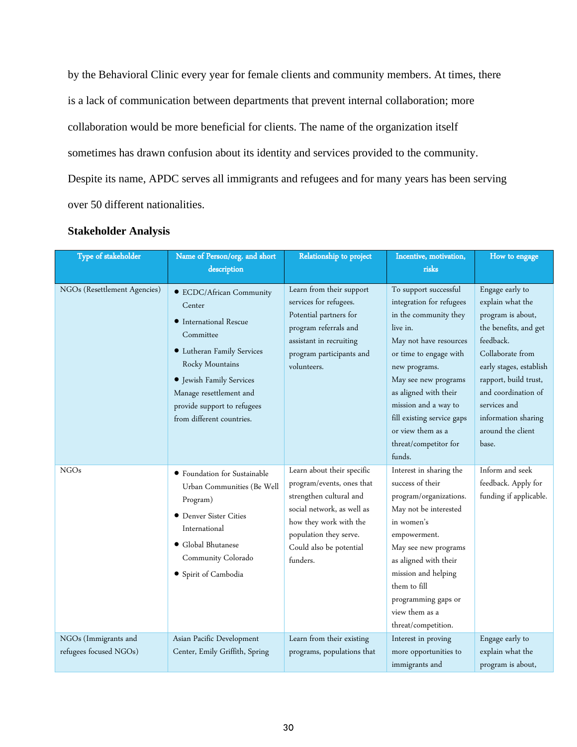by the Behavioral Clinic every year for female clients and community members. At times, there is a lack of communication between departments that prevent internal collaboration; more collaboration would be more beneficial for clients. The name of the organization itself sometimes has drawn confusion about its identity and services provided to the community. Despite its name, APDC serves all immigrants and refugees and for many years has been serving over 50 different nationalities.

| Type of stakeholder                            | Name of Person/org. and short<br>description                                                                                                                                                                                                  | Relationship to project                                                                                                                                                                                     | Incentive, motivation,<br>risks                                                                                                                                                                                                                                                                                            | How to engage                                                                                                                                                                                                                                                      |
|------------------------------------------------|-----------------------------------------------------------------------------------------------------------------------------------------------------------------------------------------------------------------------------------------------|-------------------------------------------------------------------------------------------------------------------------------------------------------------------------------------------------------------|----------------------------------------------------------------------------------------------------------------------------------------------------------------------------------------------------------------------------------------------------------------------------------------------------------------------------|--------------------------------------------------------------------------------------------------------------------------------------------------------------------------------------------------------------------------------------------------------------------|
| NGOs (Resettlement Agencies)                   | • ECDC/African Community<br>Center<br>• International Rescue<br>Committee<br>• Lutheran Family Services<br>Rocky Mountains<br>· Jewish Family Services<br>Manage resettlement and<br>provide support to refugees<br>from different countries. | Learn from their support<br>services for refugees.<br>Potential partners for<br>program referrals and<br>assistant in recruiting<br>program participants and<br>volunteers.                                 | To support successful<br>integration for refugees<br>in the community they<br>live in.<br>May not have resources<br>or time to engage with<br>new programs.<br>May see new programs<br>as aligned with their<br>mission and a way to<br>fill existing service gaps<br>or view them as a<br>threat/competitor for<br>funds. | Engage early to<br>explain what the<br>program is about,<br>the benefits, and get<br>feedback.<br>Collaborate from<br>early stages, establish<br>rapport, build trust,<br>and coordination of<br>services and<br>information sharing<br>around the client<br>base. |
| <b>NGOs</b>                                    | • Foundation for Sustainable<br>Urban Communities (Be Well<br>Program)<br>• Denver Sister Cities<br>International<br>• Global Bhutanese<br>Community Colorado<br>· Spirit of Cambodia                                                         | Learn about their specific<br>program/events, ones that<br>strengthen cultural and<br>social network, as well as<br>how they work with the<br>population they serve.<br>Could also be potential<br>funders. | Interest in sharing the<br>success of their<br>program/organizations.<br>May not be interested<br>in women's<br>empowerment.<br>May see new programs<br>as aligned with their<br>mission and helping<br>them to fill<br>programming gaps or<br>view them as a<br>threat/competition.                                       | Inform and seek<br>feedback. Apply for<br>funding if applicable.                                                                                                                                                                                                   |
| NGOs (Immigrants and<br>refugees focused NGOs) | Asian Pacific Development<br>Center, Emily Griffith, Spring                                                                                                                                                                                   | Learn from their existing<br>programs, populations that                                                                                                                                                     | Interest in proving<br>more opportunities to<br>immigrants and                                                                                                                                                                                                                                                             | Engage early to<br>explain what the<br>program is about,                                                                                                                                                                                                           |

# **Stakeholder Analysis**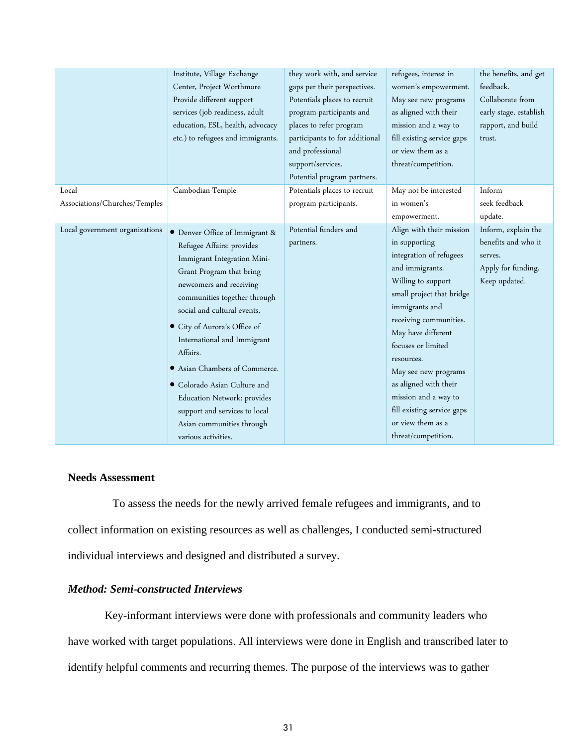|                                | Institute, Village Exchange<br>Center, Project Worthmore<br>Provide different support<br>services (job readiness, adult<br>education, ESL, health, advocacy<br>etc.) to refugees and immigrants. | they work with, and service<br>gaps per their perspectives.<br>Potentials places to recruit<br>program participants and<br>places to refer program<br>participants to for additional<br>and professional<br>support/services.<br>Potential program partners. | refugees, interest in<br>women's empowerment.<br>May see new programs<br>as aligned with their<br>mission and a way to<br>fill existing service gaps<br>or view them as a<br>threat/competition. | the benefits, and get<br>feedback.<br>Collaborate from<br>early stage, establish<br>rapport, and build<br>trust. |
|--------------------------------|--------------------------------------------------------------------------------------------------------------------------------------------------------------------------------------------------|--------------------------------------------------------------------------------------------------------------------------------------------------------------------------------------------------------------------------------------------------------------|--------------------------------------------------------------------------------------------------------------------------------------------------------------------------------------------------|------------------------------------------------------------------------------------------------------------------|
| Local                          | Cambodian Temple                                                                                                                                                                                 | Potentials places to recruit                                                                                                                                                                                                                                 | May not be interested                                                                                                                                                                            | Inform                                                                                                           |
| Associations/Churches/Temples  |                                                                                                                                                                                                  | program participants.                                                                                                                                                                                                                                        | in women's                                                                                                                                                                                       | seek feedback                                                                                                    |
|                                |                                                                                                                                                                                                  |                                                                                                                                                                                                                                                              | empowerment.                                                                                                                                                                                     | update.                                                                                                          |
| Local government organizations | • Denver Office of Immigrant &                                                                                                                                                                   | Potential funders and                                                                                                                                                                                                                                        | Align with their mission                                                                                                                                                                         | Inform, explain the                                                                                              |
|                                | Refugee Affairs: provides                                                                                                                                                                        | partners.                                                                                                                                                                                                                                                    | in supporting                                                                                                                                                                                    | benefits and who it                                                                                              |
|                                | Immigrant Integration Mini-                                                                                                                                                                      |                                                                                                                                                                                                                                                              | integration of refugees                                                                                                                                                                          | serves.                                                                                                          |
|                                | Grant Program that bring                                                                                                                                                                         |                                                                                                                                                                                                                                                              | and immigrants.                                                                                                                                                                                  | Apply for funding.                                                                                               |
|                                | newcomers and receiving                                                                                                                                                                          |                                                                                                                                                                                                                                                              | Willing to support                                                                                                                                                                               | Keep updated.                                                                                                    |
|                                | communities together through                                                                                                                                                                     |                                                                                                                                                                                                                                                              | small project that bridge                                                                                                                                                                        |                                                                                                                  |
|                                | social and cultural events.                                                                                                                                                                      |                                                                                                                                                                                                                                                              | immigrants and                                                                                                                                                                                   |                                                                                                                  |
|                                | City of Aurora's Office of                                                                                                                                                                       |                                                                                                                                                                                                                                                              | receiving communities.                                                                                                                                                                           |                                                                                                                  |
|                                | International and Immigrant                                                                                                                                                                      |                                                                                                                                                                                                                                                              | May have different                                                                                                                                                                               |                                                                                                                  |
|                                | Affairs.                                                                                                                                                                                         |                                                                                                                                                                                                                                                              | focuses or limited                                                                                                                                                                               |                                                                                                                  |
|                                |                                                                                                                                                                                                  |                                                                                                                                                                                                                                                              | resources.                                                                                                                                                                                       |                                                                                                                  |
|                                | Asian Chambers of Commerce.                                                                                                                                                                      |                                                                                                                                                                                                                                                              | May see new programs                                                                                                                                                                             |                                                                                                                  |
|                                | • Colorado Asian Culture and                                                                                                                                                                     |                                                                                                                                                                                                                                                              | as aligned with their                                                                                                                                                                            |                                                                                                                  |
|                                | Education Network: provides                                                                                                                                                                      |                                                                                                                                                                                                                                                              | mission and a way to                                                                                                                                                                             |                                                                                                                  |
|                                | support and services to local                                                                                                                                                                    |                                                                                                                                                                                                                                                              | fill existing service gaps                                                                                                                                                                       |                                                                                                                  |
|                                | Asian communities through                                                                                                                                                                        |                                                                                                                                                                                                                                                              | or view them as a                                                                                                                                                                                |                                                                                                                  |
|                                | various activities.                                                                                                                                                                              |                                                                                                                                                                                                                                                              | threat/competition.                                                                                                                                                                              |                                                                                                                  |

# **Needs Assessment**

 To assess the needs for the newly arrived female refugees and immigrants, and to collect information on existing resources as well as challenges, I conducted semi-structured individual interviews and designed and distributed a survey.

## *Method: Semi-constructed Interviews*

Key-informant interviews were done with professionals and community leaders who have worked with target populations. All interviews were done in English and transcribed later to identify helpful comments and recurring themes. The purpose of the interviews was to gather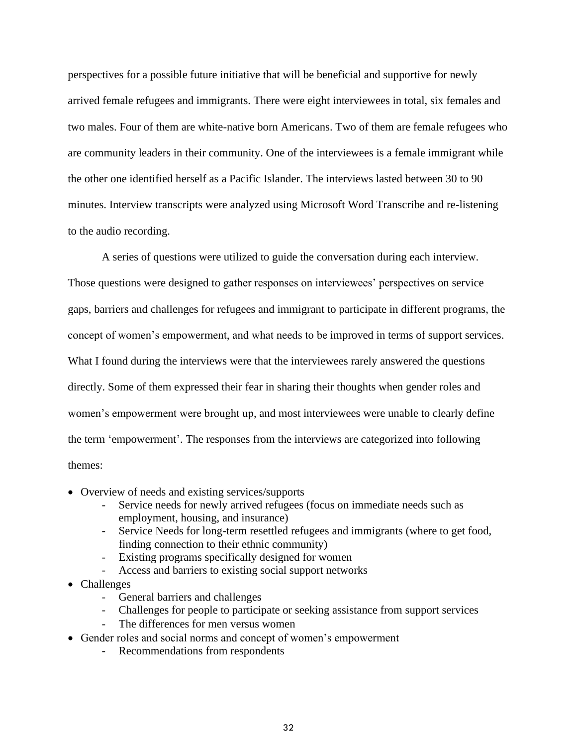perspectives for a possible future initiative that will be beneficial and supportive for newly arrived female refugees and immigrants. There were eight interviewees in total, six females and two males. Four of them are white-native born Americans. Two of them are female refugees who are community leaders in their community. One of the interviewees is a female immigrant while the other one identified herself as a Pacific Islander. The interviews lasted between 30 to 90 minutes. Interview transcripts were analyzed using Microsoft Word Transcribe and re-listening to the audio recording.

A series of questions were utilized to guide the conversation during each interview. Those questions were designed to gather responses on interviewees' perspectives on service gaps, barriers and challenges for refugees and immigrant to participate in different programs, the concept of women's empowerment, and what needs to be improved in terms of support services. What I found during the interviews were that the interviewees rarely answered the questions directly. Some of them expressed their fear in sharing their thoughts when gender roles and women's empowerment were brought up, and most interviewees were unable to clearly define the term 'empowerment'. The responses from the interviews are categorized into following themes:

- Overview of needs and existing services/supports
	- Service needs for newly arrived refugees (focus on immediate needs such as employment, housing, and insurance)
	- Service Needs for long-term resettled refugees and immigrants (where to get food, finding connection to their ethnic community)
	- Existing programs specifically designed for women
	- Access and barriers to existing social support networks
- Challenges
	- General barriers and challenges
	- Challenges for people to participate or seeking assistance from support services
	- The differences for men versus women
- Gender roles and social norms and concept of women's empowerment
	- Recommendations from respondents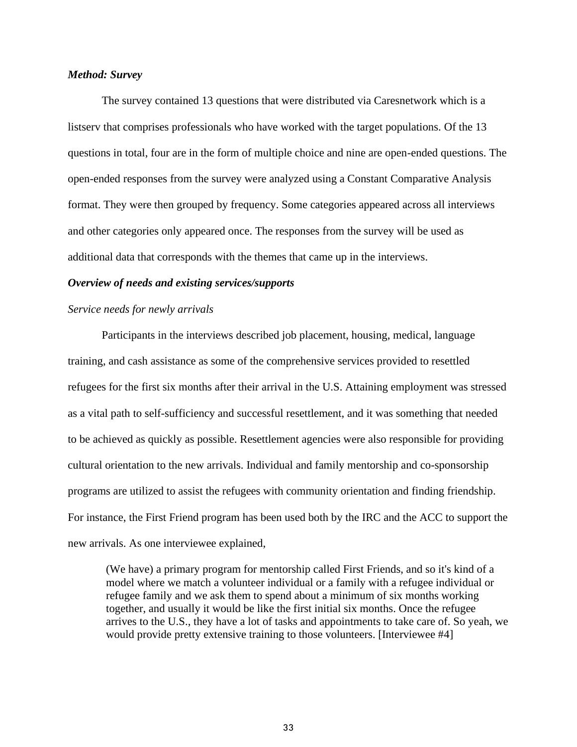#### *Method: Survey*

The survey contained 13 questions that were distributed via Caresnetwork which is a listserv that comprises professionals who have worked with the target populations. Of the 13 questions in total, four are in the form of multiple choice and nine are open-ended questions. The open-ended responses from the survey were analyzed using a Constant Comparative Analysis format. They were then grouped by frequency. Some categories appeared across all interviews and other categories only appeared once. The responses from the survey will be used as additional data that corresponds with the themes that came up in the interviews.

#### *Overview of needs and existing services/supports*

#### *Service needs for newly arrivals*

Participants in the interviews described job placement, housing, medical, language training, and cash assistance as some of the comprehensive services provided to resettled refugees for the first six months after their arrival in the U.S. Attaining employment was stressed as a vital path to self-sufficiency and successful resettlement, and it was something that needed to be achieved as quickly as possible. Resettlement agencies were also responsible for providing cultural orientation to the new arrivals. Individual and family mentorship and co-sponsorship programs are utilized to assist the refugees with community orientation and finding friendship. For instance, the First Friend program has been used both by the IRC and the ACC to support the new arrivals. As one interviewee explained,

(We have) a primary program for mentorship called First Friends, and so it's kind of a model where we match a volunteer individual or a family with a refugee individual or refugee family and we ask them to spend about a minimum of six months working together, and usually it would be like the first initial six months. Once the refugee arrives to the U.S., they have a lot of tasks and appointments to take care of. So yeah, we would provide pretty extensive training to those volunteers. [Interviewee #4]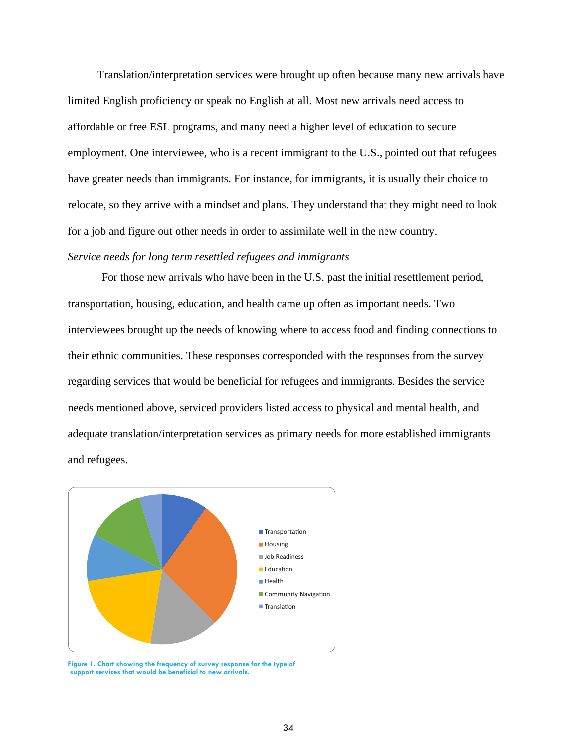Translation/interpretation services were brought up often because many new arrivals have limited English proficiency or speak no English at all. Most new arrivals need access to affordable or free ESL programs, and many need a higher level of education to secure employment. One interviewee, who is a recent immigrant to the U.S., pointed out that refugees have greater needs than immigrants. For instance, for immigrants, it is usually their choice to relocate, so they arrive with a mindset and plans. They understand that they might need to look for a job and figure out other needs in order to assimilate well in the new country.

# *Service needs for long term resettled refugees and immigrants*

For those new arrivals who have been in the U.S. past the initial resettlement period, transportation, housing, education, and health came up often as important needs. Two interviewees brought up the needs of knowing where to access food and finding connections to their ethnic communities. These responses corresponded with the responses from the survey regarding services that would be beneficial for refugees and immigrants. Besides the service needs mentioned above, serviced providers listed access to physical and mental health, and adequate translation/interpretation services as primary needs for more established immigrants and refugees.



**Figure 1. Chart showing the frequency of survey response for the type of support services that would be beneficial to new arrivals.**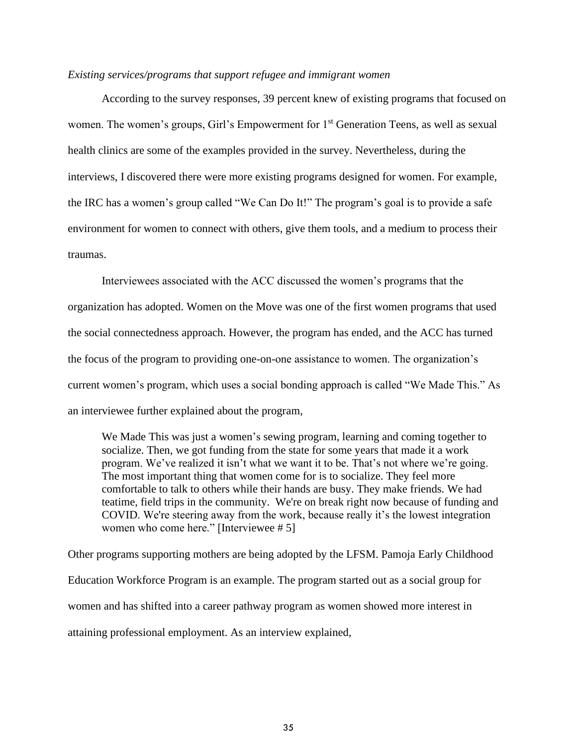#### *Existing services/programs that support refugee and immigrant women*

According to the survey responses, 39 percent knew of existing programs that focused on women. The women's groups, Girl's Empowerment for 1<sup>st</sup> Generation Teens, as well as sexual health clinics are some of the examples provided in the survey. Nevertheless, during the interviews, I discovered there were more existing programs designed for women. For example, the IRC has a women's group called "We Can Do It!" The program's goal is to provide a safe environment for women to connect with others, give them tools, and a medium to process their traumas.

Interviewees associated with the ACC discussed the women's programs that the organization has adopted. Women on the Move was one of the first women programs that used the social connectedness approach. However, the program has ended, and the ACC has turned the focus of the program to providing one-on-one assistance to women. The organization's current women's program, which uses a social bonding approach is called "We Made This." As an interviewee further explained about the program,

We Made This was just a women's sewing program, learning and coming together to socialize. Then, we got funding from the state for some years that made it a work program. We've realized it isn't what we want it to be. That's not where we're going. The most important thing that women come for is to socialize. They feel more comfortable to talk to others while their hands are busy. They make friends. We had teatime, field trips in the community. We're on break right now because of funding and COVID. We're steering away from the work, because really it's the lowest integration women who come here." [Interviewee # 5]

Other programs supporting mothers are being adopted by the LFSM. Pamoja Early Childhood Education Workforce Program is an example. The program started out as a social group for women and has shifted into a career pathway program as women showed more interest in attaining professional employment. As an interview explained,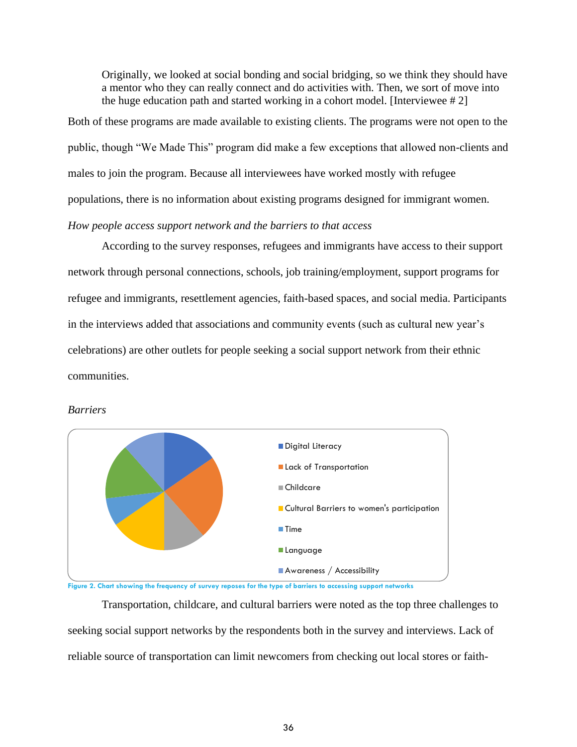Originally, we looked at social bonding and social bridging, so we think they should have a mentor who they can really connect and do activities with. Then, we sort of move into the huge education path and started working in a cohort model. [Interviewee # 2]

Both of these programs are made available to existing clients. The programs were not open to the public, though "We Made This" program did make a few exceptions that allowed non-clients and males to join the program. Because all interviewees have worked mostly with refugee populations, there is no information about existing programs designed for immigrant women. *How people access support network and the barriers to that access* 

According to the survey responses, refugees and immigrants have access to their support network through personal connections, schools, job training/employment, support programs for refugee and immigrants, resettlement agencies, faith-based spaces, and social media. Participants in the interviews added that associations and community events (such as cultural new year's celebrations) are other outlets for people seeking a social support network from their ethnic communities.



#### *Barriers*

**Figure 2. Chart showing the frequency of survey reposes for the type of barriers to accessing support networks**

Transportation, childcare, and cultural barriers were noted as the top three challenges to seeking social support networks by the respondents both in the survey and interviews. Lack of reliable source of transportation can limit newcomers from checking out local stores or faith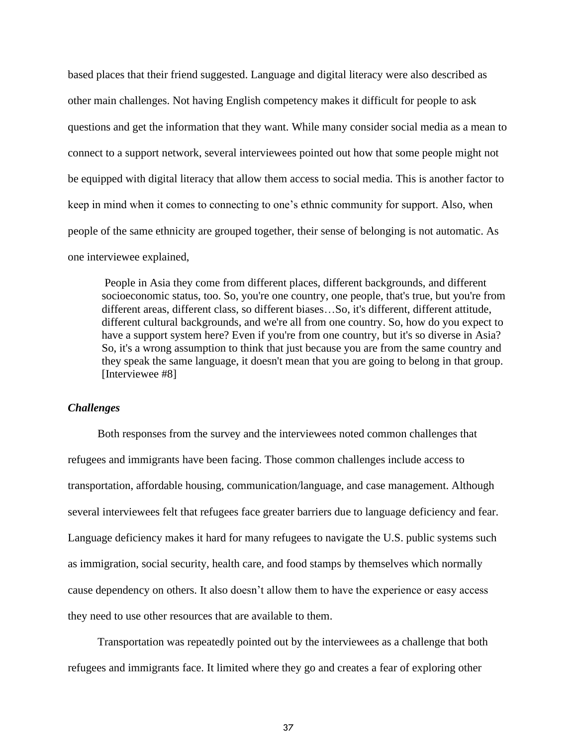based places that their friend suggested. Language and digital literacy were also described as other main challenges. Not having English competency makes it difficult for people to ask questions and get the information that they want. While many consider social media as a mean to connect to a support network, several interviewees pointed out how that some people might not be equipped with digital literacy that allow them access to social media. This is another factor to keep in mind when it comes to connecting to one's ethnic community for support. Also, when people of the same ethnicity are grouped together, their sense of belonging is not automatic. As one interviewee explained,

People in Asia they come from different places, different backgrounds, and different socioeconomic status, too. So, you're one country, one people, that's true, but you're from different areas, different class, so different biases…So, it's different, different attitude, different cultural backgrounds, and we're all from one country. So, how do you expect to have a support system here? Even if you're from one country, but it's so diverse in Asia? So, it's a wrong assumption to think that just because you are from the same country and they speak the same language, it doesn't mean that you are going to belong in that group. [Interviewee #8]

#### *Challenges*

Both responses from the survey and the interviewees noted common challenges that refugees and immigrants have been facing. Those common challenges include access to transportation, affordable housing, communication/language, and case management. Although several interviewees felt that refugees face greater barriers due to language deficiency and fear. Language deficiency makes it hard for many refugees to navigate the U.S. public systems such as immigration, social security, health care, and food stamps by themselves which normally cause dependency on others. It also doesn't allow them to have the experience or easy access they need to use other resources that are available to them.

Transportation was repeatedly pointed out by the interviewees as a challenge that both refugees and immigrants face. It limited where they go and creates a fear of exploring other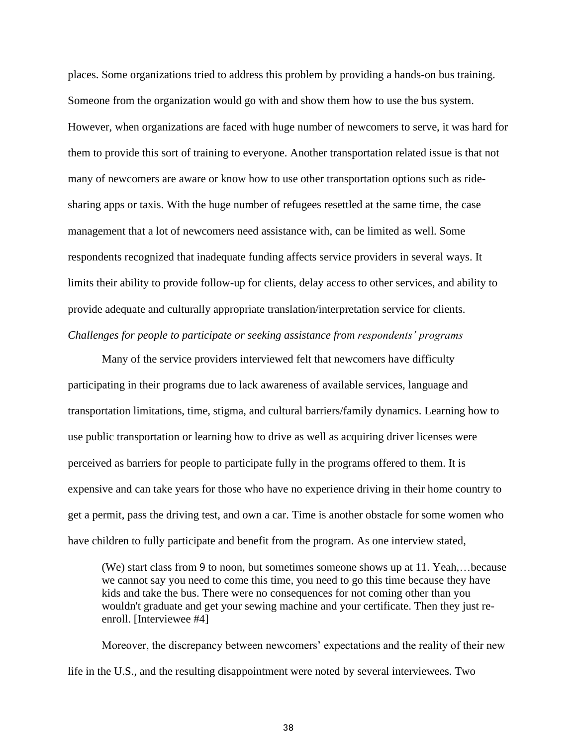places. Some organizations tried to address this problem by providing a hands-on bus training. Someone from the organization would go with and show them how to use the bus system. However, when organizations are faced with huge number of newcomers to serve, it was hard for them to provide this sort of training to everyone. Another transportation related issue is that not many of newcomers are aware or know how to use other transportation options such as ridesharing apps or taxis. With the huge number of refugees resettled at the same time, the case management that a lot of newcomers need assistance with, can be limited as well. Some respondents recognized that inadequate funding affects service providers in several ways. It limits their ability to provide follow-up for clients, delay access to other services, and ability to provide adequate and culturally appropriate translation/interpretation service for clients. *Challenges for people to participate or seeking assistance from respondents' programs* 

Many of the service providers interviewed felt that newcomers have difficulty participating in their programs due to lack awareness of available services, language and transportation limitations, time, stigma, and cultural barriers/family dynamics. Learning how to use public transportation or learning how to drive as well as acquiring driver licenses were perceived as barriers for people to participate fully in the programs offered to them. It is expensive and can take years for those who have no experience driving in their home country to get a permit, pass the driving test, and own a car. Time is another obstacle for some women who have children to fully participate and benefit from the program. As one interview stated,

(We) start class from 9 to noon, but sometimes someone shows up at 11. Yeah,…because we cannot say you need to come this time, you need to go this time because they have kids and take the bus. There were no consequences for not coming other than you wouldn't graduate and get your sewing machine and your certificate. Then they just reenroll. [Interviewee #4]

Moreover, the discrepancy between newcomers' expectations and the reality of their new life in the U.S., and the resulting disappointment were noted by several interviewees. Two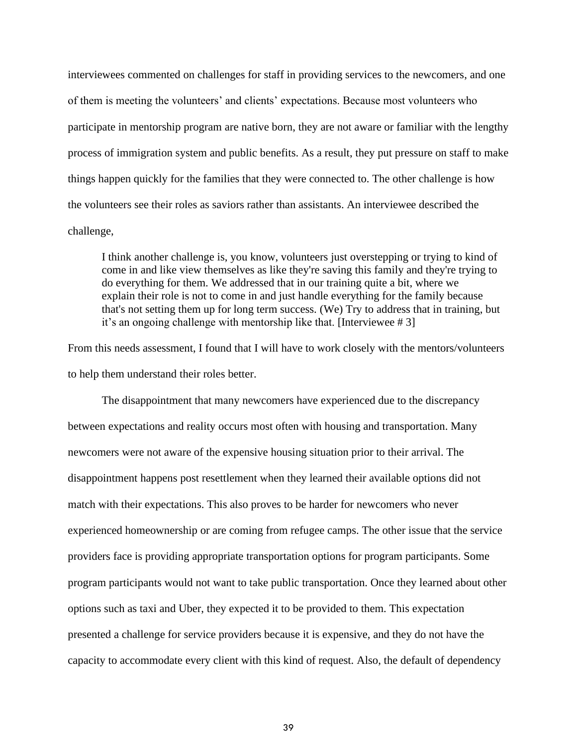interviewees commented on challenges for staff in providing services to the newcomers, and one of them is meeting the volunteers' and clients' expectations. Because most volunteers who participate in mentorship program are native born, they are not aware or familiar with the lengthy process of immigration system and public benefits. As a result, they put pressure on staff to make things happen quickly for the families that they were connected to. The other challenge is how the volunteers see their roles as saviors rather than assistants. An interviewee described the challenge,

I think another challenge is, you know, volunteers just overstepping or trying to kind of come in and like view themselves as like they're saving this family and they're trying to do everything for them. We addressed that in our training quite a bit, where we explain their role is not to come in and just handle everything for the family because that's not setting them up for long term success. (We) Try to address that in training, but it's an ongoing challenge with mentorship like that. [Interviewee # 3]

From this needs assessment, I found that I will have to work closely with the mentors/volunteers to help them understand their roles better.

The disappointment that many newcomers have experienced due to the discrepancy between expectations and reality occurs most often with housing and transportation. Many newcomers were not aware of the expensive housing situation prior to their arrival. The disappointment happens post resettlement when they learned their available options did not match with their expectations. This also proves to be harder for newcomers who never experienced homeownership or are coming from refugee camps. The other issue that the service providers face is providing appropriate transportation options for program participants. Some program participants would not want to take public transportation. Once they learned about other options such as taxi and Uber, they expected it to be provided to them. This expectation presented a challenge for service providers because it is expensive, and they do not have the capacity to accommodate every client with this kind of request. Also, the default of dependency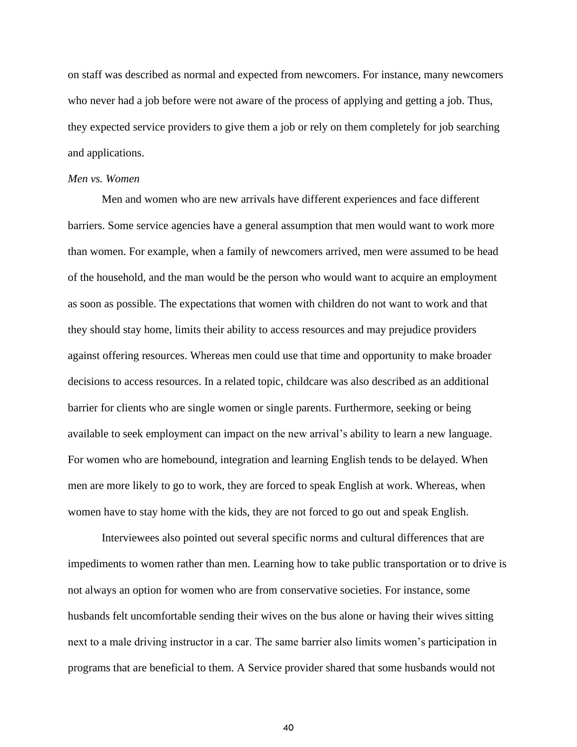on staff was described as normal and expected from newcomers. For instance, many newcomers who never had a job before were not aware of the process of applying and getting a job. Thus, they expected service providers to give them a job or rely on them completely for job searching and applications.

#### *Men vs. Women*

Men and women who are new arrivals have different experiences and face different barriers. Some service agencies have a general assumption that men would want to work more than women. For example, when a family of newcomers arrived, men were assumed to be head of the household, and the man would be the person who would want to acquire an employment as soon as possible. The expectations that women with children do not want to work and that they should stay home, limits their ability to access resources and may prejudice providers against offering resources. Whereas men could use that time and opportunity to make broader decisions to access resources. In a related topic, childcare was also described as an additional barrier for clients who are single women or single parents. Furthermore, seeking or being available to seek employment can impact on the new arrival's ability to learn a new language. For women who are homebound, integration and learning English tends to be delayed. When men are more likely to go to work, they are forced to speak English at work. Whereas, when women have to stay home with the kids, they are not forced to go out and speak English.

Interviewees also pointed out several specific norms and cultural differences that are impediments to women rather than men. Learning how to take public transportation or to drive is not always an option for women who are from conservative societies. For instance, some husbands felt uncomfortable sending their wives on the bus alone or having their wives sitting next to a male driving instructor in a car. The same barrier also limits women's participation in programs that are beneficial to them. A Service provider shared that some husbands would not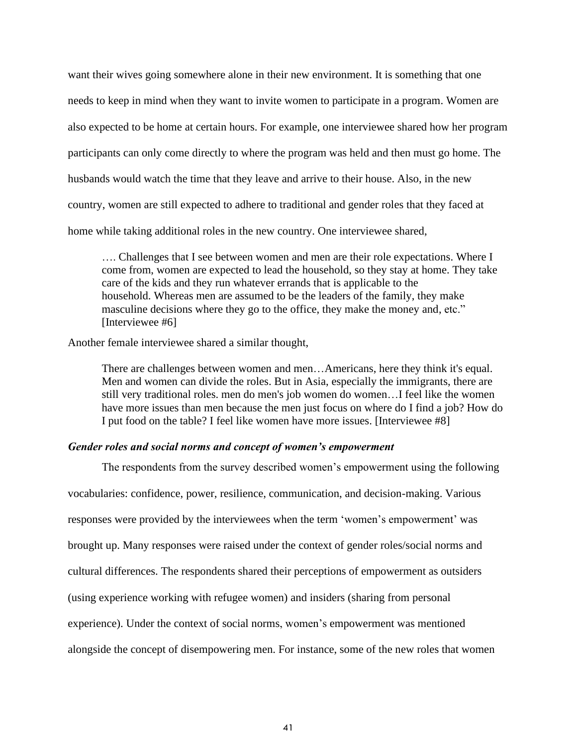want their wives going somewhere alone in their new environment. It is something that one needs to keep in mind when they want to invite women to participate in a program. Women are also expected to be home at certain hours. For example, one interviewee shared how her program participants can only come directly to where the program was held and then must go home. The husbands would watch the time that they leave and arrive to their house. Also, in the new country, women are still expected to adhere to traditional and gender roles that they faced at home while taking additional roles in the new country. One interviewee shared,

…. Challenges that I see between women and men are their role expectations. Where I come from, women are expected to lead the household, so they stay at home. They take care of the kids and they run whatever errands that is applicable to the household. Whereas men are assumed to be the leaders of the family, they make masculine decisions where they go to the office, they make the money and, etc." [Interviewee #6]

Another female interviewee shared a similar thought,

There are challenges between women and men…Americans, here they think it's equal. Men and women can divide the roles. But in Asia, especially the immigrants, there are still very traditional roles. men do men's job women do women…I feel like the women have more issues than men because the men just focus on where do I find a job? How do I put food on the table? I feel like women have more issues. [Interviewee #8]

#### *Gender roles and social norms and concept of women's empowerment*

The respondents from the survey described women's empowerment using the following vocabularies: confidence, power, resilience, communication, and decision-making. Various responses were provided by the interviewees when the term 'women's empowerment' was brought up. Many responses were raised under the context of gender roles/social norms and cultural differences. The respondents shared their perceptions of empowerment as outsiders (using experience working with refugee women) and insiders (sharing from personal experience). Under the context of social norms, women's empowerment was mentioned alongside the concept of disempowering men. For instance, some of the new roles that women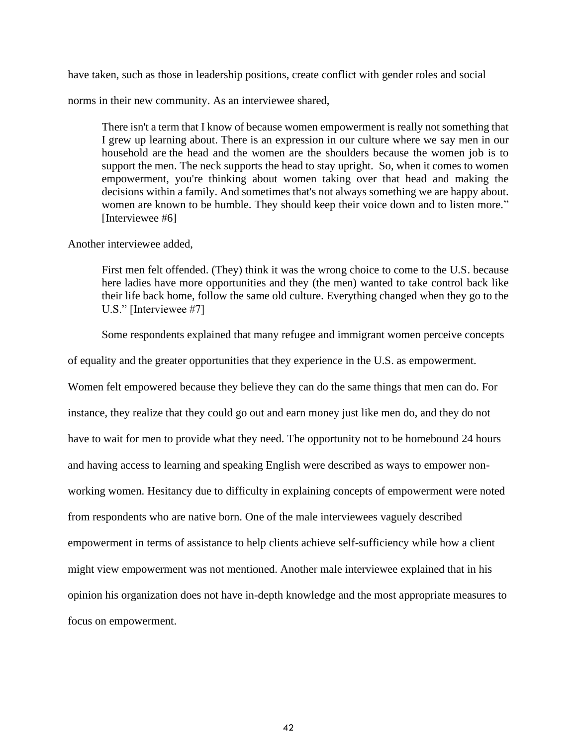have taken, such as those in leadership positions, create conflict with gender roles and social

norms in their new community. As an interviewee shared,

There isn't a term that I know of because women empowerment is really not something that I grew up learning about. There is an expression in our culture where we say men in our household are the head and the women are the shoulders because the women job is to support the men. The neck supports the head to stay upright. So, when it comes to women empowerment, you're thinking about women taking over that head and making the decisions within a family. And sometimes that's not always something we are happy about. women are known to be humble. They should keep their voice down and to listen more." [Interviewee #6]

Another interviewee added,

First men felt offended. (They) think it was the wrong choice to come to the U.S. because here ladies have more opportunities and they (the men) wanted to take control back like their life back home, follow the same old culture. Everything changed when they go to the U.S." [Interviewee #7]

Some respondents explained that many refugee and immigrant women perceive concepts

of equality and the greater opportunities that they experience in the U.S. as empowerment.

Women felt empowered because they believe they can do the same things that men can do. For

instance, they realize that they could go out and earn money just like men do, and they do not

have to wait for men to provide what they need. The opportunity not to be homebound 24 hours

and having access to learning and speaking English were described as ways to empower non-

working women. Hesitancy due to difficulty in explaining concepts of empowerment were noted

from respondents who are native born. One of the male interviewees vaguely described

empowerment in terms of assistance to help clients achieve self-sufficiency while how a client

might view empowerment was not mentioned. Another male interviewee explained that in his

opinion his organization does not have in-depth knowledge and the most appropriate measures to

focus on empowerment.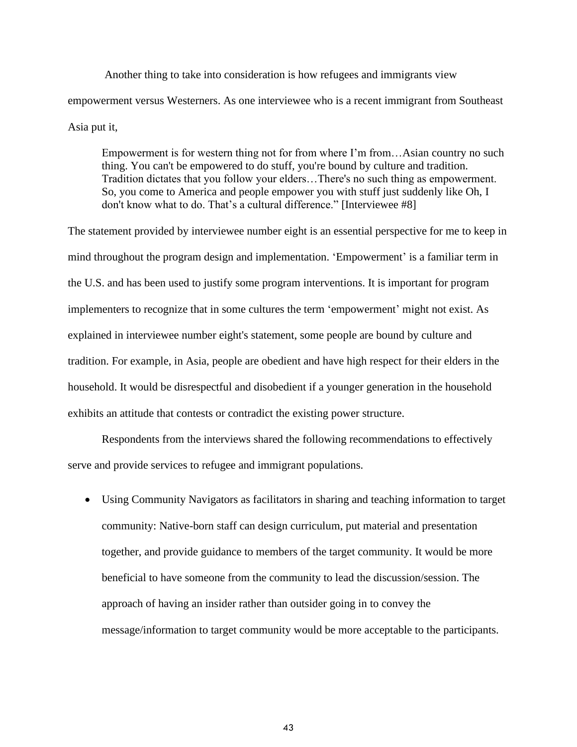Another thing to take into consideration is how refugees and immigrants view empowerment versus Westerners. As one interviewee who is a recent immigrant from Southeast Asia put it,

Empowerment is for western thing not for from where I'm from…Asian country no such thing. You can't be empowered to do stuff, you're bound by culture and tradition. Tradition dictates that you follow your elders…There's no such thing as empowerment. So, you come to America and people empower you with stuff just suddenly like Oh, I don't know what to do. That's a cultural difference." [Interviewee #8]

The statement provided by interviewee number eight is an essential perspective for me to keep in mind throughout the program design and implementation. 'Empowerment' is a familiar term in the U.S. and has been used to justify some program interventions. It is important for program implementers to recognize that in some cultures the term 'empowerment' might not exist. As explained in interviewee number eight's statement, some people are bound by culture and tradition. For example, in Asia, people are obedient and have high respect for their elders in the household. It would be disrespectful and disobedient if a younger generation in the household exhibits an attitude that contests or contradict the existing power structure.

Respondents from the interviews shared the following recommendations to effectively serve and provide services to refugee and immigrant populations.

• Using Community Navigators as facilitators in sharing and teaching information to target community: Native-born staff can design curriculum, put material and presentation together, and provide guidance to members of the target community. It would be more beneficial to have someone from the community to lead the discussion/session. The approach of having an insider rather than outsider going in to convey the message/information to target community would be more acceptable to the participants.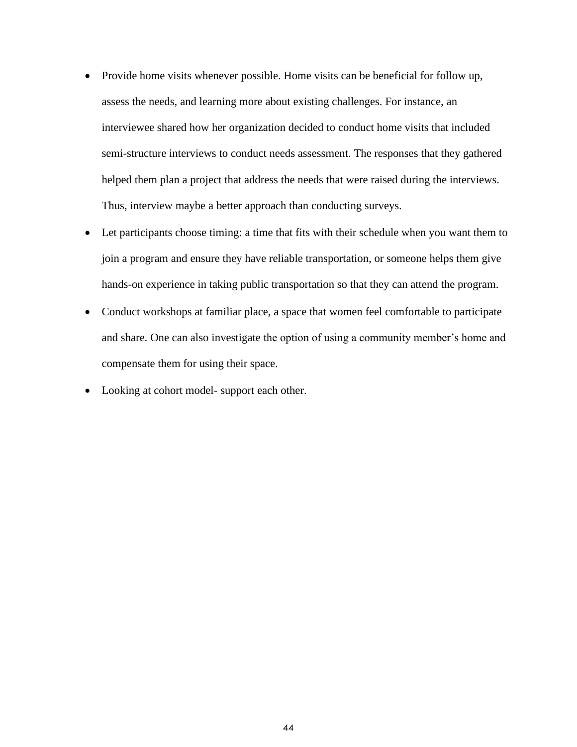- Provide home visits whenever possible. Home visits can be beneficial for follow up, assess the needs, and learning more about existing challenges. For instance, an interviewee shared how her organization decided to conduct home visits that included semi-structure interviews to conduct needs assessment. The responses that they gathered helped them plan a project that address the needs that were raised during the interviews. Thus, interview maybe a better approach than conducting surveys.
- Let participants choose timing: a time that fits with their schedule when you want them to join a program and ensure they have reliable transportation, or someone helps them give hands-on experience in taking public transportation so that they can attend the program.
- Conduct workshops at familiar place, a space that women feel comfortable to participate and share. One can also investigate the option of using a community member's home and compensate them for using their space.
- Looking at cohort model- support each other.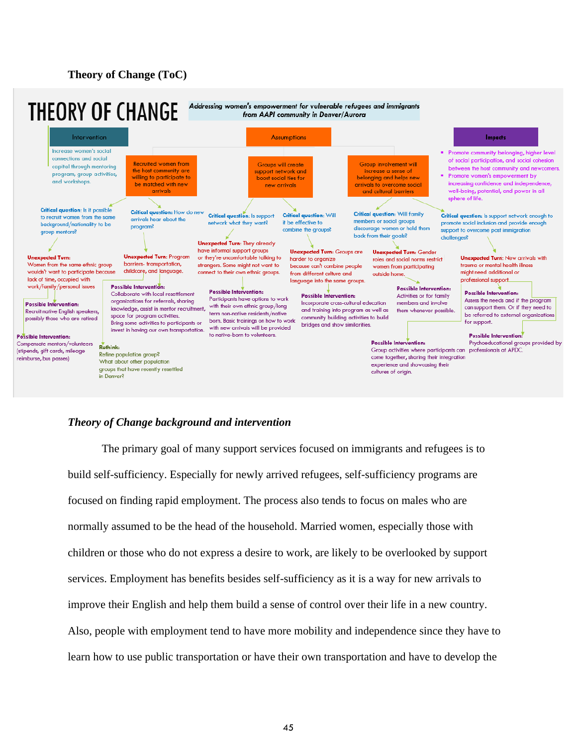## **Theory of Change (ToC)**



# *Theory of Change background and intervention*

The primary goal of many support services focused on immigrants and refugees is to build self-sufficiency. Especially for newly arrived refugees, self-sufficiency programs are focused on finding rapid employment. The process also tends to focus on males who are normally assumed to be the head of the household. Married women, especially those with children or those who do not express a desire to work, are likely to be overlooked by support services. Employment has benefits besides self-sufficiency as it is a way for new arrivals to improve their English and help them build a sense of control over their life in a new country. Also, people with employment tend to have more mobility and independence since they have to learn how to use public transportation or have their own transportation and have to develop the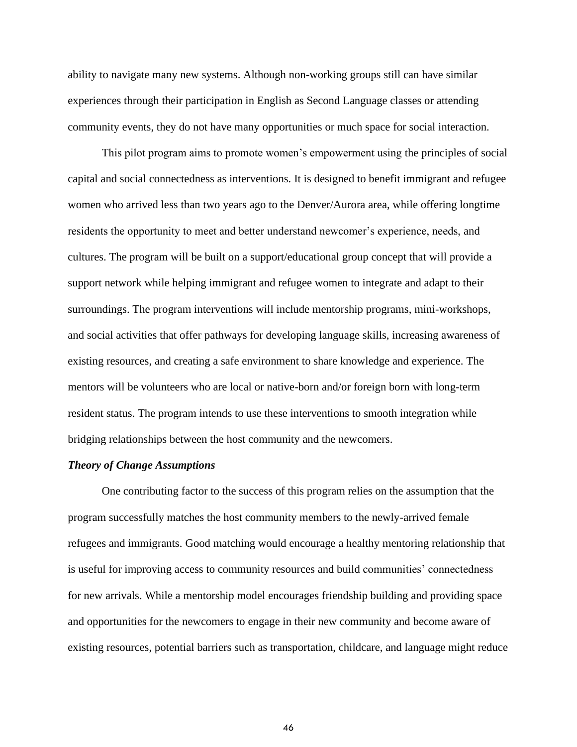ability to navigate many new systems. Although non-working groups still can have similar experiences through their participation in English as Second Language classes or attending community events, they do not have many opportunities or much space for social interaction.

This pilot program aims to promote women's empowerment using the principles of social capital and social connectedness as interventions. It is designed to benefit immigrant and refugee women who arrived less than two years ago to the Denver/Aurora area, while offering longtime residents the opportunity to meet and better understand newcomer's experience, needs, and cultures. The program will be built on a support/educational group concept that will provide a support network while helping immigrant and refugee women to integrate and adapt to their surroundings. The program interventions will include mentorship programs, mini-workshops, and social activities that offer pathways for developing language skills, increasing awareness of existing resources, and creating a safe environment to share knowledge and experience. The mentors will be volunteers who are local or native-born and/or foreign born with long-term resident status. The program intends to use these interventions to smooth integration while bridging relationships between the host community and the newcomers.

### *Theory of Change Assumptions*

One contributing factor to the success of this program relies on the assumption that the program successfully matches the host community members to the newly-arrived female refugees and immigrants. Good matching would encourage a healthy mentoring relationship that is useful for improving access to community resources and build communities' connectedness for new arrivals. While a mentorship model encourages friendship building and providing space and opportunities for the newcomers to engage in their new community and become aware of existing resources, potential barriers such as transportation, childcare, and language might reduce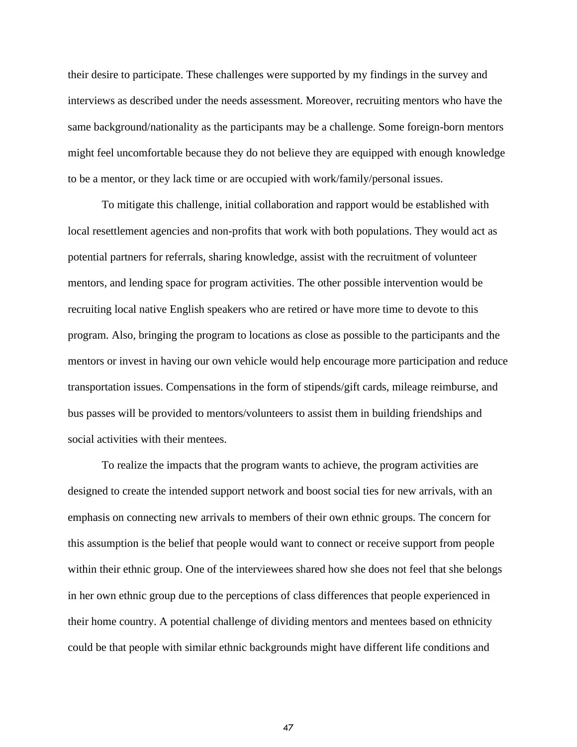their desire to participate. These challenges were supported by my findings in the survey and interviews as described under the needs assessment. Moreover, recruiting mentors who have the same background/nationality as the participants may be a challenge. Some foreign-born mentors might feel uncomfortable because they do not believe they are equipped with enough knowledge to be a mentor, or they lack time or are occupied with work/family/personal issues.

To mitigate this challenge, initial collaboration and rapport would be established with local resettlement agencies and non-profits that work with both populations. They would act as potential partners for referrals, sharing knowledge, assist with the recruitment of volunteer mentors, and lending space for program activities. The other possible intervention would be recruiting local native English speakers who are retired or have more time to devote to this program. Also, bringing the program to locations as close as possible to the participants and the mentors or invest in having our own vehicle would help encourage more participation and reduce transportation issues. Compensations in the form of stipends/gift cards, mileage reimburse, and bus passes will be provided to mentors/volunteers to assist them in building friendships and social activities with their mentees.

To realize the impacts that the program wants to achieve, the program activities are designed to create the intended support network and boost social ties for new arrivals, with an emphasis on connecting new arrivals to members of their own ethnic groups. The concern for this assumption is the belief that people would want to connect or receive support from people within their ethnic group. One of the interviewees shared how she does not feel that she belongs in her own ethnic group due to the perceptions of class differences that people experienced in their home country. A potential challenge of dividing mentors and mentees based on ethnicity could be that people with similar ethnic backgrounds might have different life conditions and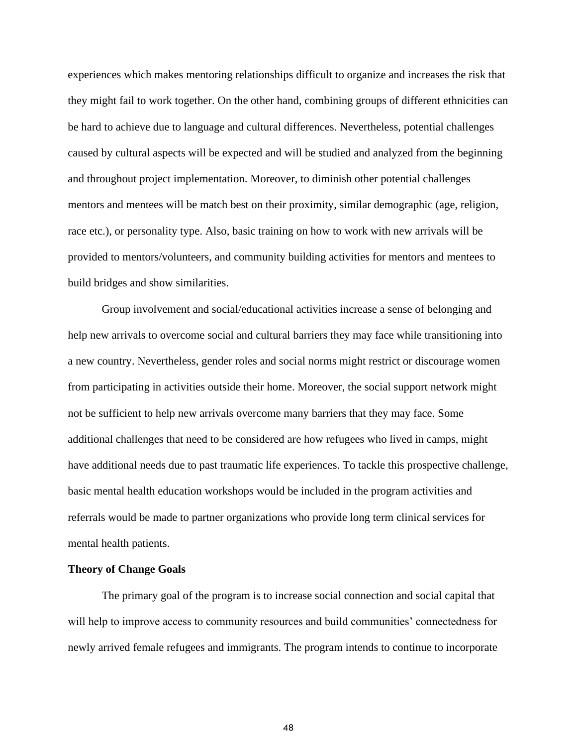experiences which makes mentoring relationships difficult to organize and increases the risk that they might fail to work together. On the other hand, combining groups of different ethnicities can be hard to achieve due to language and cultural differences. Nevertheless, potential challenges caused by cultural aspects will be expected and will be studied and analyzed from the beginning and throughout project implementation. Moreover, to diminish other potential challenges mentors and mentees will be match best on their proximity, similar demographic (age, religion, race etc.), or personality type. Also, basic training on how to work with new arrivals will be provided to mentors/volunteers, and community building activities for mentors and mentees to build bridges and show similarities.

Group involvement and social/educational activities increase a sense of belonging and help new arrivals to overcome social and cultural barriers they may face while transitioning into a new country. Nevertheless, gender roles and social norms might restrict or discourage women from participating in activities outside their home. Moreover, the social support network might not be sufficient to help new arrivals overcome many barriers that they may face. Some additional challenges that need to be considered are how refugees who lived in camps, might have additional needs due to past traumatic life experiences. To tackle this prospective challenge, basic mental health education workshops would be included in the program activities and referrals would be made to partner organizations who provide long term clinical services for mental health patients.

#### **Theory of Change Goals**

The primary goal of the program is to increase social connection and social capital that will help to improve access to community resources and build communities' connectedness for newly arrived female refugees and immigrants. The program intends to continue to incorporate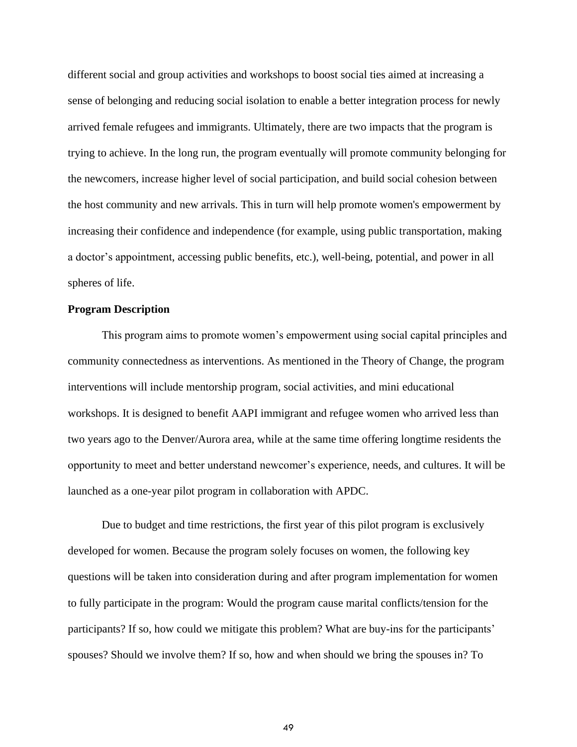different social and group activities and workshops to boost social ties aimed at increasing a sense of belonging and reducing social isolation to enable a better integration process for newly arrived female refugees and immigrants. Ultimately, there are two impacts that the program is trying to achieve. In the long run, the program eventually will promote community belonging for the newcomers, increase higher level of social participation, and build social cohesion between the host community and new arrivals. This in turn will help promote women's empowerment by increasing their confidence and independence (for example, using public transportation, making a doctor's appointment, accessing public benefits, etc.), well-being, potential, and power in all spheres of life.

#### **Program Description**

This program aims to promote women's empowerment using social capital principles and community connectedness as interventions. As mentioned in the Theory of Change, the program interventions will include mentorship program, social activities, and mini educational workshops. It is designed to benefit AAPI immigrant and refugee women who arrived less than two years ago to the Denver/Aurora area, while at the same time offering longtime residents the opportunity to meet and better understand newcomer's experience, needs, and cultures. It will be launched as a one-year pilot program in collaboration with APDC.

Due to budget and time restrictions, the first year of this pilot program is exclusively developed for women. Because the program solely focuses on women, the following key questions will be taken into consideration during and after program implementation for women to fully participate in the program: Would the program cause marital conflicts/tension for the participants? If so, how could we mitigate this problem? What are buy-ins for the participants' spouses? Should we involve them? If so, how and when should we bring the spouses in? To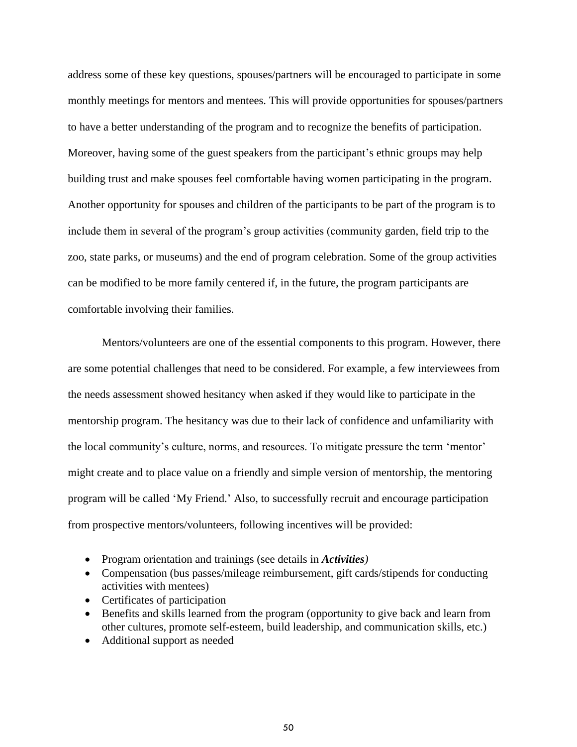address some of these key questions, spouses/partners will be encouraged to participate in some monthly meetings for mentors and mentees. This will provide opportunities for spouses/partners to have a better understanding of the program and to recognize the benefits of participation. Moreover, having some of the guest speakers from the participant's ethnic groups may help building trust and make spouses feel comfortable having women participating in the program. Another opportunity for spouses and children of the participants to be part of the program is to include them in several of the program's group activities (community garden, field trip to the zoo, state parks, or museums) and the end of program celebration. Some of the group activities can be modified to be more family centered if, in the future, the program participants are comfortable involving their families.

Mentors/volunteers are one of the essential components to this program. However, there are some potential challenges that need to be considered. For example, a few interviewees from the needs assessment showed hesitancy when asked if they would like to participate in the mentorship program. The hesitancy was due to their lack of confidence and unfamiliarity with the local community's culture, norms, and resources. To mitigate pressure the term 'mentor' might create and to place value on a friendly and simple version of mentorship, the mentoring program will be called 'My Friend.' Also, to successfully recruit and encourage participation from prospective mentors/volunteers, following incentives will be provided:

- Program orientation and trainings (see details in *Activities)*
- Compensation (bus passes/mileage reimbursement, gift cards/stipends for conducting activities with mentees)
- Certificates of participation
- Benefits and skills learned from the program (opportunity to give back and learn from other cultures, promote self-esteem, build leadership, and communication skills, etc.)
- Additional support as needed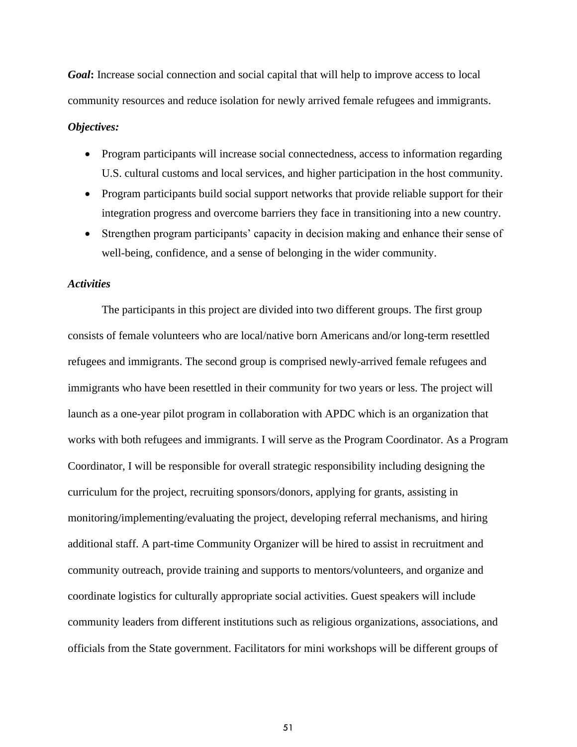*Goal*: Increase social connection and social capital that will help to improve access to local community resources and reduce isolation for newly arrived female refugees and immigrants.

#### *Objectives:*

- Program participants will increase social connectedness, access to information regarding U.S. cultural customs and local services, and higher participation in the host community.
- Program participants build social support networks that provide reliable support for their integration progress and overcome barriers they face in transitioning into a new country.
- Strengthen program participants' capacity in decision making and enhance their sense of well-being, confidence, and a sense of belonging in the wider community.

#### *Activities*

The participants in this project are divided into two different groups. The first group consists of female volunteers who are local/native born Americans and/or long-term resettled refugees and immigrants. The second group is comprised newly-arrived female refugees and immigrants who have been resettled in their community for two years or less. The project will launch as a one-year pilot program in collaboration with APDC which is an organization that works with both refugees and immigrants. I will serve as the Program Coordinator. As a Program Coordinator, I will be responsible for overall strategic responsibility including designing the curriculum for the project, recruiting sponsors/donors, applying for grants, assisting in monitoring/implementing/evaluating the project, developing referral mechanisms, and hiring additional staff. A part-time Community Organizer will be hired to assist in recruitment and community outreach, provide training and supports to mentors/volunteers, and organize and coordinate logistics for culturally appropriate social activities. Guest speakers will include community leaders from different institutions such as religious organizations, associations, and officials from the State government. Facilitators for mini workshops will be different groups of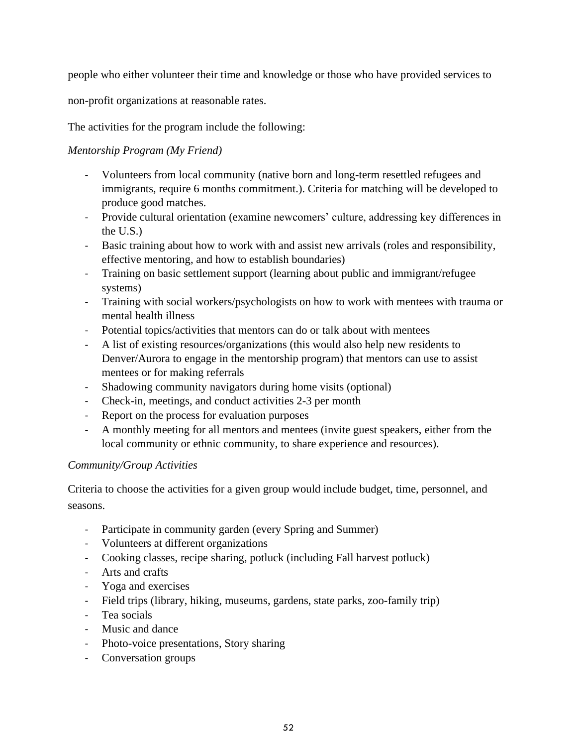people who either volunteer their time and knowledge or those who have provided services to

non-profit organizations at reasonable rates.

The activities for the program include the following:

# *Mentorship Program (My Friend)*

- Volunteers from local community (native born and long-term resettled refugees and immigrants, require 6 months commitment.). Criteria for matching will be developed to produce good matches.
- Provide cultural orientation (examine newcomers' culture, addressing key differences in the U.S.)
- Basic training about how to work with and assist new arrivals (roles and responsibility, effective mentoring, and how to establish boundaries)
- Training on basic settlement support (learning about public and immigrant/refugee systems)
- Training with social workers/psychologists on how to work with mentees with trauma or mental health illness
- Potential topics/activities that mentors can do or talk about with mentees
- A list of existing resources/organizations (this would also help new residents to Denver/Aurora to engage in the mentorship program) that mentors can use to assist mentees or for making referrals
- Shadowing community navigators during home visits (optional)
- Check-in, meetings, and conduct activities 2-3 per month
- Report on the process for evaluation purposes
- A monthly meeting for all mentors and mentees (invite guest speakers, either from the local community or ethnic community, to share experience and resources).

# *Community/Group Activities*

Criteria to choose the activities for a given group would include budget, time, personnel, and seasons.

- Participate in community garden (every Spring and Summer)
- Volunteers at different organizations
- Cooking classes, recipe sharing, potluck (including Fall harvest potluck)
- Arts and crafts
- Yoga and exercises
- Field trips (library, hiking, museums, gardens, state parks, zoo-family trip)
- Tea socials
- Music and dance
- Photo-voice presentations, Story sharing
- Conversation groups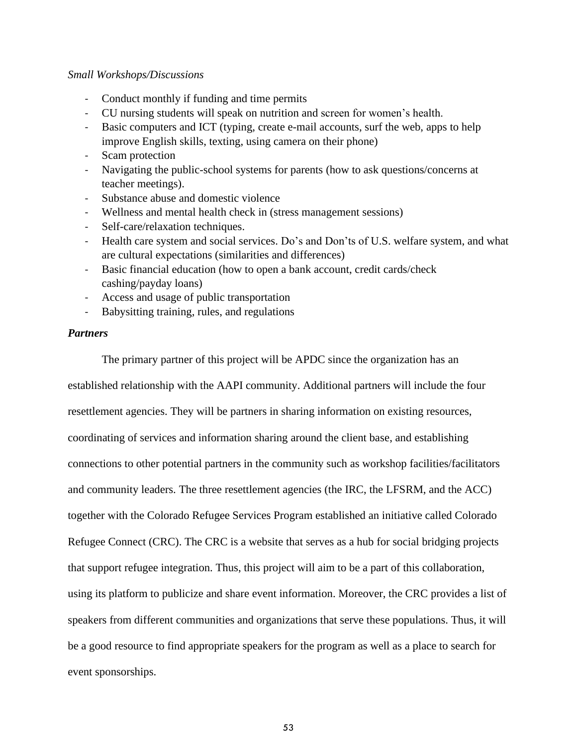#### *Small Workshops/Discussions*

- Conduct monthly if funding and time permits
- CU nursing students will speak on nutrition and screen for women's health.
- Basic computers and ICT (typing, create e-mail accounts, surf the web, apps to help improve English skills, texting, using camera on their phone)
- Scam protection
- Navigating the public-school systems for parents (how to ask questions/concerns at teacher meetings).
- Substance abuse and domestic violence
- Wellness and mental health check in (stress management sessions)
- Self-care/relaxation techniques.
- Health care system and social services. Do's and Don'ts of U.S. welfare system, and what are cultural expectations (similarities and differences)
- Basic financial education (how to open a bank account, credit cards/check cashing/payday loans)
- Access and usage of public transportation
- Babysitting training, rules, and regulations

#### *Partners*

The primary partner of this project will be APDC since the organization has an

established relationship with the AAPI community. Additional partners will include the four resettlement agencies. They will be partners in sharing information on existing resources, coordinating of services and information sharing around the client base, and establishing connections to other potential partners in the community such as workshop facilities/facilitators and community leaders. The three resettlement agencies (the IRC, the LFSRM, and the ACC) together with the Colorado Refugee Services Program established an initiative called Colorado Refugee Connect (CRC). The CRC is a website that serves as a hub for social bridging projects that support refugee integration. Thus, this project will aim to be a part of this collaboration, using its platform to publicize and share event information. Moreover, the CRC provides a list of speakers from different communities and organizations that serve these populations. Thus, it will be a good resource to find appropriate speakers for the program as well as a place to search for event sponsorships.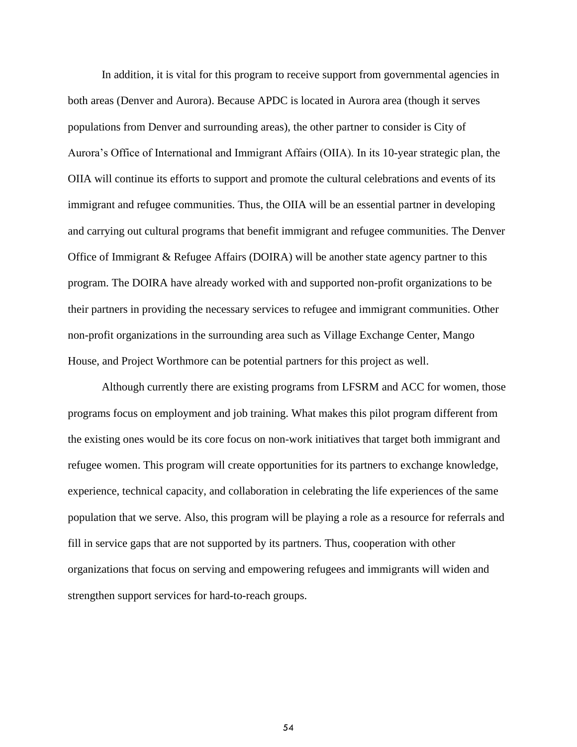In addition, it is vital for this program to receive support from governmental agencies in both areas (Denver and Aurora). Because APDC is located in Aurora area (though it serves populations from Denver and surrounding areas), the other partner to consider is City of Aurora's Office of International and Immigrant Affairs (OIIA). In its 10-year strategic plan, the OIIA will continue its efforts to support and promote the cultural celebrations and events of its immigrant and refugee communities. Thus, the OIIA will be an essential partner in developing and carrying out cultural programs that benefit immigrant and refugee communities. The Denver Office of Immigrant & Refugee Affairs (DOIRA) will be another state agency partner to this program. The DOIRA have already worked with and supported non-profit organizations to be their partners in providing the necessary services to refugee and immigrant communities. Other non-profit organizations in the surrounding area such as Village Exchange Center, Mango House, and Project Worthmore can be potential partners for this project as well.

Although currently there are existing programs from LFSRM and ACC for women, those programs focus on employment and job training. What makes this pilot program different from the existing ones would be its core focus on non-work initiatives that target both immigrant and refugee women. This program will create opportunities for its partners to exchange knowledge, experience, technical capacity, and collaboration in celebrating the life experiences of the same population that we serve. Also, this program will be playing a role as a resource for referrals and fill in service gaps that are not supported by its partners. Thus, cooperation with other organizations that focus on serving and empowering refugees and immigrants will widen and strengthen support services for hard-to-reach groups.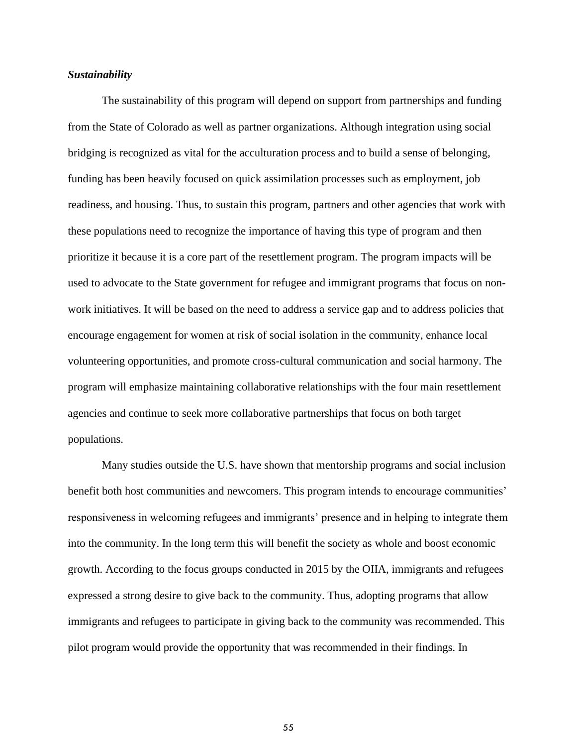#### *Sustainability*

The sustainability of this program will depend on support from partnerships and funding from the State of Colorado as well as partner organizations. Although integration using social bridging is recognized as vital for the acculturation process and to build a sense of belonging, funding has been heavily focused on quick assimilation processes such as employment, job readiness, and housing. Thus, to sustain this program, partners and other agencies that work with these populations need to recognize the importance of having this type of program and then prioritize it because it is a core part of the resettlement program. The program impacts will be used to advocate to the State government for refugee and immigrant programs that focus on nonwork initiatives. It will be based on the need to address a service gap and to address policies that encourage engagement for women at risk of social isolation in the community, enhance local volunteering opportunities, and promote cross-cultural communication and social harmony. The program will emphasize maintaining collaborative relationships with the four main resettlement agencies and continue to seek more collaborative partnerships that focus on both target populations.

Many studies outside the U.S. have shown that mentorship programs and social inclusion benefit both host communities and newcomers. This program intends to encourage communities' responsiveness in welcoming refugees and immigrants' presence and in helping to integrate them into the community. In the long term this will benefit the society as whole and boost economic growth. According to the focus groups conducted in 2015 by the OIIA, immigrants and refugees expressed a strong desire to give back to the community. Thus, adopting programs that allow immigrants and refugees to participate in giving back to the community was recommended. This pilot program would provide the opportunity that was recommended in their findings. In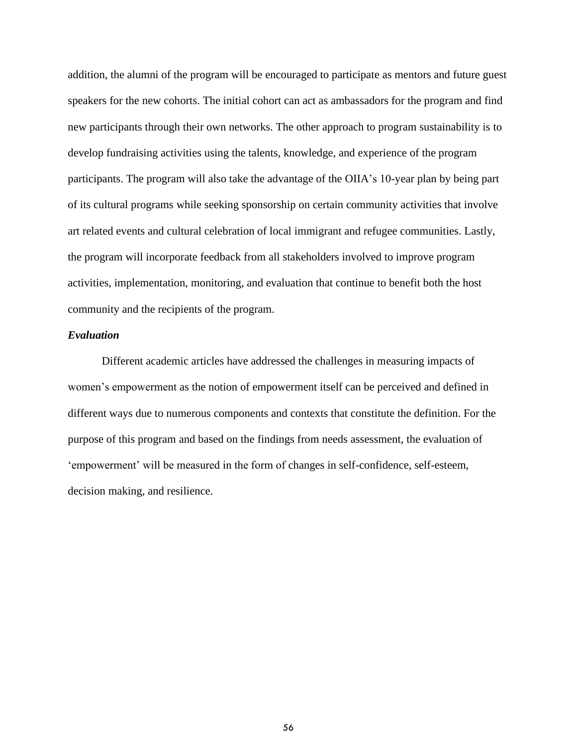addition, the alumni of the program will be encouraged to participate as mentors and future guest speakers for the new cohorts. The initial cohort can act as ambassadors for the program and find new participants through their own networks. The other approach to program sustainability is to develop fundraising activities using the talents, knowledge, and experience of the program participants. The program will also take the advantage of the OIIA's 10-year plan by being part of its cultural programs while seeking sponsorship on certain community activities that involve art related events and cultural celebration of local immigrant and refugee communities. Lastly, the program will incorporate feedback from all stakeholders involved to improve program activities, implementation, monitoring, and evaluation that continue to benefit both the host community and the recipients of the program.

#### *Evaluation*

Different academic articles have addressed the challenges in measuring impacts of women's empowerment as the notion of empowerment itself can be perceived and defined in different ways due to numerous components and contexts that constitute the definition. For the purpose of this program and based on the findings from needs assessment, the evaluation of 'empowerment' will be measured in the form of changes in self-confidence, self-esteem, decision making, and resilience.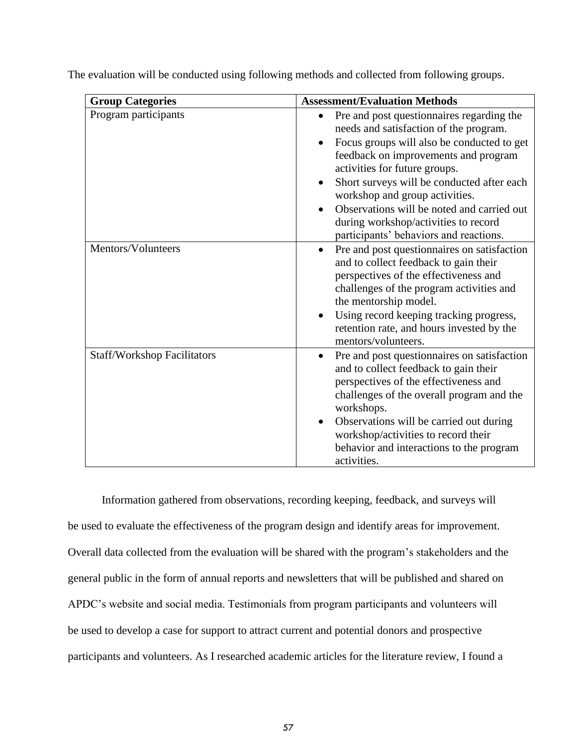| <b>Group Categories</b>            | <b>Assessment/Evaluation Methods</b>                                                                                                                                                                                                                                                                                                                                                                                                    |
|------------------------------------|-----------------------------------------------------------------------------------------------------------------------------------------------------------------------------------------------------------------------------------------------------------------------------------------------------------------------------------------------------------------------------------------------------------------------------------------|
| Program participants               | Pre and post questionnaires regarding the<br>$\bullet$<br>needs and satisfaction of the program.<br>Focus groups will also be conducted to get<br>feedback on improvements and program<br>activities for future groups.<br>Short surveys will be conducted after each<br>workshop and group activities.<br>Observations will be noted and carried out<br>during workshop/activities to record<br>participants' behaviors and reactions. |
| Mentors/Volunteers                 | Pre and post questionnaires on satisfaction<br>$\bullet$<br>and to collect feedback to gain their<br>perspectives of the effectiveness and<br>challenges of the program activities and<br>the mentorship model.<br>Using record keeping tracking progress,<br>retention rate, and hours invested by the<br>mentors/volunteers.                                                                                                          |
| <b>Staff/Workshop Facilitators</b> | Pre and post questionnaires on satisfaction<br>$\bullet$<br>and to collect feedback to gain their<br>perspectives of the effectiveness and<br>challenges of the overall program and the<br>workshops.<br>Observations will be carried out during<br>$\bullet$<br>workshop/activities to record their<br>behavior and interactions to the program<br>activities.                                                                         |

The evaluation will be conducted using following methods and collected from following groups.

Information gathered from observations, recording keeping, feedback, and surveys will be used to evaluate the effectiveness of the program design and identify areas for improvement. Overall data collected from the evaluation will be shared with the program's stakeholders and the general public in the form of annual reports and newsletters that will be published and shared on APDC's website and social media. Testimonials from program participants and volunteers will be used to develop a case for support to attract current and potential donors and prospective participants and volunteers. As I researched academic articles for the literature review, I found a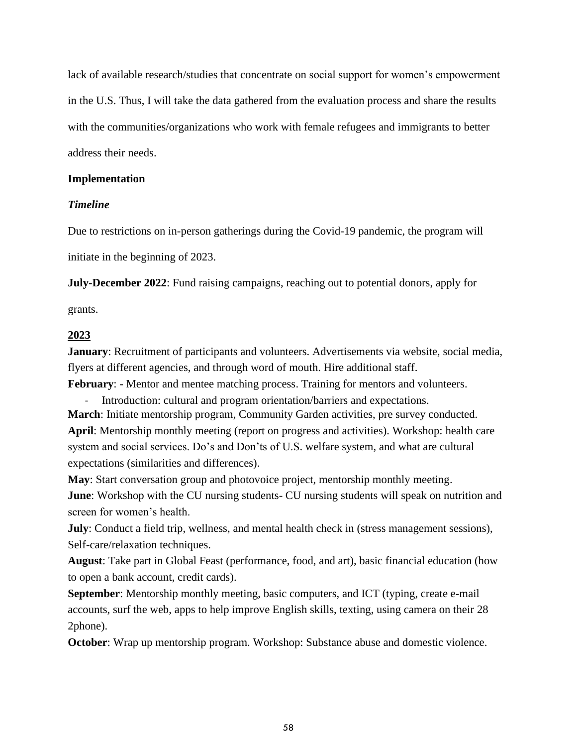lack of available research/studies that concentrate on social support for women's empowerment in the U.S. Thus, I will take the data gathered from the evaluation process and share the results with the communities/organizations who work with female refugees and immigrants to better address their needs.

### **Implementation**

## *Timeline*

Due to restrictions on in-person gatherings during the Covid-19 pandemic, the program will initiate in the beginning of 2023.

**July-December 2022**: Fund raising campaigns, reaching out to potential donors, apply for

grants.

## **2023**

**January**: Recruitment of participants and volunteers. Advertisements via website, social media, flyers at different agencies, and through word of mouth. Hire additional staff.

**February**: - Mentor and mentee matching process. Training for mentors and volunteers.

- Introduction: cultural and program orientation/barriers and expectations.

**March**: Initiate mentorship program, Community Garden activities, pre survey conducted. **April**: Mentorship monthly meeting (report on progress and activities). Workshop: health care system and social services. Do's and Don'ts of U.S. welfare system, and what are cultural expectations (similarities and differences).

**May**: Start conversation group and photovoice project, mentorship monthly meeting.

**June**: Workshop with the CU nursing students- CU nursing students will speak on nutrition and screen for women's health.

**July**: Conduct a field trip, wellness, and mental health check in (stress management sessions), Self-care/relaxation techniques.

**August**: Take part in Global Feast (performance, food, and art), basic financial education (how to open a bank account, credit cards).

**September:** Mentorship monthly meeting, basic computers, and ICT (typing, create e-mail accounts, surf the web, apps to help improve English skills, texting, using camera on their 28 2phone).

**October**: Wrap up mentorship program. Workshop: Substance abuse and domestic violence.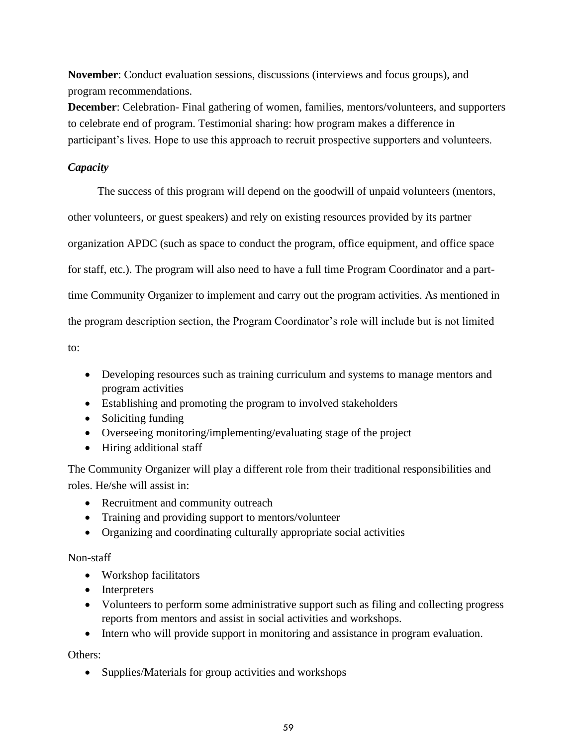**November**: Conduct evaluation sessions, discussions (interviews and focus groups), and program recommendations.

**December**: Celebration- Final gathering of women, families, mentors/volunteers, and supporters to celebrate end of program. Testimonial sharing: how program makes a difference in participant's lives. Hope to use this approach to recruit prospective supporters and volunteers.

# *Capacity*

The success of this program will depend on the goodwill of unpaid volunteers (mentors, other volunteers, or guest speakers) and rely on existing resources provided by its partner organization APDC (such as space to conduct the program, office equipment, and office space for staff, etc.). The program will also need to have a full time Program Coordinator and a parttime Community Organizer to implement and carry out the program activities. As mentioned in the program description section, the Program Coordinator's role will include but is not limited

to:

- Developing resources such as training curriculum and systems to manage mentors and program activities
- Establishing and promoting the program to involved stakeholders
- Soliciting funding
- Overseeing monitoring/implementing/evaluating stage of the project
- Hiring additional staff

The Community Organizer will play a different role from their traditional responsibilities and roles. He/she will assist in:

- Recruitment and community outreach
- Training and providing support to mentors/volunteer
- Organizing and coordinating culturally appropriate social activities

# Non-staff

- Workshop facilitators
- Interpreters
- Volunteers to perform some administrative support such as filing and collecting progress reports from mentors and assist in social activities and workshops.
- Intern who will provide support in monitoring and assistance in program evaluation.

Others:

• Supplies/Materials for group activities and workshops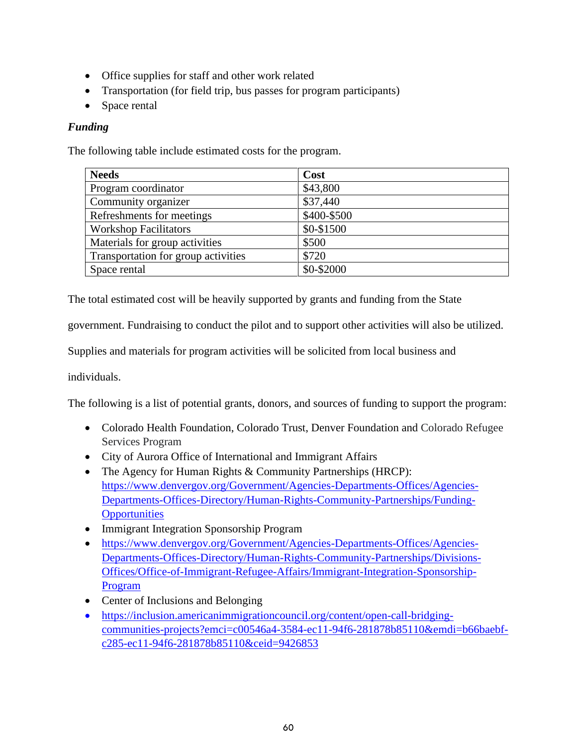- Office supplies for staff and other work related
- Transportation (for field trip, bus passes for program participants)
- Space rental

# *Funding*

The following table include estimated costs for the program.

| <b>Needs</b>                        | Cost        |
|-------------------------------------|-------------|
| Program coordinator                 | \$43,800    |
| Community organizer                 | \$37,440    |
| Refreshments for meetings           | \$400-\$500 |
| <b>Workshop Facilitators</b>        | \$0-\$1500  |
| Materials for group activities      | \$500       |
| Transportation for group activities | \$720       |
| Space rental                        | \$0-\$2000  |

The total estimated cost will be heavily supported by grants and funding from the State

government. Fundraising to conduct the pilot and to support other activities will also be utilized.

Supplies and materials for program activities will be solicited from local business and

individuals.

The following is a list of potential grants, donors, and sources of funding to support the program:

- Colorado Health Foundation, Colorado Trust, Denver Foundation and Colorado Refugee Services Program
- City of Aurora Office of International and Immigrant Affairs
- The Agency for Human Rights & Community Partnerships (HRCP): [https://www.denvergov.org/Government/Agencies-Departments-Offices/Agencies-](about:blank)[Departments-Offices-Directory/Human-Rights-Community-Partnerships/Funding-](about:blank)**[Opportunities](about:blank)**
- Immigrant Integration Sponsorship Program
- [https://www.denvergov.org/Government/Agencies-Departments-Offices/Agencies-](about:blank)[Departments-Offices-Directory/Human-Rights-Community-Partnerships/Divisions-](about:blank)[Offices/Office-of-Immigrant-Refugee-Affairs/Immigrant-Integration-Sponsorship-](about:blank)[Program](about:blank)
- Center of Inclusions and Belonging
- [https://inclusion.americanimmigrationcouncil.org/content/open-call-bridging](about:blank)[communities-projects?emci=c00546a4-3584-ec11-94f6-281878b85110&emdi=b66baebf](about:blank)[c285-ec11-94f6-281878b85110&ceid=9426853](about:blank)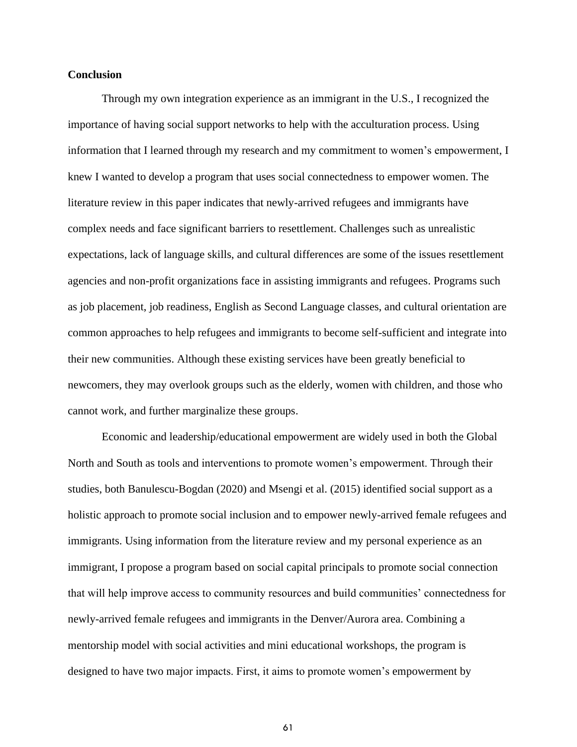#### **Conclusion**

Through my own integration experience as an immigrant in the U.S., I recognized the importance of having social support networks to help with the acculturation process. Using information that I learned through my research and my commitment to women's empowerment, I knew I wanted to develop a program that uses social connectedness to empower women. The literature review in this paper indicates that newly-arrived refugees and immigrants have complex needs and face significant barriers to resettlement. Challenges such as unrealistic expectations, lack of language skills, and cultural differences are some of the issues resettlement agencies and non-profit organizations face in assisting immigrants and refugees. Programs such as job placement, job readiness, English as Second Language classes, and cultural orientation are common approaches to help refugees and immigrants to become self-sufficient and integrate into their new communities. Although these existing services have been greatly beneficial to newcomers, they may overlook groups such as the elderly, women with children, and those who cannot work, and further marginalize these groups.

Economic and leadership/educational empowerment are widely used in both the Global North and South as tools and interventions to promote women's empowerment. Through their studies, both Banulescu-Bogdan (2020) and Msengi et al. (2015) identified social support as a holistic approach to promote social inclusion and to empower newly-arrived female refugees and immigrants. Using information from the literature review and my personal experience as an immigrant, I propose a program based on social capital principals to promote social connection that will help improve access to community resources and build communities' connectedness for newly-arrived female refugees and immigrants in the Denver/Aurora area. Combining a mentorship model with social activities and mini educational workshops, the program is designed to have two major impacts. First, it aims to promote women's empowerment by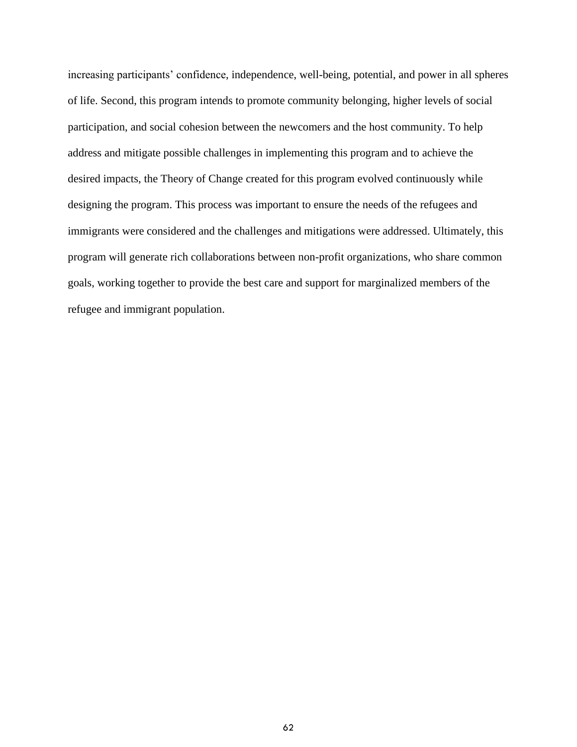increasing participants' confidence, independence, well-being, potential, and power in all spheres of life. Second, this program intends to promote community belonging, higher levels of social participation, and social cohesion between the newcomers and the host community. To help address and mitigate possible challenges in implementing this program and to achieve the desired impacts, the Theory of Change created for this program evolved continuously while designing the program. This process was important to ensure the needs of the refugees and immigrants were considered and the challenges and mitigations were addressed. Ultimately, this program will generate rich collaborations between non-profit organizations, who share common goals, working together to provide the best care and support for marginalized members of the refugee and immigrant population.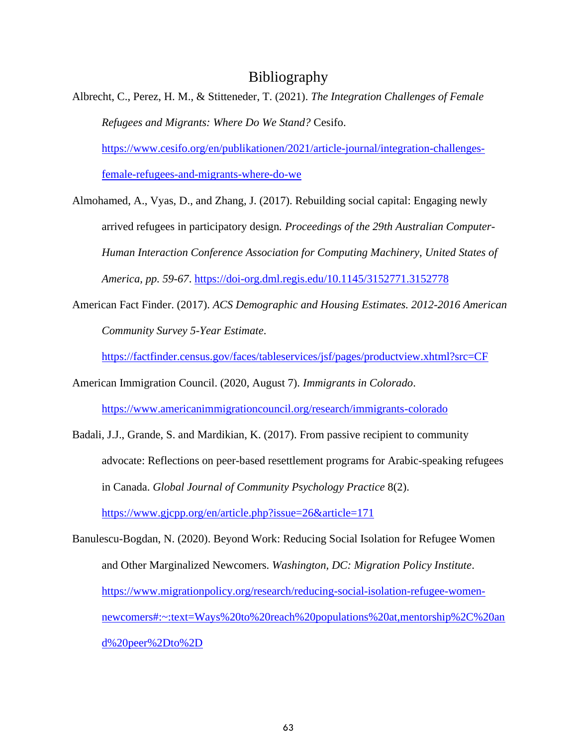# Bibliography

Albrecht, C., Perez, H. M., & Stitteneder, T. (2021). *The Integration Challenges of Female Refugees and Migrants: Where Do We Stand?* Cesifo. [https://www.cesifo.org/en/publikationen/2021/article-journal/integration-challenges](https://www.cesifo.org/en/publikationen/2021/article-journal/integration-challenges-female-refugees-and-migrants-where-do-we)[female-refugees-and-migrants-where-do-we](https://www.cesifo.org/en/publikationen/2021/article-journal/integration-challenges-female-refugees-and-migrants-where-do-we)

Almohamed, A., Vyas, D., and Zhang, J. (2017). Rebuilding social capital: Engaging newly arrived refugees in participatory design*. Proceedings of the 29th Australian Computer-Human Interaction Conference Association for Computing Machinery, United States of America, pp. 59-67*. [https://doi-org.dml.regis.edu/10.1145/3152771.3152778](about:blank)

American Fact Finder. (2017). *ACS Demographic and Housing Estimates. 2012-2016 American Community Survey 5-Year Estimate*.

<https://factfinder.census.gov/faces/tableservices/jsf/pages/productview.xhtml?src=CF>

American Immigration Council. (2020, August 7). *Immigrants in Colorado*.

[https://www.americanimmigrationcouncil.org/research/immigrants-colorado](about:blank)

Badali, J.J., Grande, S. and Mardikian, K. (2017). From passive recipient to community advocate: Reflections on peer-based resettlement programs for Arabic-speaking refugees in Canada. *Global Journal of Community Psychology Practice* 8(2). <https://www.gjcpp.org/en/article.php?issue=26&article=171>

Banulescu-Bogdan, N. (2020). Beyond Work: Reducing Social Isolation for Refugee Women and Other Marginalized Newcomers. *Washington, DC: Migration Policy Institute*. [https://www.migrationpolicy.org/research/reducing-social-isolation-refugee-women](https://www.migrationpolicy.org/research/reducing-social-isolation-refugee-women-newcomers#:~:text=Ways%20to%20reach%20populations%20at,mentorship%2C%20and%20peer%2Dto%2D)[newcomers#:~:text=Ways%20to%20reach%20populations%20at,mentorship%2C%20an](https://www.migrationpolicy.org/research/reducing-social-isolation-refugee-women-newcomers#:~:text=Ways%20to%20reach%20populations%20at,mentorship%2C%20and%20peer%2Dto%2D) [d%20peer%2Dto%2D](https://www.migrationpolicy.org/research/reducing-social-isolation-refugee-women-newcomers#:~:text=Ways%20to%20reach%20populations%20at,mentorship%2C%20and%20peer%2Dto%2D)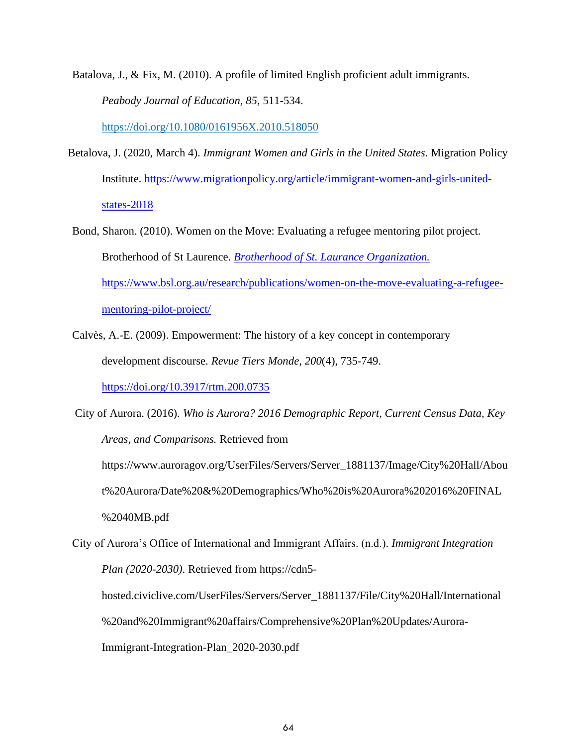Batalova, J., & Fix, M. (2010). A profile of limited English proficient adult immigrants. *Peabody Journal of Education, 85*, 511-534.

[https://doi.org/10.1080/0161956X.2010.518050](about:blank)

- Betalova, J. (2020, March 4). *Immigrant Women and Girls in the United States*. Migration Policy Institute. [https://www.migrationpolicy.org/article/immigrant-women-and-girls-united](about:blank)[states-2018](about:blank)
- Bond, Sharon. (2010). Women on the Move: Evaluating a refugee mentoring pilot project. Brotherhood of St Laurence. *Brotherhood of St. Laurance Organization.* [https://www.bsl.org.au/research/publications/women-on-the-move-evaluating-a-refugee](https://www.bsl.org.au/research/publications/women-on-the-move-evaluating-a-refugee-mentoring-pilot-project/)[mentoring-pilot-project/](https://www.bsl.org.au/research/publications/women-on-the-move-evaluating-a-refugee-mentoring-pilot-project/)
- Calvès, A.-E. (2009). Empowerment: The history of a key concept in contemporary development discourse. *Revue Tiers Monde, 200*(4), 735-749.

<https://doi.org/10.3917/rtm.200.0735>

City of Aurora. (2016). *Who is Aurora? 2016 Demographic Report, Current Census Data, Key Areas, and Comparisons.* Retrieved from https://www.auroragov.org/UserFiles/Servers/Server\_1881137/Image/City%20Hall/Abou t%20Aurora/Date%20&%20Demographics/Who%20is%20Aurora%202016%20FINAL

%2040MB.pdf

City of Aurora's Office of International and Immigrant Affairs. (n.d.). *Immigrant Integration Plan (2020-2030)*. Retrieved from https://cdn5-

hosted.civiclive.com/UserFiles/Servers/Server\_1881137/File/City%20Hall/International %20and%20Immigrant%20affairs/Comprehensive%20Plan%20Updates/Aurora-

Immigrant-Integration-Plan\_2020-2030.pdf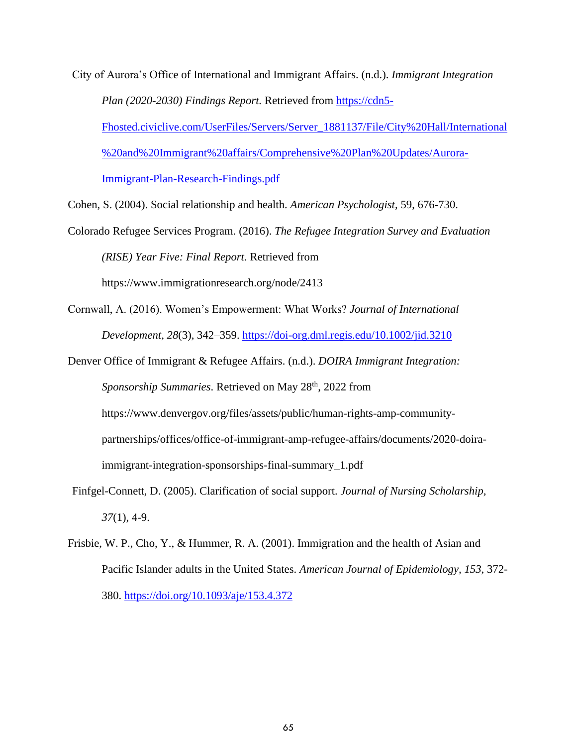City of Aurora's Office of International and Immigrant Affairs. (n.d.). *Immigrant Integration Plan (2020-2030) Findings Report.* Retrieved from [https://cdn5-](https://cdn5-fhosted.civiclive.com/UserFiles/Servers/Server_1881137/File/City%20Hall/International%20and%20Immigrant%20affairs/Comprehensive%20Plan%20Updates/Aurora-Immigrant-Plan-Research-Findings.pdf)

[Fhosted.civiclive.com/UserFiles/Servers/Server\\_1881137/File/City%20Hall/International](https://cdn5-fhosted.civiclive.com/UserFiles/Servers/Server_1881137/File/City%20Hall/International%20and%20Immigrant%20affairs/Comprehensive%20Plan%20Updates/Aurora-Immigrant-Plan-Research-Findings.pdf) [%20and%20Immigrant%20affairs/Comprehensive%20Plan%20Updates/Aurora-](https://cdn5-fhosted.civiclive.com/UserFiles/Servers/Server_1881137/File/City%20Hall/International%20and%20Immigrant%20affairs/Comprehensive%20Plan%20Updates/Aurora-Immigrant-Plan-Research-Findings.pdf)[Immigrant-Plan-Research-Findings.pdf](https://cdn5-fhosted.civiclive.com/UserFiles/Servers/Server_1881137/File/City%20Hall/International%20and%20Immigrant%20affairs/Comprehensive%20Plan%20Updates/Aurora-Immigrant-Plan-Research-Findings.pdf)

Cohen, S. (2004). Social relationship and health. *American Psychologist,* 59, 676-730.

- Colorado Refugee Services Program. (2016). *The Refugee Integration Survey and Evaluation (RISE) Year Five: Final Report.* Retrieved from https://www.immigrationresearch.org/node/2413
- Cornwall, A. (2016). Women's Empowerment: What Works? *Journal of International Development, 28*(3), 342–359.<https://doi-org.dml.regis.edu/10.1002/jid.3210>
- Denver Office of Immigrant & Refugee Affairs. (n.d.). *DOIRA Immigrant Integration:*  Sponsorship Summaries. Retrieved on May 28<sup>th</sup>, 2022 from https://www.denvergov.org/files/assets/public/human-rights-amp-communitypartnerships/offices/office-of-immigrant-amp-refugee-affairs/documents/2020-doiraimmigrant-integration-sponsorships-final-summary\_1.pdf
- Finfgel-Connett, D. (2005). Clarification of social support. *Journal of Nursing Scholarship, 37*(1), 4-9.
- Frisbie, W. P., Cho, Y., & Hummer, R. A. (2001). Immigration and the health of Asian and Pacific Islander adults in the United States. *American Journal of Epidemiology, 153*, 372- 380. [https://doi.org/10.1093/aje/153.4.372](about:blank)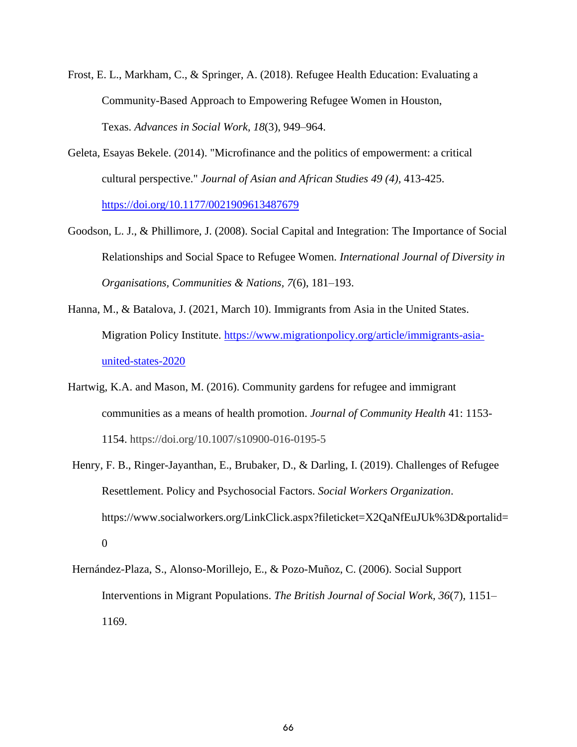- Frost, E. L., Markham, C., & Springer, A. (2018). Refugee Health Education: Evaluating a Community-Based Approach to Empowering Refugee Women in Houston, Texas. *Advances in Social Work, 18*(3), 949–964.
- Geleta, Esayas Bekele. (2014). "Microfinance and the politics of empowerment: a critical cultural perspective." *Journal of Asian and African Studies 49 (4),* 413-425. [https://doi.org/10.1177/0021909613487679](about:blank)
- Goodson, L. J., & Phillimore, J. (2008). Social Capital and Integration: The Importance of Social Relationships and Social Space to Refugee Women. *International Journal of Diversity in Organisations, Communities & Nations, 7*(6), 181–193.
- Hanna, M., & Batalova, J. (2021, March 10). Immigrants from Asia in the United States. Migration Policy Institute. [https://www.migrationpolicy.org/article/immigrants-asia](about:blank)[united-states-2020](about:blank)
- Hartwig, K.A. and Mason, M. (2016). Community gardens for refugee and immigrant communities as a means of health promotion. *Journal of Community Health* 41: 1153- 1154. https://doi.org/10.1007/s10900-016-0195-5
- Henry, F. B., Ringer-Jayanthan, E., Brubaker, D., & Darling, I. (2019). Challenges of Refugee Resettlement. Policy and Psychosocial Factors. *Social Workers Organization*. [https://www.socialworkers.org/LinkClick.aspx?fileticket=X2QaNfEuJUk%3D&portalid=](about:blank) [0](about:blank)
- Hernández-Plaza, S., Alonso-Morillejo, E., & Pozo-Muñoz, C. (2006). Social Support Interventions in Migrant Populations. *The British Journal of Social Work, 36*(7), 1151– 1169.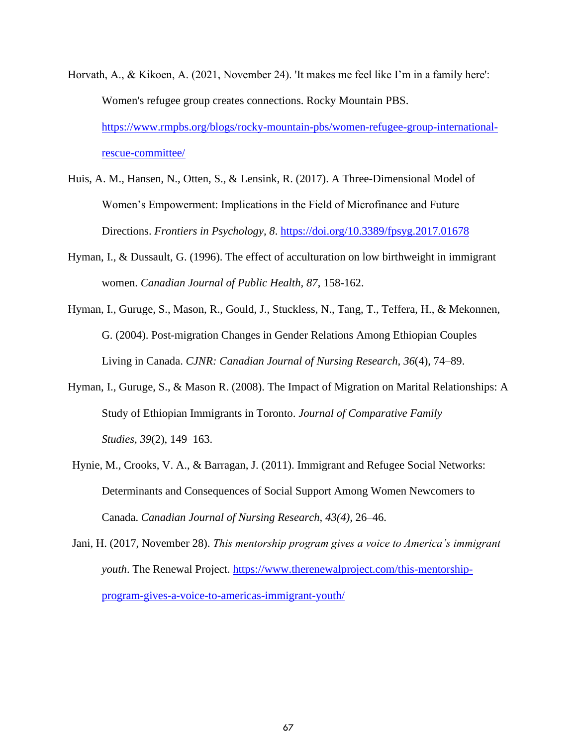- Horvath, A., & Kikoen, A. (2021, November 24). 'It makes me feel like I'm in a family here': Women's refugee group creates connections. Rocky Mountain PBS. [https://www.rmpbs.org/blogs/rocky-mountain-pbs/women-refugee-group-international](about:blank)[rescue-committee/](about:blank)
- Huis, A. M., Hansen, N., Otten, S., & Lensink, R. (2017). A Three-Dimensional Model of Women's Empowerment: Implications in the Field of Microfinance and Future Directions. *Frontiers in Psychology, 8*. [https://doi.org/10.3389/fpsyg.2017.01678](about:blank)
- Hyman, I., & Dussault, G. (1996). The effect of acculturation on low birthweight in immigrant women. *Canadian Journal of Public Health, 87*, 158-162.
- Hyman, I., Guruge, S., Mason, R., Gould, J., Stuckless, N., Tang, T., Teffera, H., & Mekonnen, G. (2004). Post-migration Changes in Gender Relations Among Ethiopian Couples Living in Canada. *CJNR: Canadian Journal of Nursing Research, 36*(4), 74–89.
- Hyman, I., Guruge, S., & Mason R. (2008). The Impact of Migration on Marital Relationships: A Study of Ethiopian Immigrants in Toronto. *Journal of Comparative Family Studies, 39*(2), 149–163.
- Hynie, M., Crooks, V. A., & Barragan, J. (2011). Immigrant and Refugee Social Networks: Determinants and Consequences of Social Support Among Women Newcomers to Canada. *Canadian Journal of Nursing Research, 43(4),* 26–46.
- Jani, H. (2017, November 28). *This mentorship program gives a voice to America's immigrant youth*. The Renewal Project. [https://www.therenewalproject.com/this-mentorship](about:blank)[program-gives-a-voice-to-americas-immigrant-youth/](about:blank)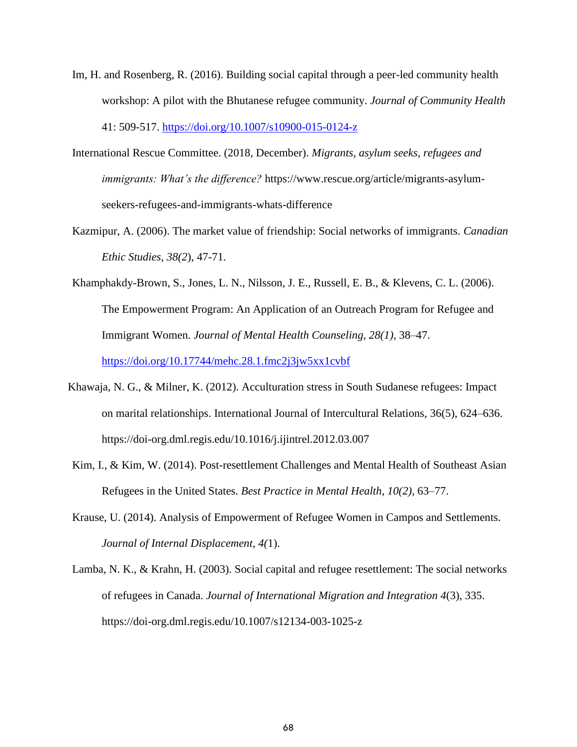- Im, H. and Rosenberg, R. (2016). Building social capital through a peer-led community health workshop: A pilot with the Bhutanese refugee community. *Journal of Community Health*  41: 509-517.<https://doi.org/10.1007/s10900-015-0124-z>
- International Rescue Committee. (2018, December). *Migrants, asylum seeks, refugees and immigrants: What's the difference?* https://www.rescue.org/article/migrants-asylumseekers-refugees-and-immigrants-whats-difference
- Kazmipur, A. (2006). The market value of friendship: Social networks of immigrants. *Canadian Ethic Studies, 38(2*), 47-71.
- Khamphakdy-Brown, S., Jones, L. N., Nilsson, J. E., Russell, E. B., & Klevens, C. L. (2006). The Empowerment Program: An Application of an Outreach Program for Refugee and Immigrant Women. *Journal of Mental Health Counseling, 28(1),* 38–47. [https://doi.org/10.17744/mehc.28.1.fmc2j3jw5xx1cvbf](about:blank)

Khawaja, N. G., & Milner, K. (2012). Acculturation stress in South Sudanese refugees: Impact

https://doi-org.dml.regis.edu/10.1016/j.ijintrel.2012.03.007

Kim, I., & Kim, W. (2014). Post-resettlement Challenges and Mental Health of Southeast Asian Refugees in the United States. *Best Practice in Mental Health*, *10(2),* 63–77.

on marital relationships. International Journal of Intercultural Relations, 36(5), 624–636.

- Krause, U. (2014). Analysis of Empowerment of Refugee Women in Campos and Settlements. *Journal of Internal Displacement, 4(*1).
- Lamba, N. K., & Krahn, H. (2003). Social capital and refugee resettlement: The social networks of refugees in Canada. *Journal of International Migration and Integration 4*(3), 335. https://doi-org.dml.regis.edu/10.1007/s12134-003-1025-z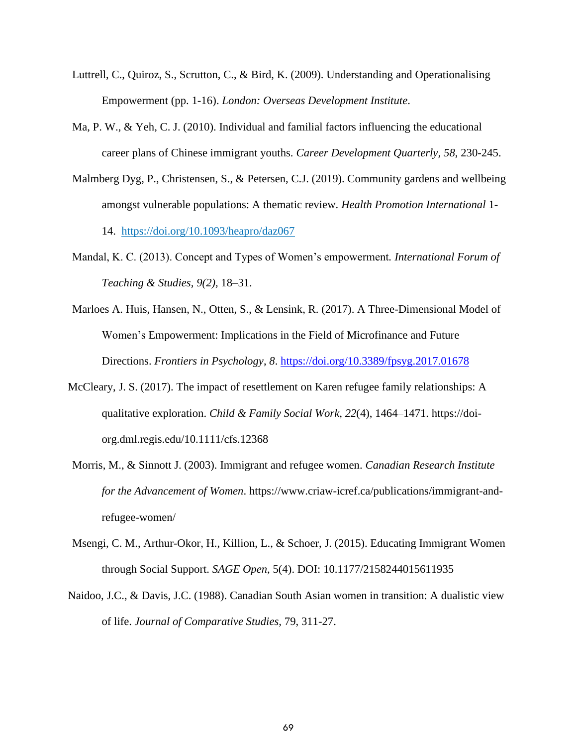- Luttrell, C., Quiroz, S., Scrutton, C., & Bird, K. (2009). Understanding and Operationalising Empowerment (pp. 1-16). *London: Overseas Development Institute*.
- Ma, P. W., & Yeh, C. J. (2010). Individual and familial factors influencing the educational career plans of Chinese immigrant youths. *Career Development Quarterly, 58*, 230-245.
- Malmberg Dyg, P., Christensen, S., & Petersen, C.J. (2019). Community gardens and wellbeing amongst vulnerable populations: A thematic review. *Health Promotion International* 1-

14. [https://doi.org/10.1093/heapro/daz067](about:blank)

- Mandal, K. C. (2013). Concept and Types of Women's empowerment*. International Forum of Teaching & Studies, 9(2),* 18–31.
- Marloes A. Huis, Hansen, N., Otten, S., & Lensink, R. (2017). A Three-Dimensional Model of Women's Empowerment: Implications in the Field of Microfinance and Future Directions. *Frontiers in Psychology*, *8*. [https://doi.org/10.3389/fpsyg.2017.01678](about:blank)
- McCleary, J. S. (2017). The impact of resettlement on Karen refugee family relationships: A qualitative exploration. *Child & Family Social Work, 22*(4), 1464–1471. https://doiorg.dml.regis.edu/10.1111/cfs.12368
- Morris, M., & Sinnott J. (2003). Immigrant and refugee women. *Canadian Research Institute for the Advancement of Women*. https://www.criaw-icref.ca/publications/immigrant-andrefugee-women/
- Msengi, C. M., Arthur-Okor, H., Killion, L., & Schoer, J. (2015). Educating Immigrant Women through Social Support. *SAGE Open*, 5(4). DOI: 10.1177/2158244015611935
- Naidoo, J.C., & Davis, J.C. (1988). Canadian South Asian women in transition: A dualistic view of life. *Journal of Comparative Studies,* 79, 311-27.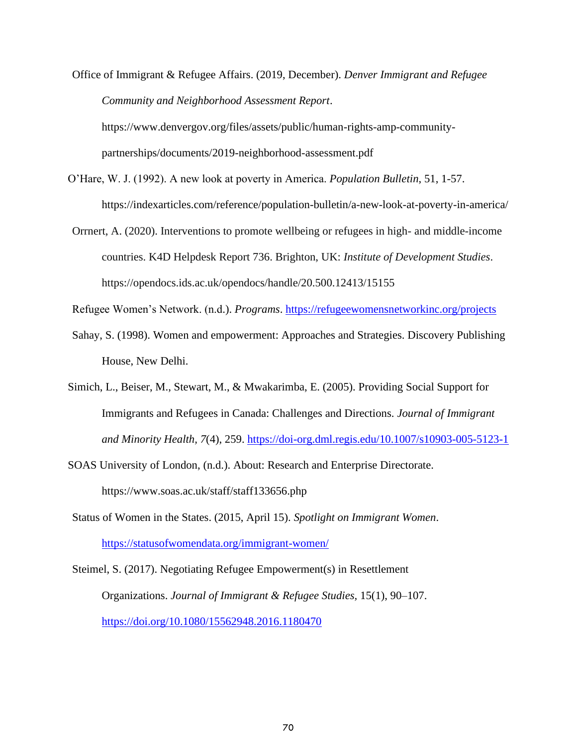Office of Immigrant & Refugee Affairs. (2019, December). *Denver Immigrant and Refugee Community and Neighborhood Assessment Report*.

https://www.denvergov.org/files/assets/public/human-rights-amp-communitypartnerships/documents/2019-neighborhood-assessment.pdf

- O'Hare, W. J. (1992). A new look at poverty in America. *Population Bulletin*, 51, 1-57. https://indexarticles.com/reference/population-bulletin/a-new-look-at-poverty-in-america/
- Orrnert, A. (2020). Interventions to promote wellbeing or refugees in high- and middle-income countries. K4D Helpdesk Report 736. Brighton, UK: *Institute of Development Studies*. https://opendocs.ids.ac.uk/opendocs/handle/20.500.12413/15155

Refugee Women's Network. (n.d.). *Programs*. [https://refugeewomensnetworkinc.org/projects](about:blank)

- Sahay, S. (1998). Women and empowerment: Approaches and Strategies. Discovery Publishing House, New Delhi.
- Simich, L., Beiser, M., Stewart, M., & Mwakarimba, E. (2005). Providing Social Support for Immigrants and Refugees in Canada: Challenges and Directions. *Journal of Immigrant and Minority Health, 7*(4), 259.<https://doi-org.dml.regis.edu/10.1007/s10903-005-5123-1>
- SOAS University of London, (n.d.). About: Research and Enterprise Directorate. https://www.soas.ac.uk/staff/staff133656.php

Status of Women in the States. (2015, April 15). *Spotlight on Immigrant Women*. [https://statusofwomendata.org/immigrant-women/](about:blank)

Steimel, S. (2017). Negotiating Refugee Empowerment(s) in Resettlement Organizations. *Journal of Immigrant & Refugee Studies,* 15(1), 90–107. [https://doi.org/10.1080/15562948.2016.1180470](about:blank)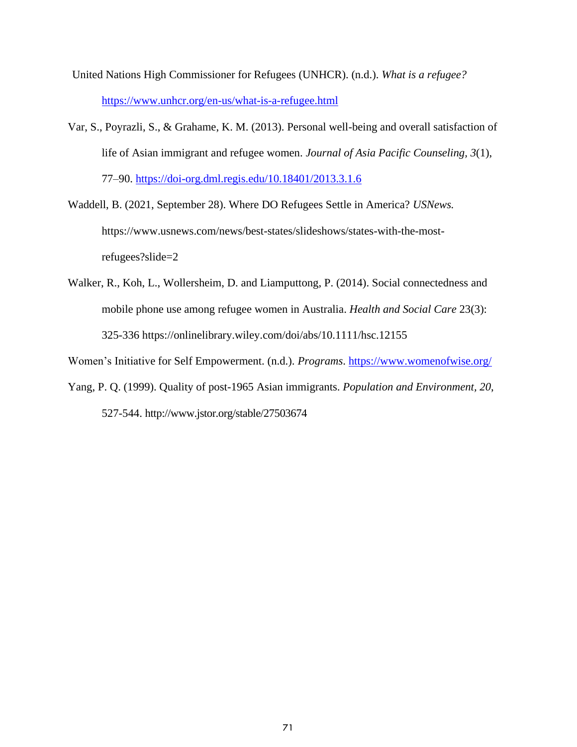- United Nations High Commissioner for Refugees (UNHCR). (n.d.). *What is a refugee?* [https://www.unhcr.org/en-us/what-is-a-refugee.html](about:blank)
- Var, S., Poyrazli, S., & Grahame, K. M. (2013). Personal well-being and overall satisfaction of life of Asian immigrant and refugee women. *Journal of Asia Pacific Counseling, 3*(1), 77–90. [https://doi-org.dml.regis.edu/10.18401/2013.3.1.6](about:blank)
- Waddell, B. (2021, September 28). Where DO Refugees Settle in America? *USNews.* https://www.usnews.com/news/best-states/slideshows/states-with-the-mostrefugees?slide=2
- Walker, R., Koh, L., Wollersheim, D. and Liamputtong, P. (2014). Social connectedness and mobile phone use among refugee women in Australia. *Health and Social Care* 23(3): 325-336 https://onlinelibrary.wiley.com/doi/abs/10.1111/hsc.12155

Women's Initiative for Self Empowerment. (n.d.). *Programs*. [https://www.womenofwise.org/](about:blank)

Yang, P. Q. (1999). Quality of post-1965 Asian immigrants. *Population and Environment, 20*, 527-544. http://www.jstor.org/stable/27503674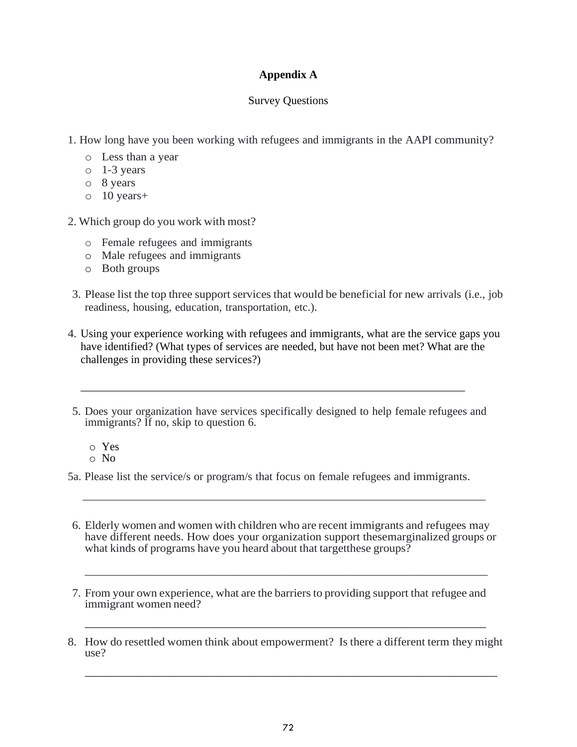# **Appendix A**

## Survey Questions

- 1. How long have you been working with refugees and immigrants in the AAPI community?
	- o Less than a year
	- o 1-3 years
	- o 8 years
	- o 10 years+
- 2. Which group do you work with most?
	- o Female refugees and immigrants
	- o Male refugees and immigrants
	- o Both groups
- 3. Please list the top three support services that would be beneficial for new arrivals (i.e., job readiness, housing, education, transportation, etc.).
- 4. Using your experience working with refugees and immigrants, what are the service gaps you have identified? (What types of services are needed, but have not been met? What are the challenges in providing these services?)
- 5. Does your organization have services specifically designed to help female refugees and immigrants? If no, skip to question 6.

\_\_\_\_\_\_\_\_\_\_\_\_\_\_\_\_\_\_\_\_\_\_\_\_\_\_\_\_\_\_\_\_\_\_\_\_\_\_\_\_\_\_\_\_\_\_\_\_\_\_\_\_\_\_\_\_\_\_\_\_\_\_\_\_\_\_\_\_

- o Yes
- o No

5a. Please list the service/s or program/s that focus on female refugees and immigrants.

\_\_\_\_\_\_\_\_\_\_\_\_\_\_\_\_\_\_\_\_\_\_\_\_\_\_\_\_\_\_\_\_\_\_\_\_\_\_\_\_\_\_\_\_\_\_\_\_\_\_\_\_\_\_\_\_\_\_\_\_\_\_\_\_\_\_\_\_

6. Elderly women and women with children who are recent immigrants and refugees may have different needs. How does your organization support these marginalized groups or what kinds of programs have you heard about that targetthese groups?

\_\_\_\_\_\_\_\_\_\_\_\_\_\_\_\_\_\_\_\_\_\_\_\_\_\_\_\_\_\_\_\_\_\_\_\_\_\_\_\_\_\_\_\_\_\_\_\_\_\_\_\_\_\_\_\_\_\_\_\_\_\_\_\_\_\_\_\_

- 7. From your own experience, what are the barriers to providing support that refugee and immigrant women need?
- 8. How do resettled women think about empowerment? Is there a different term they might use?

 $\_$  , and the set of the set of the set of the set of the set of the set of the set of the set of the set of the set of the set of the set of the set of the set of the set of the set of the set of the set of the set of th

\_\_\_\_\_\_\_\_\_\_\_\_\_\_\_\_\_\_\_\_\_\_\_\_\_\_\_\_\_\_\_\_\_\_\_\_\_\_\_\_\_\_\_\_\_\_\_\_\_\_\_\_\_\_\_\_\_\_\_\_\_\_\_\_\_\_\_\_\_\_\_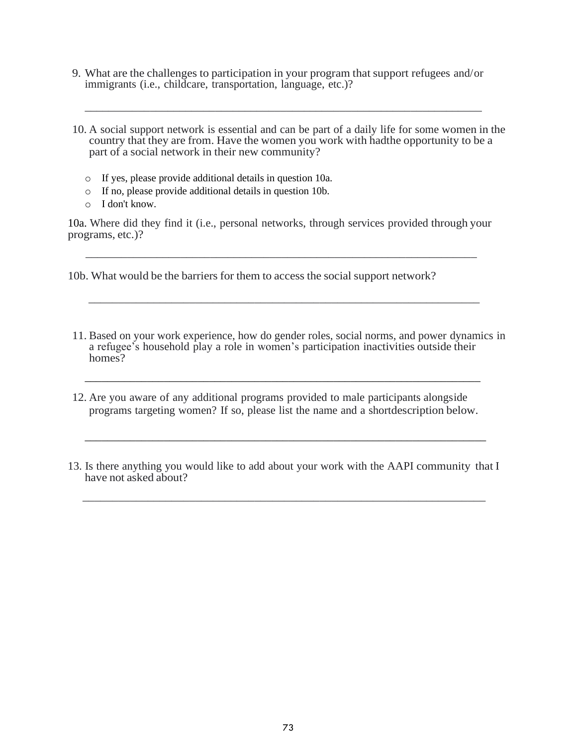9. What are the challenges to participation in your program that support refugees and/or immigrants (i.e., childcare, transportation, language, etc.)?

\_\_\_\_\_\_\_\_\_\_\_\_\_\_\_\_\_\_\_\_\_\_\_\_\_\_\_\_\_\_\_\_\_\_\_\_\_\_\_\_\_\_\_\_\_\_\_\_\_\_\_\_\_\_\_\_\_\_\_\_\_\_\_\_\_\_\_

- 10. A social support network is essential and can be part of a daily life for some women in the country that they are from. Have the women you work with hadthe opportunity to be a part of a social network in their new community?
	- o If yes, please provide additional details in question 10a.
	- o If no, please provide additional details in question 10b.
	- o I don't know.

10a. Where did they find it (i.e., personal networks, through services provided through your programs, etc.)?

 $\overline{\phantom{a}}$  ,  $\overline{\phantom{a}}$  ,  $\overline{\phantom{a}}$  ,  $\overline{\phantom{a}}$  ,  $\overline{\phantom{a}}$  ,  $\overline{\phantom{a}}$  ,  $\overline{\phantom{a}}$  ,  $\overline{\phantom{a}}$  ,  $\overline{\phantom{a}}$  ,  $\overline{\phantom{a}}$  ,  $\overline{\phantom{a}}$  ,  $\overline{\phantom{a}}$  ,  $\overline{\phantom{a}}$  ,  $\overline{\phantom{a}}$  ,  $\overline{\phantom{a}}$  ,  $\overline{\phantom{a}}$ 

 $\overline{\phantom{a}}$  , and the contract of the contract of the contract of the contract of the contract of the contract of the contract of the contract of the contract of the contract of the contract of the contract of the contrac

10b. What would be the barriers for them to access the social support network?

- 11. Based on your work experience, how do gender roles, social norms, and power dynamics in a refugee's household play a role in women's participation inactivities outside their homes?
- 12. Are you aware of any additional programs provided to male participants alongside programs targeting women? If so, please list the name and a shortdescription below.

\_\_\_\_\_\_\_\_\_\_\_\_\_\_\_\_\_\_\_\_\_\_\_\_\_\_\_\_\_\_\_\_\_\_\_\_\_\_\_\_\_\_\_\_\_\_\_\_\_\_\_\_\_\_\_\_\_\_\_\_\_\_\_\_\_\_\_\_\_\_

13. Is there anything you would like to add about your work with the AAPI community that I have not asked about?

\_\_\_\_\_\_\_\_\_\_\_\_\_\_\_\_\_\_\_\_\_\_\_\_\_\_\_\_\_\_\_\_\_\_\_\_\_\_\_\_\_\_\_\_\_\_\_\_\_\_\_\_\_\_\_\_\_\_\_\_\_\_\_\_\_\_\_\_

\_\_\_\_\_\_\_\_\_\_\_\_\_\_\_\_\_\_\_\_\_\_\_\_\_\_\_\_\_\_\_\_\_\_\_\_\_\_\_\_\_\_\_\_\_\_\_\_\_\_\_\_\_\_\_\_\_\_\_\_\_\_\_\_\_\_\_\_\_\_\_